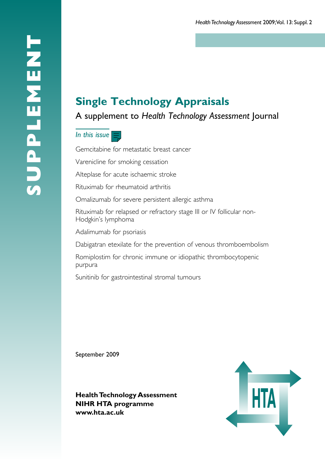# <span id="page-0-0"></span>**Single Technology Appraisals**

# A supplement to *Health Technology Assessment* Journal



Gemcitabine for metastatic breast cancer

Varenicline for smoking cessation

Alteplase for acute ischaemic stroke

Rituximab for rheumatoid arthritis

Omalizumab for severe persistent allergic asthma

Rituximab for relapsed or refractory stage III or IV follicular non-Hodgkin's lymphoma

Adalimumab for psoriasis

Dabigatran etexilate for the prevention of venous thromboembolism

Romiplostim for chronic immune or idiopathic thrombocytopenic purpura

Sunitinib for gastrointestinal stromal tumours

September 2009

**Health Technology Assessment NIHR HTA programme www.hta.ac.uk**

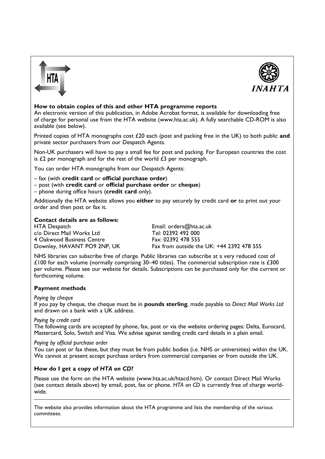



### **How to obtain copies of this and other HTA programme reports**

An electronic version of this publication, in Adobe Acrobat format, is available for downloading free of charge for personal use from the HTA website (www.hta.ac.uk). A fully searchable CD-ROM is also available (see below).

Printed copies of HTA monographs cost £20 each (post and packing free in the UK) to both public **and** private sector purchasers from our Despatch Agents.

Non-UK purchasers will have to pay a small fee for post and packing. For European countries the cost is  $£2$  per monograph and for the rest of the world  $£3$  per monograph.

You can order HTA monographs from our Despatch Agents:

– fax (with **credit card** or **official purchase order**)

- post (with **credit card** or **official purchase order** or **cheque**)
- phone during office hours (**credit card** only).

Additionally the HTA website allows you **either** to pay securely by credit card **or** to print out your order and then post or fax it.

### **Contact details are as follows:**

HTA Despatch **Email:** orders@hta.ac.uk<br>
c/o Direct Mail Works Ltd Tel: 02392 492 000 c/o Direct Mail Works Ltd<br>
4 Oakwood Business Centre<br>
Tel: 02392 478 555 4 Oakwood Business Centre

Downley, HAVANT PO9 2NP, UK Fax from outside the UK: +44 2392 478 555

NHS libraries can subscribe free of charge. Public libraries can subscribe at a very reduced cost of £100 for each volume (normally comprising 30–40 titles). The commercial subscription rate is £300 per volume. Please see our website for details. Subscriptions can be purchased only for the current or forthcoming volume.

### **Payment methods**

*Paying by cheque*

If you pay by cheque, the cheque must be in **pounds sterling**, made payable to *Direct Mail Works Ltd* and drawn on a bank with a UK address.

*Paying by credit card*

The following cards are accepted by phone, fax, post or via the website ordering pages: Delta, Eurocard, Mastercard, Solo, Switch and Visa. We advise against sending credit card details in a plain email.

### *Paying by official purchase order*

You can post or fax these, but they must be from public bodies (i.e. NHS or universities) within the UK. We cannot at present accept purchase orders from commercial companies or from outside the UK.

### **How do I get a copy of** *HTA on CD***?**

Please use the form on the HTA website (www.hta.ac.uk/htacd.htm). Or contact Direct Mail Works (see contact details above) by email, post, fax or phone. *HTA on CD* is currently free of charge worldwide.

The website also provides information about the HTA programme and lists the membership of the various committees.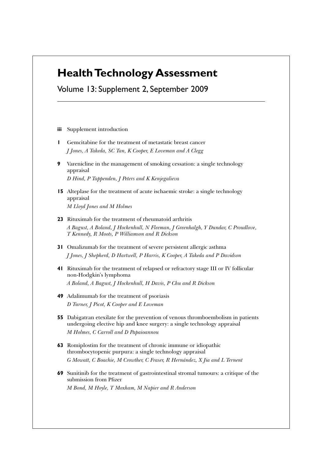# **Health Technology Assessment**

Volume 13: Supplement 2, September 2009

- **iii** Supplement introduction
- **1** [Gemcitabine for the treatment of metastatic breast cancer](#page-6-0) *[J Jones, A Takeda, SC Tan, K Cooper, E Loveman and](#page-6-0) A Clegg*
- **9** [Varenicline in the management of smoking cessation: a single technology](#page-14-0)  [appraisal](#page-14-0) *[D Hind, P Tappenden, J Peters and K Kenjegalieva](#page-14-0)*
- **15** [Alteplase for the treatment of acute ischaemic stroke: a single technology](#page-20-0)  [appraisal](#page-20-0) *[M Lloyd Jones and M Holmes](#page-20-0)*
- **23** [Rituximab for the treatment of rheumatoid arthritis](#page-28-0) *[A Bagust, A Boland, J Hockenhull, N Fleeman, J Greenhalgh, Y Dundar, C Proudlove,](#page-28-0)  [T Kennedy, R Moots, P Williamson and R Dickson](#page-28-0)*
- **31** [Omalizumab for the treatment of severe persistent allergic asthma](#page-36-0) *[J Jones, J Shepherd, D Hartwell, P Harris, K Cooper, A Takeda and P Davidson](#page-36-0)*
- **41** [Rituximab for the treatment of relapsed or refractory stage III or IV follicular](#page-46-0)  [non-Hodgkin's lymphoma](#page-46-0) *[A Boland, A Bagust, J Hockenhull, H Davis, P Chu and R Dickson](#page-46-0)*
- **49** [Adalimumab for the treatment of psoriasis](#page-54-0)  *[D Turner, J Picot, K Cooper and E Loveman](#page-54-0)*
- **55** Dabigatran etexilate for the prevention of venous thromboembolism in patients [undergoing elective hip and knee surgery: a single technology appraisal](#page-60-0) *[M Holmes, C Carroll and D Papaioannou](#page-60-0)*
- **63** [Romiplostim for the treatment of chronic immune or idiopathic](#page-68-0)  [thrombocytopenic purpura: a single technology appraisal](#page-68-0)  *[G Mowatt, C Boachie, M Crowther, C Fraser, R Hernández, X Jia and L Ternent](#page-68-0)*
- **69** [Sunitinib for the treatment of gastrointestinal stromal tumours: a critique of the](#page-74-0)  [submission from Pfizer](#page-74-0) *[M Bond, M Hoyle, T Moxham, M Napier and R Anderson](#page-74-0)*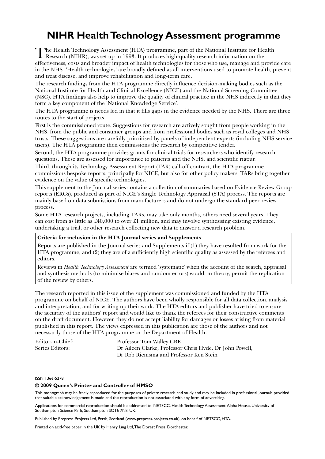# **NIHR Health Technology Assessment programme**

The Health Technology Assessment (HTA) programme, part of the National Institute for Health Research (NIHR), was set up in 1993. It produces high-quality research information on the effectiveness, costs and broader impact of health technologies for those who use, manage and provide care in the NHS. 'Health technologies' are broadly defined as all interventions used to promote health, prevent and treat disease, and improve rehabilitation and long-term care.

The research findings from the HTA programme directly influence decision-making bodies such as the National Institute for Health and Clinical Excellence (NICE) and the National Screening Committee (NSC). HTA findings also help to improve the quality of clinical practice in the NHS indirectly in that they form a key component of the 'National Knowledge Service'.

The HTA programme is needs led in that it fills gaps in the evidence needed by the NHS. There are three routes to the start of projects.

First is the commissioned route. Suggestions for research are actively sought from people working in the NHS, from the public and consumer groups and from professional bodies such as royal colleges and NHS trusts. These suggestions are carefully prioritised by panels of independent experts (including NHS service users). The HTA programme then commissions the research by competitive tender.

Second, the HTA programme provides grants for clinical trials for researchers who identify research questions. These are assessed for importance to patients and the NHS, and scientific rigour.

Third, through its Technology Assessment Report (TAR) call-off contract, the HTA programme commissions bespoke reports, principally for NICE, but also for other policy makers. TARs bring together evidence on the value of specific technologies.

This supplement to the Journal series contains a collection of summaries based on Evidence Review Group reports (ERGs), produced as part of NICE's Single Technology Appraisal (STA) process. The reports are mainly based on data submissions from manufacturers and do not undergo the standard peer-review process.

Some HTA research projects, including TARs, may take only months, others need several years. They can cost from as little as £40,000 to over £1 million, and may involve synthesising existing evidence, undertaking a trial, or other research collecting new data to answer a research problem.

### **Criteria for inclusion in the HTA Journal series and Supplements**

Reports are published in the Journal series and Supplements if (1) they have resulted from work for the HTA programme, and (2) they are of a sufficiently high scientific quality as assessed by the referees and editors.

Reviews in *Health Technology Assessment* are termed 'systematic' when the account of the search, appraisal and synthesis methods (to minimise biases and random errors) would, in theory, permit the replication of the review by others.

The research reported in this issue of the supplement was commissioned and funded by the HTA programme on behalf of NICE. The authors have been wholly responsible for all data collection, analysis and interpretation, and for writing up their work. The HTA editors and publisher have tried to ensure the accuracy of the authors' report and would like to thank the referees for their constructive comments on the draft document. However, they do not accept liability for damages or losses arising from material published in this report. The views expressed in this publication are those of the authors and not necessarily those of the HTA programme or the Department of Health.

| Editor-in-Chief: | Professor Tom Walley CBE                                |
|------------------|---------------------------------------------------------|
| Series Editors:  | Dr Aileen Clarke, Professor Chris Hyde, Dr John Powell, |
|                  | Dr Rob Riemsma and Professor Ken Stein                  |

ISSN 1366-5278

#### **© 2009 Queen's Printer and Controller of HMSO**

This monograph may be freely reproduced for the purposes of private research and study and may be included in professional journals provided that suitable acknowledgement is made and the reproduction is not associated with any form of advertising.

Applications for commercial reproduction should be addressed to: NETSCC, Health Technology Assessment, Alpha House, University of Southampton Science Park, Southampton SO16 7NS, UK.

Published by Prepress Projects Ltd, Perth, Scotland (www.prepress-projects.co.uk), on behalf of NETSCC, HTA.

Printed on acid-free paper in the UK by Henry Ling Ltd, The Dorest Press, Dorchester.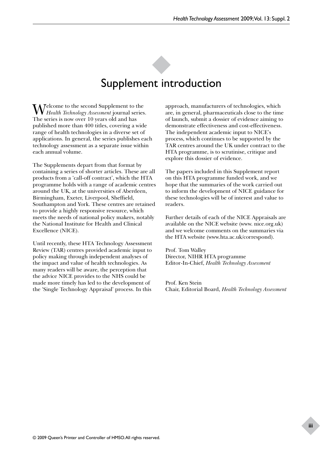# Supplement introduction

<span id="page-4-0"></span>Welcome to the second Supplement to the *Health Technology Assessment* journal series. The series is now over 10 years old and has published more than 400 titles, covering a wide range of health technologies in a diverse set of applications. In general, the series publishes each technology assessment as a separate issue within each annual volume.

The Supplements depart from that format by containing a series of shorter articles. These are all products from a 'call-off contract', which the HTA programme holds with a range of academic centres around the UK, at the universities of Aberdeen, Birmingham, Exeter, Liverpool, Sheffield, Southampton and York. These centres are retained to provide a highly responsive resource, which meets the needs of national policy makers, notably the National Institute for Health and Clinical Excellence (NICE).

Until recently, these HTA Technology Assessment Review (TAR) centres provided academic input to policy making through independent analyses of the impact and value of health technologies. As many readers will be aware, the perception that the advice NICE provides to the NHS could be made more timely has led to the development of the 'Single Technology Appraisal' process. In this

approach, manufacturers of technologies, which are, in general, pharmaceuticals close to the time of launch, submit a dossier of evidence aiming to demonstrate effectiveness and cost-effectiveness. The independent academic input to NICE's process, which continues to be supported by the TAR centres around the UK under contract to the HTA programme, is to scrutinise, critique and explore this dossier of evidence.

The papers included in this Supplement report on this HTA programme funded work, and we hope that the summaries of the work carried out to inform the development of NICE guidance for these technologies will be of interest and value to readers.

Further details of each of the NICE Appraisals are available on the NICE website (www. nice.org.uk) and we welcome comments on the summaries via the HTA website (www.hta.ac.uk/correspond).

Prof. Tom Walley Director, NIHR HTA programme Editor-In-Chief, *Health Technology Assessment*

Prof. Ken Stein Chair, Editorial Board, *Health Technology Assessment*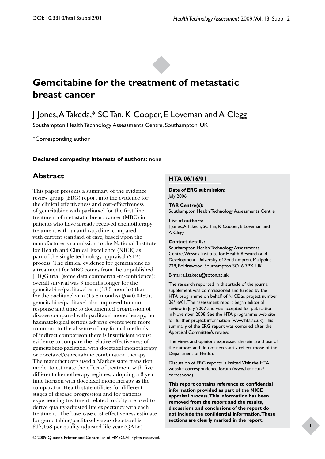

# <span id="page-6-0"></span>**Gemcitabine for the treatment of metastatic breast cancer**

J Jones, A Takeda,\* SC Tan, K Cooper, E Loveman and A Clegg

Southampton Health Technology Assessments Centre, Southampton, UK

\*Corresponding author

### **Declared competing interests of authors:** none

# **Abstract**

This paper presents a summary of the evidence review group (ERG) report into the evidence for the clinical effectiveness and cost-effectiveness of gemcitabine with paclitaxel for the first-line treatment of metastatic breast cancer (MBC) in patients who have already received chemotherapy treatment with an anthracycline, compared with current standard of care, based upon the manufacturer's submission to the National Institute for Health and Clinical Excellence (NICE) as part of the single technology appraisal (STA) process. The clinical evidence for gemcitabine as a treatment for MBC comes from the unpublished JHQG trial (some data commercial-in-confidence): overall survival was 3 months longer for the gemcitabine/paclitaxel arm (18.5 months) than for the paclitaxel arm  $(15.8 \text{ months})$   $(p = 0.0489)$ ; gemcitabine/paclitaxel also improved tumour response and time to documented progression of disease compared with paclitaxel monotherapy, but haematological serious adverse events were more common. In the absence of any formal methods of indirect comparison there is insufficient robust evidence to compare the relative effectiveness of gemcitabine/paclitaxel with docetaxel monotherapy or docetaxel/capecitabine combination therapy. The manufacturers used a Markov state transition model to estimate the effect of treatment with five different chemotherapy regimes, adopting a 3-year time horizon with docetaxel monotherapy as the comparator. Health state utilities for different stages of disease progression and for patients experiencing treatment-related toxicity are used to derive quality-adjusted life expectancy with each treatment. The base-case cost-effectiveness estimate for gemcitabine/paclitaxel versus docetaxel is £17,168 per quality-adjusted life-year (QALY).

### **HTA 06/16/01**

**Date of ERG submission:** July 2006

**TAR Centre(s):** Southampton Health Technology Assessments Centre

**List of authors:** J Jones, A Takeda, SC Tan, K Cooper, E Loveman and A Clegg

#### **Contact details:**

Southampton Health Technology Assessments Centre, Wessex Institute for Health Research and Development, University of Southampton, Mailpoint 728, Boldrewood, Southampton SO16 7PX, UK

E-mail: a.l.takeda@soton.ac.uk

The research reported in this article of the journal supplement was commissioned and funded by the HTA programme on behalf of NICE as project number 06/16/01. The assessment report began editorial review in July 2007 and was accepted for publication inNovember 2008. See the HTA programme web site for further project information (www.hta.ac.uk). This summary of the ERG report was compiled after the Appraisal Committee's review.

The views and opinions expressed therein are those of the authors and do not necessarily reflect those of the Department of Health.

Discussion of ERG reports is invited. Visit the HTA website correspondence forum (www.hta.ac.uk/ correspond).

**This report contains reference to confidential information provided as part of the NICE appraisal process. This information has been removed from the report and the results, discussions and conclusions of the report do not include the confidential information. These sections are clearly marked in the report.**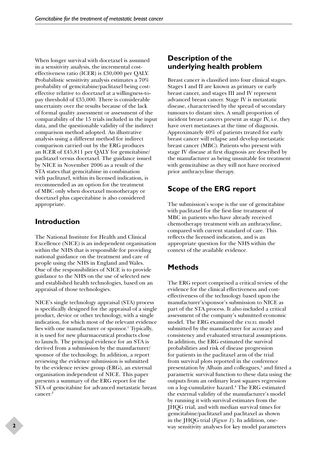When longer survival with docetaxel is assumed in a sensitivity analysis, the incremental costeffectiveness ratio (ICER) is £30,000 per QALY. Probabilistic sensitivity analysis estimates a 70% probability of gemcitabine/paclitaxel being costeffective relative to docetaxel at a willingness-topay threshold of £35,000. There is considerable uncertainty over the results because of the lack of formal quality assessment or assessment of the comparability of the 15 trials included in the input data, and the questionable validity of the indirect comparison method adopted. An illustrative analysis using a different method for indirect comparison carried out by the ERG produces an ICER of £45,811 per QALY for gemcitabine/ paclitaxel versus docetaxel. The guidance issued by NICE in November 2006 as a result of the STA states that gemcitabine in combination with paclitaxel, within its licensed indication, is recommended as an option for the treatment of MBC only when docetaxel monotherapy or docetaxel plus capecitabine is also considered appropriate.

# **Introduction**

The National Institute for Health and Clinical Excellence (NICE) is an independent organisation within the NHS that is responsible for providing national guidance on the treatment and care of people using the NHS in England and Wales. One of the responsibilities of NICE is to provide guidance to the NHS on the use of selected new and established health technologies, based on an appraisal of those technologies.

NICE's single technology appraisal (STA) process is specifically designed for the appraisal of a single product, device or other technology, with a single indication, for which most of the relevant evidence lies with one manufacturer or sponsor.<sup>1</sup> Typically, it is used for new pharmaceutical products close to launch. The principal evidence for an STA is derived from a submission by the manufacturer/ sponsor of the technology. In addition, a report reviewing the evidence submission is submitted by the evidence review group (ERG), an external organisation independent of NICE. This paper presents a summary of the ERG report for the STA of gemcitabine for advanced metastatic breast cancer.<sup>2</sup>

# **Description of the underlying health problem**

Breast cancer is classified into four clinical stages. Stages I and II are known as primary or early breast cancer, and stages III and IV represent advanced breast cancer. Stage IV is metastatic disease, characterised by the spread of secondary tumours to distant sites. A small proportion of incident breast cancers present as stage IV, i.e. they have overt metastases at the time of diagnosis. Approximately 40% of patients treated for early breast cancer will relapse and develop metastatic breast cancer (MBC). Patients who present with stage IV disease at first diagnosis are described by the manufacturer as being unsuitable for treatment with gemcitabine as they will not have received prior anthracycline therapy.

# **Scope of the ERG report**

The submission's scope is the use of gemcitabine with paclitaxel for the first-line treatment of MBC in patients who have already received chemotherapy treatment with an anthracycline, compared with current standard of care. This reflects the licensed indication, and is an appropriate question for the NHS within the context of the available evidence.

# **Methods**

The ERG report comprised a critical review of the evidence for the clinical effectiveness and costeffectiveness of the technology based upon the manufacturer's/sponsor's submission to NICE as part of the STA process. It also included a critical assessment of the company's submitted economic model. The ERG examined the excel model submitted by the manufacturer for accuracy and consistency and evaluated structural assumptions. In addition, the ERG estimated the survival probabilities and risk of disease progression for patients in the paclitaxel arm of the trial from survival plots reported in the conference presentation by Albain and colleagues,<sup>3</sup> and fitted a parametric survival function to these data using the outputs from an ordinary least squares regression on a log-cumulative hazard.4 The ERG estimated the external validity of the manufacturer's model by running it with survival estimates from the JHQG trial, and with median survival times for gemcitabine/paclitaxel and paclitaxel as shown in the JHQG trial (*Figure 1*). In addition, oneway sensitivity analyses for key model parameters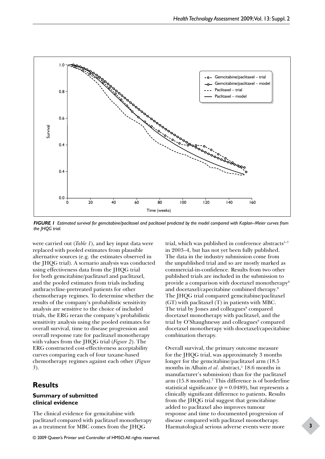

*FIGURE 1 Estimated survival for gemcitabine/paclitaxel and paclitaxel predicted by the model compared with Kaplan–Meier curves from the JHQG trial.*

were carried out (*Table 1*), and key input data were replaced with pooled estimates from plausible alternative sources (e.g. the estimates observed in the JHQG trial). A scenario analysis was conducted using effectiveness data from the JHQG trial for both gemcitabine/paclitaxel and paclitaxel, and the pooled estimates from trials including anthracycline-pretreated patients for other chemotherapy regimes. To determine whether the results of the company's probabilistic sensitivity analysis are sensitive to the choice of included trials, the ERG reran the company's probabilistic sensitivity analysis using the pooled estimates for overall survival, time to disease progression and overall response rate for paclitaxel monotherapy with values from the JHQG trial (*Figure 2*). The ERG constructed cost-effectiveness acceptability curves comparing each of four taxane-based chemotherapy regimes against each other (*Figure 3*).

## **Results**

### **Summary of submitted clinical evidence**

The clinical evidence for gemcitabine with paclitaxel compared with paclitaxel monotherapy as a treatment for MBC comes from the JHQG

trial, which was published in conference abstracts $5-7$ in 2003–4, but has not yet been fully published. The data in the industry submission come from the unpublished trial and so are mostly marked as commercial-in-confidence. Results from two other published trials are included in the submission to provide a comparison with docetaxel monotherapy<sup>8</sup> and docetaxel/capecitabine combined therapy.9 The JHQG trial compared gemcitabine/paclitaxel (GT) with paclitaxel (T) in patients with MBC. The trial by Jones and colleagues<sup>8</sup> compared docetaxel monotherapy with paclitaxel, and the trial by O'Shaughnessy and colleagues<sup>9</sup> compared docetaxel monotherapy with docetaxel/capecitabine combination therapy.

Overall survival, the primary outcome measure for the JHQG trial, was approximately 3 months longer for the gemcitabine/paclitaxel arm (18.5 months in Albain *et al*. abstract,<sup>5</sup> 18.6 months in manufacturer's submission) than for the paclitaxel arm (15.8 months).7 This difference is of borderline **Results** statistical significance  $(p = 0.0489)$ , but represents a clinically significant difference to patients. Results from the JHQG trial suggest that gemcitabine added to paclitaxel also improves tumour response and time to documented progression of disease compared with paclitaxel monotherapy. Haematological serious adverse events were more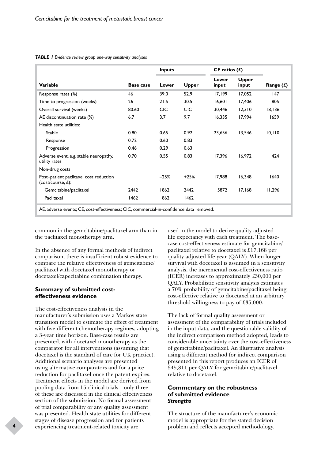|                                                                     |                  | <b>Inputs</b> |              | $CE$ ratios $(f)$ |                       |             |
|---------------------------------------------------------------------|------------------|---------------|--------------|-------------------|-----------------------|-------------|
| Variable                                                            | <b>Base case</b> | Lower         | <b>Upper</b> | Lower<br>input    | <b>Upper</b><br>input | Range $(f)$ |
| Response rates (%)                                                  | 46               | 39.0          | 52.9         | 17,199            | 17,052                | 147         |
| Time to progression (weeks)                                         | 26               | 21.5          | 30.5         | 16,601            | 17,406                | 805         |
| Overall survival (weeks)                                            | 80.60            | CIC.          | <b>CIC</b>   | 30,446            | 12,310                | 18,136      |
| AE discontinuation rate (%)                                         | 6.7              | 3.7           | 9.7          | 16,335            | 17,994                | 1659        |
| Health state utilities:                                             |                  |               |              |                   |                       |             |
| Stable                                                              | 0.80             | 0.65          | 0.92         | 23,656            | 13,546                | 10, 110     |
| Response                                                            | 0.72             | 0.60          | 0.83         |                   |                       |             |
| Progression                                                         | 0.46             | 0.29          | 0.63         |                   |                       |             |
| Adverse event, e.g. stable neuropathy,<br>utility rates             | 0.70             | 0.55          | 0.83         | 17,396            | 16.972                | 424         |
| Non-drug costs                                                      |                  |               |              |                   |                       |             |
| Post-patient paclitaxel cost reduction<br>(cost/course, <i>f</i> ): |                  | $-25%$        | $+25%$       | 17,988            | 16,348                | 1640        |
| Gemcitabine/paclitaxel                                              | 2442             | 1862          | 2442         | 5872              | 17,168                | 11,296      |
| Paclitaxel                                                          | 1462             | 862           | 1462         |                   |                       |             |

#### *TABLE 1 Evidence review group one-way sensitivity analyses*

AE, adverse events; CE, cost-effectiveness; CIC, commercial-in-confidence data removed.

common in the gemcitabine/paclitaxel arm than in the paclitaxel monotherapy arm.

In the absence of any formal methods of indirect comparison, there is insufficient robust evidence to compare the relative effectiveness of gemcitabine/ paclitaxel with docetaxel monotherapy or docetaxel/capecitabine combination therapy.

### **Summary of submitted costeffectiveness evidence**

The cost-effectiveness analysis in the manufacturer's submission uses a Markov state transition model to estimate the effect of treatment with five different chemotherapy regimes, adopting a 3-year time horizon. Base-case results are presented, with docetaxel monotherapy as the comparator for all interventions (assuming that docetaxel is the standard of care for UK practice). Additional scenario analyses are presented using alternative comparators and for a price reduction for paclitaxel once the patent expires. Treatment effects in the model are derived from pooling data from 15 clinical trials – only three of these are discussed in the clinical effectiveness section of the submission. No formal assessment of trial comparability or any quality assessment was presented. Health state utilities for different stages of disease progression and for patients experiencing treatment-related toxicity are

used in the model to derive quality-adjusted life expectancy with each treatment. The basecase cost-effectiveness estimate for gemcitabine/ paclitaxel relative to docetaxel is £17,168 per quality-adjusted life-year (QALY). When longer survival with docetaxel is assumed in a sensitivity analysis, the incremental cost-effectiveness ratio (ICER) increases to approximately £30,000 per QALY. Probabilistic sensitivity analysis estimates a 70% probability of gemcitabine/paclitaxel being cost-effective relative to docetaxel at an arbitrary threshold willingness to pay of £35,000.

The lack of formal quality assessment or assessment of the comparability of trials included in the input data, and the questionable validity of the indirect comparison method adopted, leads to considerable uncertainty over the cost-effectiveness of gemcitabine/paclitaxel. An illustrative analysis using a different method for indirect comparison presented in this report produces an ICER of £45,811 per QALY for gemcitabine/paclitaxel relative to docetaxel.

### **Commentary on the robustness of submitted evidence** *Strengths*

The structure of the manufacturer's economic model is appropriate for the stated decision problem and reflects accepted methodology.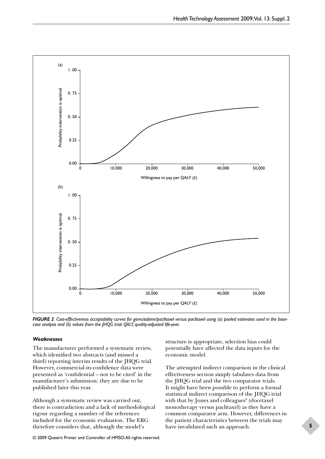

*FIGURE 2 Cost-effectiveness acceptability curves for gemcitabine/paclitaxel versus paclitaxel using (a) pooled estimates used in the basecase analysis and (b) values from the JHQG trial. QALY, quality-adjusted life-year.*

### *Weaknesses*

The manufacturer performed a systematic review, which identified two abstracts (and missed a third) reporting interim results of the JHQG trial. However, commercial-in-confidence data were presented as 'confidential – not to be cited' in the manufacturer's submission; they are due to be published later this year.

Although a systematic review was carried out, there is contradiction and a lack of methodological rigour regarding a number of the references included for the economic evaluation. The ERG therefore considers that, although the model's

 $\odot$  2009 Queen's Printer and Controller of HMSO.All rights reserved.

structure is appropriate, selection bias could potentially have affected the data inputs for the economic model.

The attempted indirect comparison in the clinical effectiveness section simply tabulates data from the JHQG trial and the two comparator trials. It might have been possible to perform a formal statistical indirect comparison of the JHQG trial with that by Jones and colleagues<sup>8</sup> (docetaxel monotherapy versus paclitaxel) as they have a common comparator arm. However, differences in the patient characteristics between the trials may have invalidated such an approach.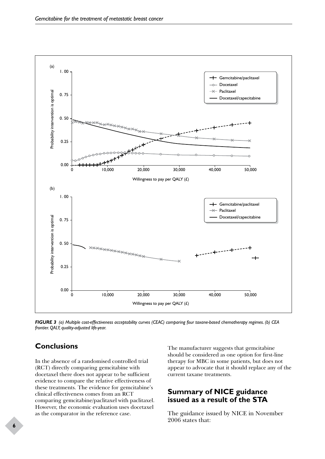

*FIGURE 3 (a) Multiple cost-effectiveness acceptability curves (CEAC) comparing four taxane-based chemotherapy regimes. (b) CEA frontier. QALY, quality-adjusted life-year.*

# **Conclusions**

In the absence of a randomised controlled trial (RCT) directly comparing gemcitabine with docetaxel there does not appear to be sufficient evidence to compare the relative effectiveness of these treatments. The evidence for gemcitabine's clinical effectiveness comes from an RCT comparing gemcitabine/paclitaxel with paclitaxel. However, the economic evaluation uses docetaxel as the comparator in the reference case.

The manufacturer suggests that gemcitabine should be considered as one option for first-line therapy for MBC in some patients, but does not appear to advocate that it should replace any of the current taxane treatments.

## **Summary of NICE guidance issued as a result of the STA**

The guidance issued by NICE in November 2006 states that: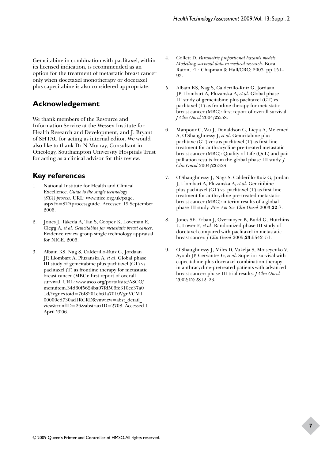Gemcitabine in combination with paclitaxel, within its licensed indication, is recommended as an option for the treatment of metastatic breast cancer only when docetaxel monotherapy or docetaxel plus capecitabine is also considered appropriate.

# **Acknowledgement**

We thank members of the Resource and Information Service at the Wessex Institute for Health Research and Development, and J. Bryant of SHTAC for acting as internal editor. We would also like to thank Dr N Murray, Consultant in Oncology, Southampton University Hospitals Trust for acting as a clinical advisor for this review.

### **Key references**

- 1. National Institute for Health and Clinical Excellence. *Guide to the single technology (STA) process*. URL: www.nice.org.uk/page. aspx?o=STAprocessguide. Accessed 19 September 2006.
- 2. Jones J, Takeda A, Tan S, Cooper K, Loveman E, Clegg A, *et al*. *Gemcitabine for metastatic breast cancer*. Evidence review group single technology appraisal for NICE. 2006.
- 3. Albain KS, Nag S, Calderillo-Ruiz G, Jordaan JP, Llombart A, Pluzanska A, *et al*. Global phase III study of gemcitabine plus paclitaxel (GT) vs. paclitaxel (T) as frontline therapy for metastatic breast cancer (MBC): first report of overall survival. URL: www.asco.org/portal/site/ASCO/ menuitem.34d60f5624ba07fd506fe310ee37a0 1d/?vgnextoid=76f8201eb61a7010VgnVCM1 00000ed730ad1RCRD&vmview=abst\_detail\_ view&confID=26&abstractID=2708. Accessed 1 April 2006.
- 4. Collett D. *Parametric proportional hazards models. Modelling survival data in medical research*. Boca Raton, FL: Chapman & Hall/CRC; 2003. pp.151– 93.
- 5. Albain KS, Nag S, Calderillo-Ruiz G, Jordaan JP, Llombart A, Pluzanska A, *et al*. Global phase III study of gemcitabine plus paclitaxel (GT) vs. paclitaxel (T) as frontline therapy for metastatic breast cancer (MBC): first report of overall survival. *J Clin Oncol* 2004;**22**:5S.
- 6. Manpour C, Wu J, Donaldson G, Liepa A, Melemed A, O'Shaughnessy J, *et al*. Gemcitabine plus paclitaxe (GT) versus paclitaxel (T) as first-line treatment for anthracycline pre-treated metastatic breast cancer (MBC): Quality of Life (QoL) and pair palliation results from the global phase III study. *J Clin Oncol* 2004;**22**:32S.
- 7. O'Shaughnessy J, Nags S, Calderillo-Ruiz G, Jordan J, Llombart A, Pluzanska A, *et al*. Gencitibine plus paclitaxel (GT) vs. paclitaxel (T) as first-line treatment for anthrycline pre-treated metastatic breast cancer (MBC): interim results of a global phase III study. *Proc Am Soc Clin Oncol* 2003;**22**:7.
- 8. Jones SE, Erban J, Overmoyer B, Budd G, Hutchins L, Lower E, *et al*. Randomized phase III study of docetaxel compared with paclitaxel in metastatic breast cancer. *J Clin Oncol* 2005;**23**:5542–51.
- 9. O'Shaughnessy J, Miles D, Vukelja S, Moiseyenko V, Ayoub JP, Cervantes G, *et al*. Superior survival with capecitabine plus docetaxel combination therapy in anthracycline-pretreated patients with advanced breast cancer: phase III trial results. *J Clin Oncol* 2002;**12**:2812–23.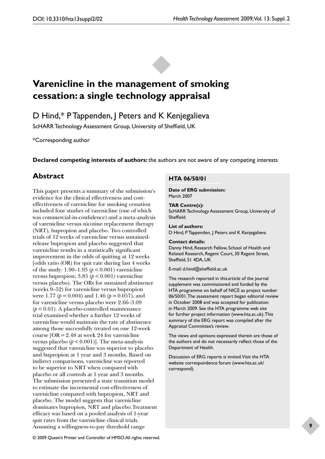

# <span id="page-14-0"></span>**Varenicline in the management of smoking cessation: a single technology appraisal**

D Hind,\* P Tappenden, J Peters and K Kenjegalieva

ScHARR Technology Assessment Group, University of Sheffield, UK

\*Corresponding author

**Declared competing interests of authors:** the authors are not aware of any competing interests

# **Abstract**

This paper presents a summary of the submission's evidence for the clinical effectiveness and costeffectiveness of varenicline for smoking cessation included four studies of varenicline (one of which was commercial-in-confidence) and a meta-analysis of varenicline versus nicotine replacement therapy (NRT), bupropion and placebo. Two controlled trials of 12 weeks of varenicline versus sustainedrelease bupropion and placebo suggested that varenicline results in a statistically significant improvement in the odds of quitting at 12 weeks [odds ratio (OR) for quit rate during last 4 weeks of the study:  $1.90 - 1.93$  ( $p < 0.001$ ) varenicline versus bupropion;  $3.85 (p < 0.001)$  varenicline versus placebo). The ORs for sustained abstinence (weeks 9–52) for varenicline versus bupropion were 1.77 ( $p = 0.004$ ) and 1.46 ( $p = 0.057$ ), and for varenicline versus placebo were 2.66–3.09  $(b < 0.01)$ . A placebo-controlled maintenance trial examined whether a further 12 weeks of varenicline would maintain the rate of abstinence among those successfully treated on one 12-week course  $[OR = 2.48$  at week 24 for varenicline versus placebo  $(p < 0.001)$ ]. The meta-analysis suggested that varenicline was superior to placebo and bupropion at 1 year and 3 months. Based on indirect comparisons, varenicline was reported to be superior to NRT when compared with placebo or all controls at 1 year and 3 months. The submission presented a state transition model to estimate the incremental cost-effectiveness of varenicline compared with bupropion, NRT and placebo. The model suggests that varenicline dominates bupropion, NRT and placebo.Treatment efficacy was based on a pooled analysis of 1-year quit rates from the varenicline clinical trials. Assuming a willingness-to-pay threshold range

### **HTA 06/50/01**

**Date of ERG submission:** March 2007

### **TAR Centre(s):**

ScHARR Technology Assessment Group, University of Sheffield.

**List of authors:** D Hind*,* P Tappenden, J Peters and K Kenjegalieva

### **Contact details:**

Danny Hind, Research Fellow, School of Health and Related Research, Regent Court, 30 Regent Street, Sheffield, S1 4DA, UK

E-mail: d.hind@sheffield.ac.uk

The research reported in this article of the journal supplement was commissioned and funded by the HTA programme on behalf of NICE as project number 06/50/01. The assessment report began editorial review in October 2008 and was accepted for publication in March 2009. See the HTA programme web site for further project information (www.hta.ac.uk). This summary of the ERG report was compiled after the Appraisal Committee's review.

The views and opinions expressed therein are those of the authors and do not necessarily reflect those of the Department of Health.

Discussion of ERG reports is invited. Visit the HTA website correspondence forum (www.hta.ac.uk/ correspond).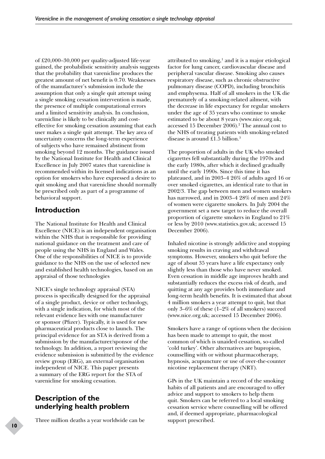of £20,000–30,000 per quality-adjusted life-year gained, the probabilistic sensitivity analysis suggests that the probability that varenicline produces the greatest amount of net benefit is 0.70. Weaknesses of the manufacturer's submission include the assumption that only a single quit attempt using a single smoking cessation intervention is made, the presence of multiple computational errors and a limited sensitivity analysis. In conclusion, varenicline is likely to be clinically and costeffective for smoking cessation assuming that each user makes a single quit attempt. The key area of uncertainty concerns the long-term experience of subjects who have remained abstinent from smoking beyond 12 months. The guidance issued by the National Institute for Health and Clinical Excellence in July 2007 states that varenicline is recommended within its licensed indications as an option for smokers who have expressed a desire to quit smoking and that varenicline should normally be prescribed only as part of a programme of behavioral support.

# **Introduction**

The National Institute for Health and Clinical Excellence (NICE) is an independent organisation within the NHS that is responsible for providing national guidance on the treatment and care of people using the NHS in England and Wales. One of the responsibilities of NICE is to provide guidance to the NHS on the use of selected new and established health technologies, based on an appraisal of those technologies

NICE's single technology appraisal (STA) process is specifically designed for the appraisal of a single product, device or other technology, with a single indication, for which most of the relevant evidence lies with one manufacturer or sponsor (Pfizer). Typically, it is used for new pharmaceutical products close to launch. The principal evidence for an STA is derived from a submission by the manufacturer/sponsor of the technology. In addition, a report reviewing the evidence submission is submitted by the evidence review group (ERG), an external organisation independent of NICE. This paper presents a summary of the ERG report for the STA of varenicline for smoking cessation.

# **Description of the underlying health problem**

Three million deaths a year worldwide can be

attributed to smoking, $<sup>1</sup>$  and it is a major etiological</sup> factor for lung cancer, cardiovascular disease and peripheral vascular disease. Smoking also causes respiratory disease, such as chronic obstructive pulmonary disease (COPD), including bronchitis and emphysema. Half of all smokers in the UK die prematurely of a smoking-related ailment, with the decrease in life expectancy for regular smokers under the age of 35 years who continue to smoke estimated to be about 8 years (www.nice.org.uk; accessed 15 December 2006).<sup>2</sup> The annual cost to the NHS of treating patients with smoking-related disease is around £1.5 billion.3

The proportion of adults in the UK who smoked cigarettes fell substantially during the 1970s and the early 1980s, after which it declined gradually until the early 1990s. Since this time it has plateaued, and in 2003–4 26% of adults aged 16 or over smoked cigarettes, an identical rate to that in 2002/3. The gap between men and women smokers has narrowed, and in 2003–4 28% of men and 24% of women were cigarette smokers. In July 2004 the government set a new target to reduce the overall proportion of cigarette smokers in England to 21% or less by 2010 (www.statistics.gov.uk; accessed 15 December 2006).

Inhaled nicotine is strongly addictive and stopping smoking results in craving and withdrawal symptoms. However, smokers who quit before the age of about 35 years have a life expectancy only slightly less than those who have never smoked. Even cessation in middle age improves health and substantially reduces the excess risk of death, and quitting at any age provides both immediate and long-term health benefits. It is estimated that about 4 million smokers a year attempt to quit, but that only 3–6% of these (1–2% of all smokers) succeed (www.nice.org.uk; accessed 15 December 2006).

Smokers have a range of options when the decision has been made to attempt to quit, the most common of which is unaided cessation, so-called 'cold turkey'. Other alternatives are bupropion, counselling with or without pharmacotherapy, hypnosis, acupuncture or use of over-the-counter nicotine replacement therapy (NRT).

GPs in the UK maintain a record of the smoking habits of all patients and are encouraged to offer advice and support to smokers to help them quit. Smokers can be referred to a local smoking cessation service where counselling will be offered and, if deemed appropriate, pharmacological support prescribed.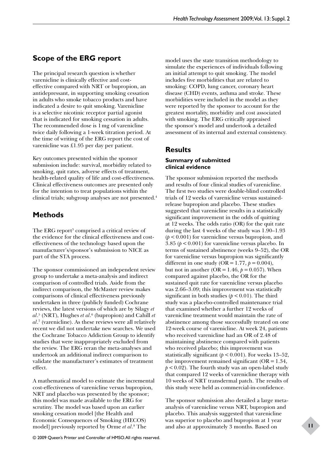## **Scope of the ERG report**

The principal research question is whether varenicline is clinically effective and costeffective compared with NRT or bupropion, an antidepressant, in supporting smoking cessation in adults who smoke tobacco products and have indicated a desire to quit smoking. Varenicline is a selective nicotinic receptor partial agonist that is indicated for smoking cessation in adults. The recommended dose is 1mg of varenicline twice daily following a 1-week titration period. At the time of writing of the ERG report the cost of varenicline was £1.95 per day per patient.

Key outcomes presented within the sponsor submission include: survival, morbidity related to smoking, quit rates, adverse effects of treatment, health-related quality of life and cost-effectiveness. Clinical effectiveness outcomes are presented only for the intention to treat populations within the clinical trials; subgroup analyses are not presented.4

## **Methods**

The ERG report<sup>3</sup> comprised a critical review of the evidence for the clinical effectiveness and costeffectiveness of the technology based upon the manufacturer's/sponsor's submission to NICE as part of the STA process.

The sponsor commissioned an independent review group to undertake a meta-analysis and indirect comparison of controlled trials. Aside from the indirect comparison, the McMaster review makes comparisons of clinical effectiveness previously undertaken in three (publicly funded) Cochrane reviews, the latest versions of which are by Silagy *et al*. 5 (NRT), Hughes *et al*. 6 (bupropion) and Cahill *et al*. 7 (varenicline). As these reviews were all relatively recent we did not undertake new searches. We used the Cochrane Tobacco Addiction Group to identify studies that were inappropriately excluded from the review. The ERG reran the meta-analyses and undertook an additional indirect comparison to validate the manufacturer's estimates of treatment effect.

A mathematical model to estimate the incremental cost-effectiveness of varenicline versus bupropion, NRT and placebo was presented by the sponsor; this model was made available to the ERG for scrutiny. The model was based upon an earlier smoking cessation model [the Health and Economic Consequences of Smoking (HECOS) model] previously reported by Orme *et al*. 8 The

model uses the state transition methodology to simulate the experiences of individuals following an initial attempt to quit smoking. The model includes five morbidities that are related to smoking: COPD, lung cancer, coronary heart disease (CHD) events, asthma and stroke. These morbidities were included in the model as they were reported by the sponsor to account for the greatest mortality, morbidity and cost associated with smoking. The ERG critically appraised the sponsor's model and undertook a detailed assessment of its internal and external consistency.

### **Results**

### **Summary of submitted clinical evidence**

The sponsor submission reported the methods and results of four clinical studies of varenicline. The first two studies were double-blind controlled trials of 12 weeks of varenicline versus sustainedrelease bupropion and placebo. These studies suggested that varenicline results in a statistically significant improvement in the odds of quitting at 12 weeks. The odds ratio (OR) for the quit rate during the last 4 weeks of the study was 1.90–1.93  $(b < 0.001)$  for varenicline versus bupropion, and 3.85  $(p < 0.001)$  for varenicline versus placebo. In terms of sustained abstinence (weeks 9–52), the OR for varenicline versus bupropion was significantly different in one study (OR = 1.77,  $p = 0.004$ ), but not in another ( $OR = 1.46$ ,  $p = 0.057$ ). When compared against placebo, the OR for the sustained quit rate for varenicline versus placebo was 2.66–3.09; this improvement was statistically significant in both studies ( $p < 0.01$ ). The third study was a placebo-controlled maintenance trial that examined whether a further 12 weeks of varenicline treatment would maintain the rate of abstinence among those successfully treated on one 12-week course of varenicline. At week 24, patients who received varenicline had an OR of 2.48 of maintaining abstinence compared with patients who received placebo; this improvement was statistically significant ( $p < 0.001$ ). For weeks 13–52, the improvement remained significant ( $OR = 1.34$ ,  $p < 0.02$ ). The fourth study was an open-label study that compared 12 weeks of varenicline therapy with 10 weeks of NRT transdermal patch. The results of this study were held as commercial-in-confidence.

The sponsor submission also detailed a large metaanalysis of varenicline versus NRT, bupropion and placebo. This analysis suggested that varenicline was superior to placebo and bupropion at 1 year and also at approximately 3 months. Based on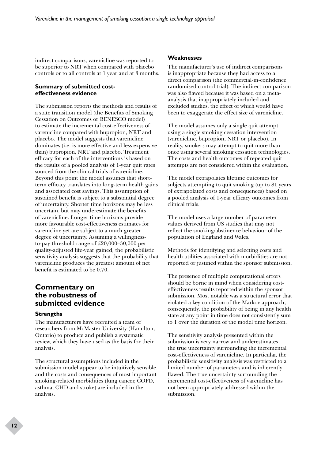indirect comparisons, varenicline was reported to be superior to NRT when compared with placebo controls or to all controls at 1 year and at 3 months.

### **Summary of submitted costeffectiveness evidence**

The submission reports the methods and results of a state transition model (the Benefits of Smoking Cessation on Outcomes or BENESCO model) to estimate the incremental cost-effectiveness of varenicline compared with bupropion, NRT and placebo. The model suggests that varenicline dominates (i.e. is more effective and less expensive than) bupropion, NRT and placebo. Treatment efficacy for each of the interventions is based on the results of a pooled analysis of 1-year quit rates sourced from the clinical trials of varenicline. Beyond this point the model assumes that shortterm efficacy translates into long-term health gains and associated cost savings. This assumption of sustained benefit is subject to a substantial degree of uncertainty. Shorter time horizons may be less uncertain, but may underestimate the benefits of varenicline. Longer time horizons provide more favourable cost-effectiveness estimates for varenicline yet are subject to a much greater degree of uncertainty. Assuming a willingnessto-pay threshold range of £20,000–30,000 per quality-adjusted life-year gained, the probabilistic sensitivity analysis suggests that the probability that varenicline produces the greatest amount of net benefit is estimated to be 0.70.

## **Commentary on the robustness of submitted evidence**

### **Strengths**

The manufacturers have recruited a team of researchers from McMaster University (Hamilton, Ontario) to produce and publish a systematic review, which they have used as the basis for their analysis.

The structural assumptions included in the submission model appear to be intuitively sensible, and the costs and consequences of most important smoking-related morbidities (lung cancer, COPD, asthma, CHD and stroke) are included in the analysis.

#### **Weaknesses**

The manufacturer's use of indirect comparisons is inappropriate because they had access to a direct comparison (the commercial-in-confidence randomised control trial). The indirect comparison was also flawed because it was based on a metaanalysis that inappropriately included and excluded studies, the effect of which would have been to exaggerate the effect size of varenicline.

The model assumes only a single quit attempt using a single smoking cessation intervention (varenicline, bupropion, NRT or placebo). In reality, smokers may attempt to quit more than once using several smoking cessation technologies. The costs and health outcomes of repeated quit attempts are not considered within the evaluation.

The model extrapolates lifetime outcomes for subjects attempting to quit smoking (up to 81 years of extrapolated costs and consequences) based on a pooled analysis of 1-year efficacy outcomes from clinical trials.

The model uses a large number of parameter values derived from US studies that may not reflect the smoking/abstinence behaviour of the population of England and Wales.

Methods for identifying and selecting costs and health utilities associated with morbidities are not reported or justified within the sponsor submission.

The presence of multiple computational errors should be borne in mind when considering costeffectiveness results reported within the sponsor submission. Most notable was a structural error that violated a key condition of the Markov approach; consequently, the probability of being in any health state at any point in time does not consistently sum to 1 over the duration of the model time horizon.

The sensitivity analysis presented within the submission is very narrow and underestimates the true uncertainty surrounding the incremental cost-effectiveness of varenicline. In particular, the probabilistic sensitivity analysis was restricted to a limited number of parameters and is inherently flawed. The true uncertainty surrounding the incremental cost-effectiveness of varenicline has not been appropriately addressed within the submission.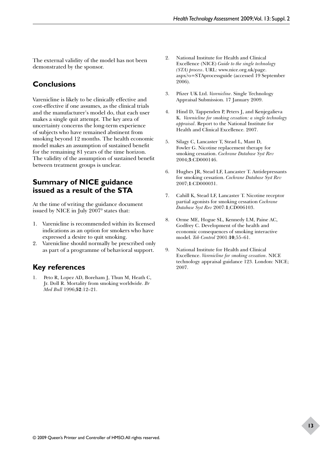The external validity of the model has not been demonstrated by the sponsor.

# **Conclusions**

Varenicline is likely to be clinically effective and cost-effective if one assumes, as the clinical trials and the manufacturer's model do, that each user makes a single quit attempt. The key area of uncertainty concerns the long-term experience of subjects who have remained abstinent from smoking beyond 12 months. The health economic model makes an assumption of sustained benefit for the remaining 81 years of the time horizon. The validity of the assumption of sustained benefit between treatment groups is unclear.

### **Summary of NICE guidance issued as a result of the STA**

At the time of writing the guidance document issued by NICE in July 20079 states that:

- 1. Varenicline is recommended within its licensed indications as an option for smokers who have expressed a desire to quit smoking.
- 2. Varenicline should normally be prescribed only as part of a programme of behavioral support.

### **Key references**

1. Peto R, Lopez AD, Boreham J, Thun M, Heath C, Jr. Doll R. Mortality from smoking worldwide. *Br Med Bull* 1996;**52**:12–21.

- 2. National Institute for Health and Clinical Excellence (NICE) *Guide to the single technology (STA) process*. URL: www.nice.org.uk/page. aspx?o=STAprocessguide (accessed 19 September 2006).
- 3. Pfizer UK Ltd. *Varenicline*. Single Technology Appraisal Submission. 17 January 2009.
- 4. Hind D, Tappenden P, Peters J, and Kenjegalieva K. *Varenicline for smoking cessation: a single technology appraisal*. Report to the National Institute for Health and Clinical Excellence. 2007.
- 5. Silagy C, Lancaster T, Stead L, Mant D, Fowler G. Nicotine replacement therapy for smoking cessation. *Cochrane Database Syst Rev* 2004;**3**:CD000146.
- 6. Hughes JR, Stead LF, Lancaster T. Antidepressants for smoking cessation. *Cochrane Database Syst Rev* 2007;**1**:CD000031.
- 7. Cahill K, Stead LF, Lancaster T. Nicotine receptor partial agonists for smoking cessation *Cochrane Database Syst Rev* 2007:**1**;CD006103.
- 8. Orme ME, Hogue SL, Kennedy LM, Paine AC, Godfrey C. Development of the health and economic consequences of smoking interactive model. *Tob Control* 2001:**10**;55–61.
- 9. National Institute for Health and Clinical Excellence. *Varenicline for smoking cessation*. NICE technology appraisal guidance 123. London: NICE; 2007.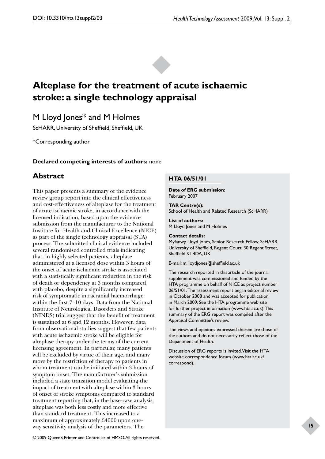

# <span id="page-20-0"></span>**Alteplase for the treatment of acute ischaemic stroke: a single technology appraisal**

M Lloyd Jones\* and M Holmes

ScHARR, University of Sheffield, Sheffield, UK

\*Corresponding author

### **Declared competing interests of authors:** none

# **Abstract**

This paper presents a summary of the evidence review group report into the clinical effectiveness and cost-effectiveness of alteplase for the treatment of acute ischaemic stroke, in accordance with the licensed indication, based upon the evidence submission from the manufacturer to the National Institute for Health and Clinical Excellence (NICE) as part of the single technology appraisal (STA) process. The submitted clinical evidence included several randomised controlled trials indicating that, in highly selected patients, alteplase administered at a licensed dose within 3 hours of the onset of acute ischaemic stroke is associated with a statistically significant reduction in the risk of death or dependency at 3 months compared with placebo, despite a significantly increased risk of symptomatic intracranial haemorrhage within the first 7–10 days. Data from the National Institute of Neurological Disorders and Stroke (NINDS) trial suggest that the benefit of treatment is sustained at 6 and 12 months. However, data from observational studies suggest that few patients with acute ischaemic stroke will be eligible for alteplase therapy under the terms of the current licensing agreement. In particular, many patients will be excluded by virtue of their age, and many more by the restriction of therapy to patients in whom treatment can be initiated within 3 hours of symptom onset. The manufacturer's submission included a state transition model evaluating the impact of treatment with alteplase within 3 hours of onset of stroke symptoms compared to standard treatment reporting that, in the base-case analysis, alteplase was both less costly and more effective than standard treatment. This increased to a maximum of approximately £4000 upon oneway sensitivity analysis of the parameters. The

### **HTA 06/51/01**

**Date of ERG submission:**  February 2007

**TAR Centre(s):** School of Health and Related Research (ScHARR)

**List of authors:** M Lloyd Jones and M Holmes

#### **Contact details:**

Myfanwy Lloyd Jones, Senior Research Fellow, ScHARR, University of Sheffield, Regent Court, 30 Regent Street, Sheffield S1 4DA, UK

E-mail: m.lloydjones@sheffield.ac.uk

The research reported in this article of the journal supplement was commissioned and funded by the HTA programme on behalf of NICE as project number 06/51/01. The assessment report began editorial review in October 2008 and was accepted for publication in March 2009. See the HTA programme web site for further project information (www.hta.ac.uk). This summary of the ERG report was compiled after the Appraisal Committee's review.

The views and opinions expressed therein are those of the authors and do not necessarily reflect those of the Department of Health.

Discussion of ERG reports is invited. Visit the HTA website correspondence forum (www.hta.ac.uk/ correspond).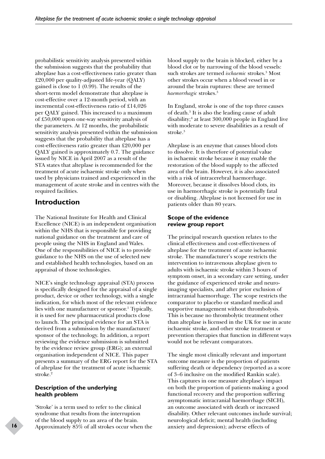probabilistic sensitivity analysis presented within the submission suggests that the probability that alteplase has a cost-effectiveness ratio greater than £20,000 per quality-adjusted life-year (QALY) gained is close to 1 (0.99). The results of the short-term model demonstrate that alteplase is cost-effective over a 12-month period, with an incremental cost-effectiveness ratio of £14,026 per QALY gained. This increased to a maximum of £50,000 upon one-way sensitivity analysis of the parameters. At 12 months, the probabilistic sensitivity analysis presented within the submission suggests that the probability that alteplase has a cost-effectiveness ratio greater than £20,000 per QALY gained is approximately 0.7. The guidance issued by NICE in April 2007 as a result of the STA states that alteplase is recommended for the treatment of acute ischaemic stroke only when used by physicians trained and experienced in the management of acute stroke and in centres with the required facilities.

## **Introduction**

The National Institute for Health and Clinical Excellence (NICE) is an independent organisation within the NHS that is responsible for providing national guidance on the treatment and care of people using the NHS in England and Wales. One of the responsibilities of NICE is to provide guidance to the NHS on the use of selected new and established health technologies, based on an appraisal of those technologies.

NICE's single technology appraisal (STA) process is specifically designed for the appraisal of a single product, device or other technology, with a single indication, for which most of the relevant evidence lies with one manufacturer or sponsor.<sup>1</sup> Typically, it is used for new pharmaceutical products close to launch. The principal evidence for an STA is derived from a submission by the manufacturer/ sponsor of the technology. In addition, a report reviewing the evidence submission is submitted by the evidence review group (ERG); an external organisation independent of NICE. This paper presents a summary of the ERG report for the STA of alteplase for the treatment of acute ischaemic stroke<sup>2</sup>

### **Description of the underlying health problem**

'Stroke' is a term used to refer to the clinical syndrome that results from the interruption of the blood supply to an area of the brain. Approximately 85% of all strokes occur when the

blood supply to the brain is blocked, either by a blood clot or by narrowing of the blood vessels: such strokes are termed *ischaemic* strokes.3 Most other strokes occur when a blood vessel in or around the brain ruptures: these are termed *haemorrhagic* strokes.3

In England, stroke is one of the top three causes of death.3 It is also the leading cause of adult disability;4 at least 300,000 people in England live with moderate to severe disabilities as a result of stroke.3

Alteplase is an enzyme that causes blood clots to dissolve. It is therefore of potential value in ischaemic stroke because it may enable the restoration of the blood supply to the affected area of the brain. However, it is also associated with a risk of intracerebral haemorrhage. Moreover, because it dissolves blood clots, its use in haemorrhagic stroke is potentially fatal or disabling. Alteplase is not licensed for use in patients older than 80 years.

### **Scope of the evidence review group report**

The principal research question relates to the clinical effectiveness and cost-effectiveness of alteplase for the treatment of acute ischaemic stroke. The manufacturer's scope restricts the intervention to intravenous alteplase given to adults with ischaemic stroke within 3 hours of symptom onset, in a secondary care setting, under the guidance of experienced stroke and neuroimaging specialists, and after prior exclusion of intracranial haemorrhage. The scope restricts the comparator to placebo or standard medical and supportive management without thrombolysis. This is because no thrombolytic treatment other than alteplase is licensed in the UK for use in acute ischaemic stroke, and other stroke treatment or prevention therapies that function in different ways would not be relevant comparators.

The single most clinically relevant and important outcome measure is the proportion of patients suffering death or dependency (reported as a score of 3–6 inclusive on the modified Rankin scale). This captures in one measure alteplase's impact on both the proportion of patients making a good functional recovery and the proportion suffering asymptomatic intracranial haemorrhage (SICH), an outcome associated with death or increased disability. Other relevant outcomes include survival; neurological deficit; mental health (including anxiety and depression); adverse effects of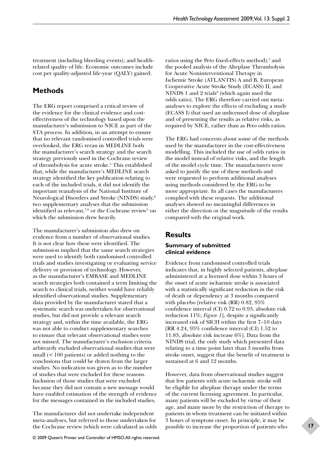treatment (including bleeding events); and healthrelated quality of life. Economic outcomes include cost per quality-adjusted life-year (QALY) gained.

# **Methods**

The ERG report comprised a critical review of the evidence for the clinical evidence and costeffectiveness of the technology based upon the manufacturer's submission to NICE as part of the STA process. In addition, in an attempt to ensure that no relevant randomised controlled trials were overlooked, the ERG reran in MEDLINE both the manufacturer's search strategy and the search strategy previously used in the Cochrane review of thrombolysis for acute stroke.<sup>5</sup> This established that, while the manufacturer's MEDLINE search strategy identified the key publication relating to each of the included trials, it did not identify the important reanalysis of the National Institute of Neurological Disorders and Stroke (NINDS) study,6 two supplementary analyses that the submission identified as relevant,<sup>7,8</sup> or the Cochrane review<sup>5</sup> on which the submission drew heavily.

The manufacturer's submission also drew on evidence from a number of observational studies. It is not clear how these were identified. The submission implied that the same search strategies were used to identify both randomised controlled trials and studies investigating or evaluating service delivery or provision of technology. However, as the manufacturer's EMBASE and MEDLINE search strategies both contained a term limiting the search to clinical trials, neither would have reliably identified observational studies. Supplementary data provided by the manufacturer stated that a systematic search was undertaken for observational studies, but did not provide a relevant search strategy and, within the time available, the ERG was not able to conduct supplementary searches to ensure that relevant observational studies were not missed. The manufacturer's exclusion criteria arbitrarily excluded observational studies that were small  $(< 100$  patients) or added nothing to the conclusions that could be drawn from the larger studies. No indication was given as to the number of studies that were excluded for these reasons. Inclusion of those studies that were excluded because they did not contain a new message would have enabled estimation of the strength of evidence for the messages contained in the included studies.

The manufacturer did not undertake independent meta-analyses, but referred to those undertaken for the Cochrane review (which were calculated as odds

ratios using the Peto fixed-effects method),<sup>5</sup> and the pooled analysis of the Alteplase Thrombolysis for Acute Noninterventional Therapy in Ischemic Stroke (ATLANTIS) A and B, European Cooperative Acute Stroke Study (ECASS) II, and NINDS 1 and 2 trials $\delta$  (which again used the odds ratio). The ERG therefore carried out metaanalyses to explore the effects of excluding a study (ECASS I) that used an unlicensed dose of alteplase and of presenting the results as relative risks, as required by NICE, rather than as Peto odds ratios.

The ERG had concerns about some of the methods used by the manufacturer in the cost-effectiveness modelling. This included the use of odds ratios in the model instead of relative risks, and the length of the model cycle time. The manufacturers were asked to justify the use of these methods and were requested to perform additional analyses using methods considered by the ERG to be more appropriate. In all cases the manufacturers complied with these requests. The additional analyses showed no meaningful differences in either the direction or the magnitude of the results compared with the original work.

## **Results**

### **Summary of submitted clinical evidence**

Evidence from randomised controlled trials indicates that, in highly selected patients, alteplase administered at a licensed dose within 3 hours of the onset of acute ischaemic stroke is associated with a statistically significant reduction in the risk of death or dependency at 3 months compared with placebo [relative risk (RR) 0.82, 95% confidence interval (CI) 0.72 to 0.93, absolute risk reduction 11%; *Figure 1*], despite a significantly increased risk of SICH within the first 7–10 days [RR 4.24, 95% confidence interval (CI) 1.52 to 11.83, absolute risk increase 6%]. Data from the NINDS trial, the only study which presented data relating to a time point later than 3 months from stroke onset, suggest that the benefit of treatment is sustained at 6 and 12 months.

However, data from observational studies suggest that few patients with acute ischaemic stroke will be eligible for alteplase therapy under the terms of the current licensing agreement. In particular, many patients will be excluded by virtue of their age, and many more by the restriction of therapy to patients in whom treatment can be initiated within 3 hours of symptom onset. In principle, it may be possible to increase the proportion of patients who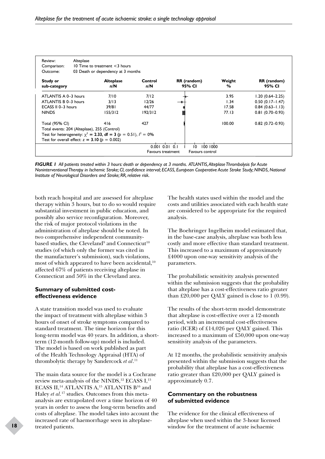| Review:<br>Comparison:                              | Alteplase | 10 Time to treatment $<$ 3 hours                                       |                                                  |                                          |             |                       |
|-----------------------------------------------------|-----------|------------------------------------------------------------------------|--------------------------------------------------|------------------------------------------|-------------|-----------------------|
| Outcome:                                            |           | 03 Death or dependency at 3 months                                     |                                                  |                                          |             |                       |
| <b>Study or</b><br>sub-category                     |           | <b>Alteplase</b><br>n/N                                                | Control<br>n/N                                   | RR (random)<br>95% CI                    | Weight<br>% | RR (random)<br>95% CI |
| ATLANTIS A 0-3 hours                                |           | 7/10                                                                   | 7/12                                             |                                          | 3.95        | $1.20(0.64 - 2.25)$   |
| ATLANTIS B 0-3 hours                                |           | 3/13                                                                   | 12/26                                            |                                          | 1.34        | $0.50(0.17 - 1.47)$   |
| ECASS II 0-3 hours                                  |           | 39/81                                                                  | 44/77                                            |                                          | 17.58       | $0.84(0.63 - 1.13)$   |
| <b>NINDS</b>                                        |           | 155/312                                                                | 192/312                                          |                                          | 77.13       | $0.81(0.70 - 0.93)$   |
| Total (95% CI)                                      |           | 416                                                                    | 427                                              |                                          | 100.00      | $0.82(0.72 - 0.93)$   |
| Total events: 204 (Alteplase), 255 (Control)        |           |                                                                        |                                                  |                                          |             |                       |
|                                                     |           | Test for heterogeneity: $\chi^2$ = 2.33, df = 3 (p = 0.51), $l^2$ = 0% |                                                  |                                          |             |                       |
| Test for overall effect: $z = 3.10$ ( $p = 0.002$ ) |           |                                                                        |                                                  |                                          |             |                       |
|                                                     |           |                                                                        | $0.001$ $0.01$ $0.1$<br><b>Favours treatment</b> | 100 1000<br>10<br><b>Favours control</b> |             |                       |



both reach hospital and are assessed for alteplase therapy within 3 hours, but to do so would require substantial investment in public education, and possibly also service reconfiguration. Moreover, the risk of major protocol violations in the administration of alteplase should be noted. In two comprehensive independent communitybased studies, the Cleveland $^9$  and Connecticut $^{10}$ studies (of which only the former was cited in the manufacturer's submission), such violations, most of which appeared to have been accidental,<sup>10</sup> affected 67% of patients receiving alteplase in Connecticut and 50% in the Cleveland area.

### **Summary of submitted costeffectiveness evidence**

A state transition model was used to evaluate the impact of treatment with alteplase within 3 hours of onset of stroke symptoms compared to standard treatment. The time horizon for this long-term model was 40 years. In addition, a shortterm (12-month follow-up) model is included. The model is based on work published as part of the Health Technology Appraisal (HTA) of thrombolytic therapy by Sandercock *et al*. 11

The main data source for the model is a Cochrane review meta-analysis of the NINDS.<sup>12</sup> ECASS I.<sup>13</sup> ECASS II,<sup>14</sup> ATLANTIS A,<sup>15</sup> ATLANTIS B<sup>16</sup> and Haley *et al.*<sup>17</sup> studies. Outcomes from this metaanalysis are extrapolated over a time horizon of 40 years in order to assess the long-term benefits and costs of alteplase. The model takes into account the increased rate of haemorrhage seen in alteplasetreated patients.

The health states used within the model and the costs and utilities associated with each health state are considered to be appropriate for the required analysis.

The Boehringer Ingelheim model estimated that, in the base-case analysis, alteplase was both less costly and more effective than standard treatment. This increased to a maximum of approximately £4000 upon one-way sensitivity analysis of the parameters.

The probabilistic sensitivity analysis presented within the submission suggests that the probability that alteplase has a cost-effectiveness ratio greater than £20,000 per QALY gained is close to  $1(0.99)$ .

The results of the short-term model demonstrate that alteplase is cost-effective over a 12-month period, with an incremental cost-effectiveness ratio (ICER) of £14,026 per QALY gained. This increased to a maximum of £50,000 upon one-way sensitivity analysis of the parameters.

At 12 months, the probabilistic sensitivity analysis presented within the submission suggests that the probability that alteplase has a cost-effectiveness ratio greater than £20,000 per QALY gained is approximately 0.7.

### **Commentary on the robustness of submitted evidence**

The evidence for the clinical effectiveness of alteplase when used within the 3-hour licensed window for the treatment of acute ischaemic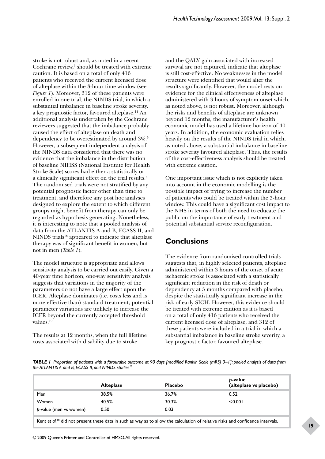stroke is not robust and, as noted in a recent Cochrane review,<sup>5</sup> should be treated with extreme caution. It is based on a total of only 416 patients who received the current licensed dose of alteplase within the 3-hour time window (see *Figure 1*). Moreover, 312 of these patients were enrolled in one trial, the NINDS trial, in which a substantial imbalance in baseline stroke severity, a key prognostic factor, favoured alteplase.11 An additional analysis undertaken by the Cochrane reviewers suggested that the imbalance probably caused the effect of alteplase on death and dependency to be overestimated by around  $3\%$ .<sup>5</sup> However, a subsequent independent analysis of the NINDS data considered that there was no evidence that the imbalance in the distribution of baseline NIHSS (National Institute for Health Stroke Scale) scores had either a statistically or a clinically significant effect on the trial results.6 The randomised trials were not stratified by any potential prognostic factor other than time to treatment, and therefore any post hoc analyses designed to explore the extent to which different groups might benefit from therapy can only be regarded as hypothesis generating. Nonetheless, it is interesting to note that a pooled analysis of data from the ATLANTIS A and B, ECASS II, and NINDS trials<sup>18</sup> appeared to indicate that alteplase therapy was of significant benefit in women, but not in men (*Table 1*).

The model structure is appropriate and allows sensitivity analysis to be carried out easily. Given a 40-year time horizon, one-way sensitivity analysis suggests that variations in the majority of the parameters do not have a large effect upon the ICER. Alteplase dominates (i.e. costs less and is more effective than) standard treatment; potential parameter variations are unlikely to increase the ICER beyond the currently accepted threshold values.19

The results at 12 months, when the full lifetime costs associated with disability due to stroke

and the QALY gain associated with increased survival are not captured, indicate that alteplase is still cost-effective. No weaknesses in the model structure were identified that would alter the results significantly. However, the model rests on evidence for the clinical effectiveness of alteplase administered with 3 hours of symptom onset which, as noted above, is not robust. Moreover, although the risks and benefits of alteplase are unknown beyond 12 months, the manufacturer's health economic model has used a lifetime horizon of 40 years. In addition, the economic evaluation relies heavily on the results of the NINDS trial in which, as noted above, a substantial imbalance in baseline stroke severity favoured alteplase. Thus, the results of the cost-effectiveness analysis should be treated with extreme caution.

One important issue which is not explicitly taken into account in the economic modelling is the possible impact of trying to increase the number of patients who could be treated within the 3-hour window. This could have a significant cost impact to the NHS in terms of both the need to educate the public on the importance of early treatment and potential substantial service reconfiguration.

# **Conclusions**

The evidence from randomised controlled trials suggests that, in highly selected patients, alteplase administered within 3 hours of the onset of acute ischaemic stroke is associated with a statistically significant reduction in the risk of death or dependency at 3 months compared with placebo, despite the statistically significant increase in the risk of early SICH. However, this evidence should be treated with extreme caution as it is based on a total of only 416 patients who received the current licensed dose of alteplase, and 312 of these patients were included in a trial in which a substantial imbalance in baseline stroke severity, a key prognostic factor, favoured alteplase.

*TABLE 1 Proportion of patients with a favourable outcome at 90 days [modified Rankin Scale (mRS) 0–1]: pooled analysis of data from the ATLANTIS A and B, ECASS II, and NINDS studies18*

|                           | <b>Alteplase</b> | <b>Placebo</b> | p-value<br>(alteplase vs placebo) |
|---------------------------|------------------|----------------|-----------------------------------|
| Men                       | 38.5%            | 36.7%          | 0.52                              |
| Women                     | 40.5%            | 30.3%          | < 0.001                           |
| $p$ -value (men vs women) | 0.50             | 0.03           |                                   |
|                           |                  |                |                                   |

Kent *et al.*<sup>18</sup> did not present these data in such as way as to allow the calculation of relative risks and confidence intervals.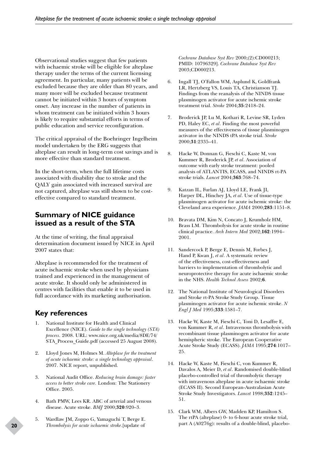Observational studies suggest that few patients with ischaemic stroke will be eligible for alteplase therapy under the terms of the current licensing agreement. In particular, many patients will be excluded because they are older than 80 years, and many more will be excluded because treatment cannot be initiated within 3 hours of symptom onset. Any increase in the number of patients in whom treatment can be initiated within 3 hours is likely to require substantial efforts in terms of public education and service reconfiguration.

The critical appraisal of the Boehringer Ingelheim model undertaken by the ERG suggests that alteplase can result in long-term cost savings and is more effective than standard treatment.

In the short-term, when the full lifetime costs associated with disability due to stroke and the QALY gain associated with increased survival are not captured, alteplase was still shown to be costeffective compared to standard treatment.

# **Summary of NICE guidance issued as a result of the STA**

At the time of writing, the final appraisal determination document issued by NICE in April 2007 states that:

Alteplase is recommended for the treatment of acute ischaemic stroke when used by physicians trained and experienced in the management of acute stroke. It should only be administered in centres with facilities that enable it to be used in full accordance with its marketing authorisation.

# **Key references**

- 1. National Institute for Health and Clinical Excellence (NICE). *Guide to the single technology (STA) process.* 2008. URL: www.nice.org.uk/media/8DE/74/ STA\_Process\_Guide.pdf (accessed 25 August 2008).
- 2. Lloyd Jones M, Holmes M. *Alteplase for the treatment of acute ischaemic stroke: a single technology appraisal*. 2007. NICE report, unpublished.
- 3. National Audit Office. *Reducing brain damage: faster access to better stroke care.* London: The Stationery Office. 2005.
- 4. Bath PMW, Lees KR. ABC of arterial and venous disease. Acute stroke. *BMJ* 2000;**320**:920–3.
- 5. Wardlaw JM, Zoppo G, Yamaguchi T, Berge E. *Thrombolysis for acute ischaemic stroke*.[update of

*Cochrane Database Syst Rev* 2000;(2):CD000213; PMID: 10796329]. *Cochrane Database Syst Rev* 2003;CD000213.

- 6. Ingall TJ, O'Fallon WM, Asplund K, Goldfrank LR, Hertzberg VS, Louis TA, Christianson TJ. Findings from the reanalysis of the NINDS tissue plasminogen activator for acute ischemic stroke treatment trial. *Stroke* 2004;**35**:2418–24.
- 7. Broderick JP, Lu M, Kothari R, Levine SR, Lyden PD, Haley EC, *et al*. Finding the most powerful measures of the effectiveness of tissue plasminogen activator in the NINDS tPA stroke trial. *Stroke* 2000;**31**:2335–41.
- 8. Hacke W, Donnan G, Fieschi C, Kaste M, von Kummer R, Broderick JP, *et al*. Association of outcome with early stroke treatment: pooled analysis of ATLANTIS, ECASS, and NINDS rt-PA stroke trials. *Lancet* 2004;**363**:768–74.
- 9. Katzan IL, Furlan AJ, Lloyd LE, Frank JI, Harper DL, Hinchey JA, *et al*. Use of tissue-type plasminogen activator for acute ischemic stroke: the Cleveland area experience. *JAMA* 2000;**283**:1151–8.
- 10. Bravata DM, Kim N, Concato J, Krumholz HM, Brass LM. Thrombolysis for acute stroke in routine clinical practice. *Arch Intern Med* 2002;**162**:1994– 2001.
- 11. Sandercock P, Berge E, Dennis M, Forbes J, Hand P, Kwan J, *et al*. A systematic review of the effectiveness, cost-effectiveness and barriers to implementation of thrombolytic and neuroprotective therapy for acute ischaemic stroke in the NHS. *Health Technol Assess* 2002;**6**.
- 12. The National Institute of Neurological Disorders and Stroke rt-PA Stroke Study Group. Tissue plasminogen activator for acute ischemic stroke. *N Engl J Med* 1995;**333**:1581–7.
- 13. Hacke W, Kaste M, Fieschi C, Toni D, Lesaffre E, von Kummer R, *et al*. Intravenous thrombolysis with recombinant tissue plasminogen activator for acute hemispheric stroke. The European Cooperative Acute Stroke Study (ECASS). *JAMA* 1995;**274**:1017– 25.
- 14. Hacke W, Kaste M, Fieschi C, von Kummer R, Davalos A, Meier D, *et al*. Randomised double-blind placebo-controlled trial of thrombolytic therapy with intravenous alteplase in acute ischaemic stroke (ECASS II). Second European-Australasian Acute Stroke Study Investigators. *Lancet* 1998;**352**:1245– 51.
- 15. Clark WM, Albers GW, Madden KP, Hamilton S. The rtPA (alteplase) 0- to 6-hour acute stroke trial, part A (A0276g): results of a double-blind, placebo-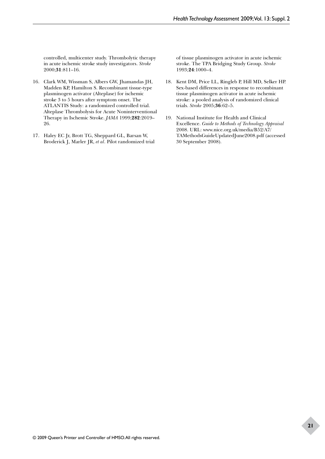controlled, multicenter study. Thrombolytic therapy in acute ischemic stroke study investigators. *Stroke* 2000;**31**:811–16.

- 16. Clark WM, Wissman S, Albers GW, Jhamandas JH, Madden KP, Hamilton S. Recombinant tissue-type plasminogen activator (Alteplase) for ischemic stroke 3 to 5 hours after symptom onset. The ATLANTIS Study: a randomized controlled trial. Alteplase Thrombolysis for Acute Noninterventional Therapy in Ischemic Stroke. *JAMA* 1999;**282**:2019– 26.
- 17. Haley EC Jr, Brott TG, Sheppard GL, Barsan W, Broderick J, Marler JR, *et al*. Pilot randomized trial

of tissue plasminogen activator in acute ischemic stroke. The TPA Bridging Study Group. *Stroke* 1993;**24**:1000–4.

- 18. Kent DM, Price LL, Ringleb P, Hill MD, Selker HP. Sex-based differences in response to recombinant tissue plasminogen activator in acute ischemic stroke: a pooled analysis of randomized clinical trials. *Stroke* 2005;**36**:62–5.
- 19. National Institute for Health and Clinical Excellence. *Guide to Methods of Technology Appraisal* 2008. URL: www.nice.org.uk/media/B52/A7/ TAMethodsGuideUpdatedJune2008.pdf (accessed 30 September 2008).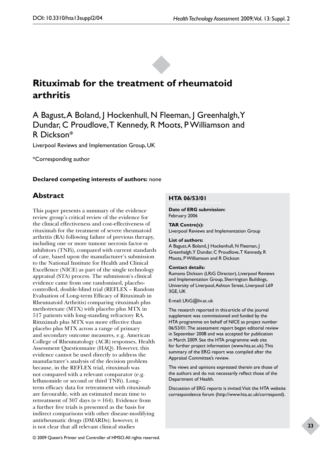

# <span id="page-28-0"></span>**Rituximab for the treatment of rheumatoid arthritis**

A Bagust, A Boland, J Hockenhull, N Fleeman, J Greenhalgh, Y Dundar, C Proudlove, T Kennedy, R Moots, P Williamson and R Dickson\*

Liverpool Reviews and Implementation Group, UK

\*Corresponding author

### **Declared competing interests of authors:** none

# **Abstract**

This paper presents a summary of the evidence review group's critical review of the evidence for the clinical effectiveness and cost-effectiveness of rituximab for the treatment of severe rheumatoid arthritis (RA) following failure of previous therapy, including one or more tumour necrosis factor- $\alpha$ inhibitors (TNFi), compared with current standards of care, based upon the manufacturer's submission to the National Institute for Health and Clinical Excellence (NICE) as part of the single technology appraisal (STA) process. The submission's clinical evidence came from one randomised, placebocontrolled, double-blind trial (REFLEX – Random Evaluation of Long-term Efficacy of Rituximab in Rheumatoid Arthritis) comparing rituximab plus methotrexate (MTX) with placebo plus MTX in 517 patients with long-standing refractory RA. Rituximab plus MTX was more effective than placebo plus MTX across a range of primary and secondary outcome measures, e.g. American College of Rheumatology (ACR) responses, Health Assessment Questionnaire (HAQ). However, this evidence cannot be used directly to address the manufacturer's analysis of the decision problem because, in the REFLEX trial, rituximab was not compared with a relevant comparator (e.g. leflunomide or second or third TNFi). Longterm efficacy data for retreatment with rituximab are favourable, with an estimated mean time to retreatment of 307 days ( $n = 164$ ). Evidence from a further five trials is presented as the basis for indirect comparisons with other disease-modifying antirheumatic drugs (DMARDs); however, it is not clear that all relevant clinical studies

### **HTA 06/53/01**

**Date of ERG submission:** February 2006

**TAR Centre(s):** Liverpool Reviews and Implementation Group

#### **List of authors:**

A Bagust, A Boland, | Hockenhull, N Fleeman, | Greenhalgh, Y Dundar, C Proudlove, T Kennedy, R Moots, P Williamson and R Dickson

#### **Contact details:**

Rumona Dickson (LRiG Director), Liverpool Reviews and Implementation Group, Sherrington Buildings, University of Liverpool, Ashton Street, Liverpool L69 3GE, UK

E-mail: LRiG@liv.ac.uk

The research reported in this article of the journal supplement was commissioned and funded by the HTA programme on behalf of NICE as project number 06/53/01. The assessment report began editorial review in September 2008 and was accepted for publication in March 2009. See the HTA programme web site for further project information (www.hta.ac.uk). This summary of the ERG report was compiled after the Appraisal Committee's review.

The views and opinions expressed therein are those of the authors and do not necessarily reflect those of the Department of Health.

Discussion of ERG reports is invited. Visit the HTA website correspondence forum (http://www.hta.ac.uk/correspond).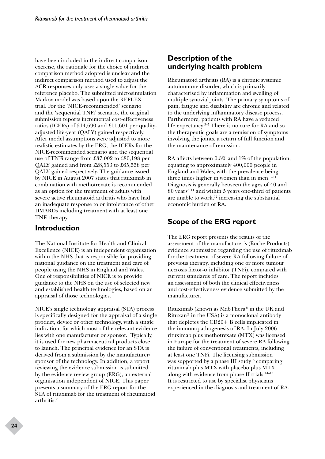have been included in the indirect comparison exercise, the rationale for the choice of indirect comparison method adopted is unclear and the indirect comparison method used to adjust the ACR responses only uses a single value for the reference placebo. The submitted microsimulation Markov model was based upon the REFLEX trial. For the 'NICE-recommended' scenario and the 'sequential TNFi' scenario, the original submission reports incremental cost-effectiveness ratios (ICERs) of £14,690 and £11,601 per qualityadjusted life-year (QALY) gained respectively. After model assumptions were adjusted to more realistic estimates by the ERG, the ICERs for the NICE-recommended scenario and the sequential use of TNFi range from £37,002 to £80,198 per QALY gained and from £28,553 to £65,558 per QALY gained respectively. The guidance issued by NICE in August 2007 states that rituximab in combination with methotrexate is recommended as an option for the treatment of adults with severe active rheumatoid arthritis who have had an inadequate response to or intolerance of other DMARDs including treatment with at least one TNFi therapy.

# **Introduction**

The National Institute for Health and Clinical Excellence (NICE) is an independent organisation within the NHS that is responsible for providing national guidance on the treatment and care of people using the NHS in England and Wales. One of responsibilities of NICE is to provide guidance to the NHS on the use of selected new and established health technologies, based on an appraisal of those technologies.

NICE's single technology appraisal (STA) process is specifically designed for the appraisal of a single product, device or other technology, with a single indication, for which most of the relevant evidence lies with one manufacturer or sponsor.<sup>1</sup> Typically, it is used for new pharmaceutical products close to launch. The principal evidence for an STA is derived from a submission by the manufacturer/ sponsor of the technology. In addition, a report reviewing the evidence submission is submitted by the evidence review group (ERG), an external organisation independent of NICE. This paper presents a summary of the ERG report for the STA of rituximab for the treatment of rheumatoid arthritis.2

# **Description of the underlying health problem**

Rheumatoid arthritis (RA) is a chronic systemic autoimmune disorder, which is primarily characterised by inflammation and swelling of multiple synovial joints. The primary symptoms of pain, fatigue and disability are chronic and related to the underlying inflammatory disease process. Furthermore, patients with RA have a reduced life expectancy.<sup>3-7</sup> There is no cure for RA and so the therapeutic goals are a remission of symptoms involving the joints, a return of full function and the maintenance of remission.

RA affects between 0.5% and 1% of the population, equating to approximately 400,000 people in England and Wales, with the prevalence being three times higher in women than in men. $8-11$ Diagnosis is generally between the ages of 40 and  $80$  years<sup>8–11</sup> and within 5 years one-third of patients are unable to work,<sup>12</sup> increasing the substantial economic burden of RA.

# **Scope of the ERG report**

The ERG report presents the results of the assessment of the manufacturer's (Roche Products) evidence submission regarding the use of rituximab for the treatment of severe RA following failure of previous therapy, including one or more tumour necrosis factor-α inhibitor (TNFi), compared with current standards of care. The report includes an assessment of both the clinical effectiveness and cost-effectiveness evidence submitted by the manufacturer.

Rituximab (known as MabThera® in the UK and Rituxan® in the USA) is a monoclonal antibody that depletes the CD20+ B cells implicated in the immunopathogenesis of RA. In July 2006 rituximab plus methotrexate (MTX) was licensed in Europe for the treatment of severe RA following the failure of conventional treatments, including at least one TNFi. The licensing submission was supported by a phase III study<sup>13</sup> comparing rituximab plus MTX with placebo plus MTX along with evidence from phase II trials.<sup>14-15</sup> It is restricted to use by specialist physicians experienced in the diagnosis and treatment of RA.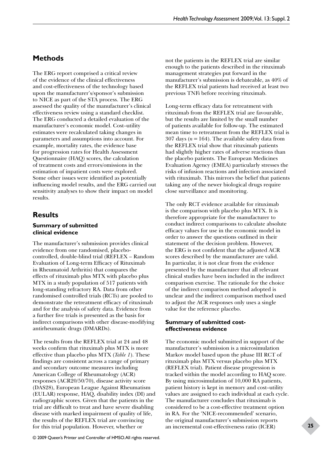# **Methods**

The ERG report comprised a critical review of the evidence of the clinical effectiveness and cost-effectiveness of the technology based upon the manufacturer's/sponsor's submission to NICE as part of the STA process. The ERG assessed the quality of the manufacturer's clinical effectiveness review using a standard checklist. The ERG conducted a detailed evaluation of the manufacturer's economic model. Cost–utility estimates were recalculated taking changes in parameters and assumptions into account. For example, mortality rates, the evidence base for progression rates for Health Assessment Questionnaire (HAQ) scores, the calculation of treatment costs and errors/omissions in the estimation of inpatient costs were explored. Some other issues were identified as potentially influencing model results, and the ERG carried out sensitivity analyses to show their impact on model results.

# **Results**

### **Summary of submitted clinical evidence**

The manufacturer's submission provides clinical evidence from one randomised, placebocontrolled, double-blind trial (REFLEX – Random Evaluation of Long-term Efficacy of Rituximab in Rheumatoid Arthritis) that compares the effects of rituximab plus MTX with placebo plus MTX in a study population of 517 patients with long-standing refractory RA. Data from other randomised controlled trials (RCTs) are pooled to demonstrate the retreatment efficacy of rituximab and for the analysis of safety data. Evidence from a further five trials is presented as the basis for indirect comparisons with other disease-modifying antirheumatic drugs (DMARDs).

The results from the REFLEX trial at 24 and 48 weeks confirm that rituximab plus MTX is more effective than placebo plus MTX (*Table 1*). These findings are consistent across a range of primary and secondary outcome measures including American College of Rheumatology (ACR) responses (ACR20/50/70), disease activity score (DAS28), European League Against Rheumatism (EULAR) response, HAQ, disability index (DI) and radiographic scores. Given that the patients in the trial are difficult to treat and have severe disabling disease with marked impairment of quality of life, the results of the REFLEX trial are convincing for this trial population. However, whether or

not the patients in the REFLEX trial are similar enough to the patients described in the rituximab management strategies put forward in the manufacturer's submission is debateable, as 40% of the REFLEX trial patients had received at least two previous TNFi before receiving rituximab.

Long-term efficacy data for retreatment with rituximab from the REFLEX trial are favourable, but the results are limited by the small number of patients available for follow-up. The estimated mean time to retreatment from the REFLEX trial is 307 days ( $n = 164$ ). The available safety data from the REFLEX trial show that rituximab patients had slightly higher rates of adverse reactions than the placebo patients. The European Medicines Evaluation Agency (EMEA) particularly stresses the risks of infusion reactions and infection associated with rituximab. This mirrors the belief that patients taking any of the newer biological drugs require close surveillance and monitoring.

The only RCT evidence available for rituximab is the comparison with placebo plus MTX. It is therefore appropriate for the manufacturer to conduct indirect comparisons to calculate absolute efficacy values for use in the economic model in order to answer the questions outlined in their statement of the decision problem. However, the ERG is not confident that the adjusted ACR scores described by the manufacturer are valid. In particular, it is not clear from the evidence presented by the manufacturer that all relevant clinical studies have been included in the indirect comparison exercise. The rationale for the choice of the indirect comparison method adopted is unclear and the indirect comparison method used to adjust the ACR responses only uses a single value for the reference placebo.

### **Summary of submitted costeffectiveness evidence**

The economic model submitted in support of the manufacturer's submission is a microsimulation Markov model based upon the phase III RCT of rituximab plus MTX versus placebo plus MTX (REFLEX trial). Patient disease progression is tracked within the model according to HAQ score. By using microsimulation of 10,000 RA patients, patient history is kept in memory and cost–utility values are assigned to each individual at each cycle. The manufacturer concludes that rituximab is considered to be a cost-effective treatment option in RA. For the 'NICE-recommended' scenario, the original manufacturer's submission reports an incremental cost-effectiveness ratio (ICER)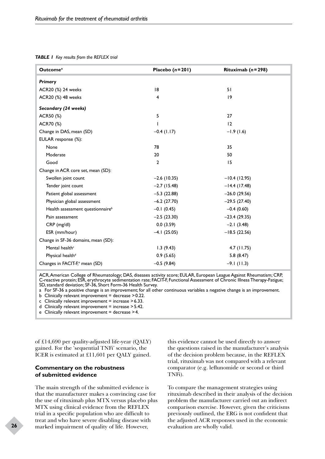#### *TABLE 1 Key results from the REFLEX trial*

| Outcome <sup>a</sup>                         | Placebo $(n=201)$ | Rituximab $(n=298)$ |
|----------------------------------------------|-------------------|---------------------|
| Primary                                      |                   |                     |
| ACR20 (%) 24 weeks                           | 18                | 51                  |
| ACR20 (%) 48 weeks                           | 4                 | 9                   |
| Secondary (24 weeks)                         |                   |                     |
| ACR50 (%)                                    | 5                 | 27                  |
| ACR70 (%)                                    |                   | 12                  |
| Change in DAS, mean (SD)                     | $-0.4$ (1.17)     | $-1.9(1.6)$         |
| EULAR response (%):                          |                   |                     |
| None                                         | 78                | 35                  |
| Moderate                                     | 20                | 50                  |
| Good                                         | $\overline{2}$    | 15                  |
| Change in ACR core set, mean (SD):           |                   |                     |
| Swollen joint count                          | $-2.6$ (10.35)    | $-10.4(12.95)$      |
| Tender joint count                           | $-2.7$ (15.48)    | $-14.4(17.48)$      |
| Patient global assessment                    | $-5.3(22.88)$     | $-26.0(29.56)$      |
| Physician global assessment                  | $-6.2(27.70)$     | $-29.5(27.40)$      |
| Health assessment questionnaire <sup>b</sup> | $-0.1(0.45)$      | $-0.4(0.60)$        |
| Pain assessment                              | $-2.5(23.30)$     | $-23.4(29.35)$      |
| CRP (mg/dl)                                  | 0.0(3.59)         | $-2.1(3.48)$        |
| ESR (mm/hour)                                | $-4.1(25.05)$     | $-18.5(22.56)$      |
| Change in SF-36 domains, mean (SD):          |                   |                     |
| Mental health <sup>c</sup>                   | 1.3(9.43)         | 4.7(11.75)          |
| Physical health <sup>d</sup>                 | 0.9(5.65)         | 5.8(8.47)           |
| Changes in FACIT-F, <sup>e</sup> mean (SD)   | $-0.5(9.84)$      | $-9.1(11.3)$        |

ACR, American College of Rheumatology; DAS, diseases activity score; EULAR, European League Against Rheumatism; CRP, C-reactive protein; ESR, erythrocyte sedimentation rate; FACIT-F, Functional Assessment of Chronic Illness Therapy-Fatigue; SD, standard deviation; SF-36, Short Form-36 Health Survey.

a For SF-36 a positive change is an improvement; for all other continuous variables a negative change is an improvement.

b Clinically relevant improvement  $=$  decrease  $>$  0.22.

c Clinically relevant improvement = increase  $> 6.33$ .

- d Clinically relevant improvement = increase >5.42.
- e Clinically relevant improvement = decrease >4.

of £14,690 per quality-adjusted life-year (QALY) gained. For the 'sequential TNFi' scenario, the ICER is estimated at £11,601 per QALY gained.

### **Commentary on the robustness of submitted evidence**

The main strength of the submitted evidence is that the manufacturer makes a convincing case for the use of rituximab plus MTX versus placebo plus MTX using clinical evidence from the REFLEX trial in a specific population who are difficult to treat and who have severe disabling disease with marked impairment of quality of life. However,

this evidence cannot be used directly to answer the questions raised in the manufacturer's analysis of the decision problem because, in the REFLEX trial, rituximab was not compared with a relevant comparator (e.g. leflunomide or second or third TNFi).

To compare the management strategies using rituximab described in their analysis of the decision problem the manufacturer carried out an indirect comparison exercise. However, given the criticisms previously outlined, the ERG is not confident that the adjusted ACR responses used in the economic evaluation are wholly valid.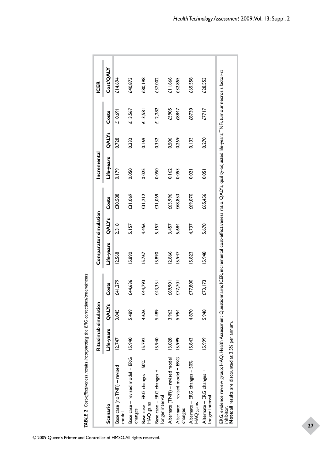|                                              | Rituximab simulation |       |         | Comparator simulation |       |         | Incremental |       |         | <b>ICER</b> |
|----------------------------------------------|----------------------|-------|---------|-----------------------|-------|---------|-------------|-------|---------|-------------|
| Scenario                                     | Life-years           | QALYS | Costs   | Life-years            | QALYS | Costs   | Life-years  | QALYS | Costs   | Cost/QALY   |
| Base case (no TNFi) - revised<br>model       | 12.747               | 3.045 | £41,279 | 12.568                | 2.318 | £30,588 | 0.179       | 0.728 | £10,691 | £14,694     |
| Base case - revised model + ERG<br>changes   | 15.940               | 5.489 | £44,636 | 15.890                | 5.157 | £31,069 | 0.050       | 0.332 | £13,567 | £40,873     |
| Base case - ERG changes - 50%<br>HAQ gains   | 15.792               | 4.626 | £44,793 | 15.767                | 4.456 | £31,212 | 0.025       | 0.169 | £13,581 | £80,198     |
| Base case - ERG changes +<br>longer interval | 15.940               | 5.489 | £43,351 | 15.890                | 5.157 | £31,069 | 0.050       | 0.332 | £12,282 | £37,002     |
| Alternate (TNFi) - revised model             | 13.028               | 3.963 | £69,901 | 12.866                | 3.457 | £63,996 | 0.162       | 0.506 | £5905   | £11,666     |
| Alternate - revised model + ERG<br>changes   | 15.999               | 5.954 | £77,701 | 5.947                 | 5.684 | £68,853 | 0.053       | 0.269 | £8847   | £32,855     |
| Alternate - ERG changes - 50%<br>HAQ gains   | 15.843               | 4.870 | £77,800 | 15.823                | 4.737 | £69,070 | 0.021       | 0.133 | £8730   | £65,558     |
| Alternate - ERG changes +<br>longer interval | 15.999               | 5.948 | £73,173 | 15.948                | 5.678 | £65,456 | 0.051       | 0.270 | 57717   | £28,553     |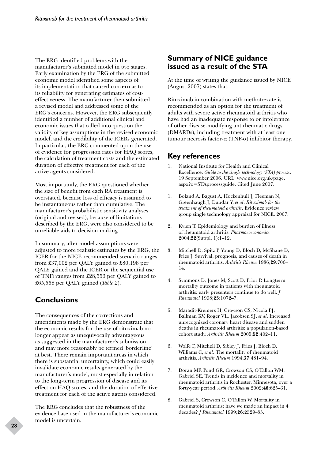The ERG identified problems with the manufacturer's submitted model in two stages. Early examination by the ERG of the submitted economic model identified some aspects of its implementation that caused concern as to its reliability for generating estimates of costeffectiveness. The manufacturer then submitted a revised model and addressed some of the ERG's concerns. However, the ERG subsequently identified a number of additional clinical and economic issues that called into question the validity of key assumptions in the revised economic model, and the credibility of the ICERs generated. In particular, the ERG commented upon the use of evidence for progression rates for HAQ scores, the calculation of treatment costs and the estimated duration of effective treatment for each of the active agents considered.

Most importantly, the ERG questioned whether the size of benefit from each RA treatment is overstated, because loss of efficacy is assumed to be instantaneous rather than cumulative. The manufacturer's probabilistic sensitivity analyses (original and revised), because of limitations described by the ERG, were also considered to be unreliable aids to decision-making.

In summary, after model assumptions were adjusted to more realistic estimates by the ERG, the ICER for the NICE-recommended scenario ranges from £37,002 per QALY gained to £80,198 per QALY gained and the ICER or the sequential use of TNFi ranges from £28,553 per QALY gained to £65,558 per QALY gained (*Table 2*).

### **Conclusions**

The consequences of the corrections and amendments made by the ERG demonstrate that the economic results for the use of rituximab no longer appear as unequivocally advantageous as suggested in the manufacturer's submission, and may more reasonably be termed 'borderline' at best. There remain important areas in which there is substantial uncertainty, which could easily invalidate economic results generated by the manufacturer's model, most especially in relation to the long-term progression of disease and its effect on HAQ scores, and the duration of effective treatment for each of the active agents considered.

The ERG concludes that the robustness of the evidence base used in the manufacturer's economic model is uncertain.

## **Summary of NICE guidance issued as a result of the STA**

At the time of writing the guidance issued by NICE (August 2007) states that:

Rituximab in combination with methotrexate is recommended as an option for the treatment of adults with severe active rheumatoid arthritis who have had an inadequate response to or intolerance of other disease-modifying antirheumatic drugs (DMARDs), including treatment with at least one tumour necrosis factor-α (TNF-α) inhibitor therapy.

## **Key references**

- 1. National Institute for Health and Clinical Excellence. *Guide to the single technology (STA) process*. 19 September 2006. URL: www.nice.org.uk/page. aspx?o=STAprocessguide. Cited June 2007.
- 1. Boland A, Bagust A, Hockenhull J, Fleeman N, Greenhaugh J, Dundar Y, *et al*. *Rituximab for the treatment of rheumatoid arthritis*. Evidence review group single technology appraisal for NICE. 2007.
- 2. Kvien T. Epidemiology and burden of illness of rheumatoid arthritis. *Pharmacoeconomics* 2004;**22**(Suppl. 1):1–12.
- 3. Mitchell D, Spitz P, Young D, Bloch D, McShane D, Fries J. Survival, prognosis, and causes of death in rheumatoid arthritis. *Arthritis Rheum* 1986;**29**:706– 14.
- 4. Symmons D, Jones M, Scott D, Prior P. Longterm mortality outcome in patients with rheumatoid arthritis: early presenters continue to do well. *J Rheumatol* 1998;**25**:1072–7.
- 5. Maradit-Kremers H, Crowson CS, Nicola PJ, Ballman KV, Roger VL, Jacobsen SJ, *et al*. Increased unrecognized coronary heart disease and sudden deaths in rheumatoid arthritis: a population-based cohort study. *Arthritis Rheum* 2005;**52**:402–11.
- 6. Wolfe F, Mitchell D, Sibley J, Fries J, Bloch D, Williams C, *et al*. The mortality of rheumatoid arthritis. *Arthritis Rheum* 1994;**37**:481–94.
- 7. Doran MF, Pond GR, Crowson CS, O'Fallon WM, Gabriel SE. Trends in incidence and mortality in rheumatoid arthritis in Rochester, Minnesota, over a forty-year period. *Arthritis Rheum* 2002;**46**:625–31.
- 8. Gabriel S, Crowson C, O'Fallon W. Mortality in rheumatoid arthritis: have we made an impact in 4 decades? *J Rheumatol* 1999;**26**:2529–33.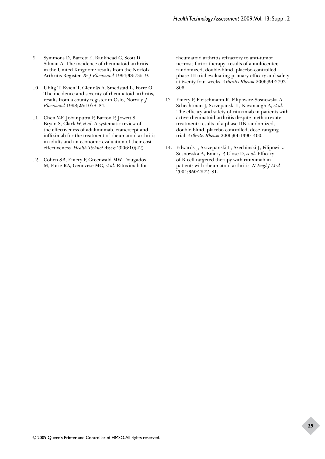- 9. Symmons D, Barrett E, Bankhead C, Scott D, Silman A. The incidence of rheumatoid arthritis in the United Kingdom: results from the Norfolk Arthritis Register. *Br J Rheumatol* 1994;**33**:735–9.
- 10. Uhlig T, Kvien T, Glennås A, Smedstad L, Forre O. The incidence and severity of rheumatoid arthritis, results from a county register in Oslo, Norway. *J Rheumatol* 1998;**25**:1078–84.
- 11. Chen Y-F, Jobanputra P, Barton P, Jowett S, Bryan S, Clark W, *et al*. A systematic review of the effectiveness of adalimumab, etanercept and infliximab for the treatment of rheumatoid arthritis in adults and an economic evaluation of their costeffectiveness. *Health Technol Assess* 2006;**10**(42).
- 12. Cohen SB, Emery P, Greenwald MW, Dougados M, Furie RA, Genovese MC, *et al*. Rituximab for

rheumatoid arthritis refractory to anti-tumor necrosis factor therapy: results of a multicenter, randomized, double-blind, placebo-controlled, phase III trial evaluating primary efficacy and safety at twenty-four weeks. *Arthritis Rheum* 2006;**54**:2793– 806.

- 13. Emery P, Fleischmann R, Filipowicz-Sosnowska A, Schechtman J, Szczepanski L, Kavanaugh A, *et al*. The efficacy and safety of rituximab in patients with active rheumatoid arthritis despite methotrexate treatment: results of a phase IIB randomized, double-blind, placebo-controlled, dose-ranging trial. *Arthritis Rheum* 2006;**54**:1390–400.
- 14. Edwards J, Szczepanski L, Szechinski J, Filipowicz-Sosnowska A, Emery P, Close D, *et al*. Efficacy of B-cell-targeted therapy with rituximab in patients with rheumatoid arthritis. *N Engl J Med* 2004;**350**:2572–81.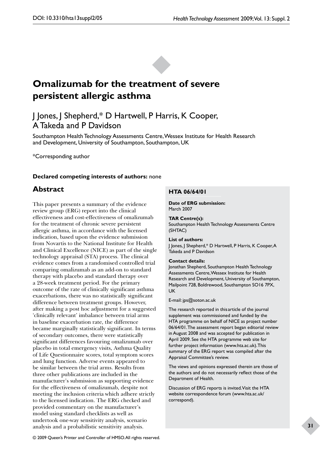

# **Omalizumab for the treatment of severe persistent allergic asthma**

# J Jones, J Shepherd,\* D Hartwell, P Harris, K Cooper, A Takeda and P Davidson

Southampton Health Technology Assessments Centre, Wessex Institute for Health Research and Development, University of Southampton, Southampton, UK

\*Corresponding author

### **Declared competing interests of authors:** none

# **Abstract**

This paper presents a summary of the evidence review group (ERG) report into the clinical effectiveness and cost-effectiveness of omalizumab for the treatment of chronic severe persistent allergic asthma, in accordance with the licensed indication, based upon the evidence submission from Novartis to the National Institute for Health and Clinical Excellence (NICE) as part of the single technology appraisal (STA) process. The clinical evidence comes from a randomised controlled trial comparing omalizumab as an add-on to standard therapy with placebo and standard therapy over a 28-week treatment period. For the primary outcome of the rate of clinically significant asthma exacerbations, there was no statistically significant difference between treatment groups. However, after making a post hoc adjustment for a suggested 'clinically relevant' imbalance between trial arms in baseline exacerbation rate, the difference became marginally statistically significant. In terms of secondary outcomes, there were statistically significant differences favouring omalizumab over placebo in total emergency visits, Asthma Quality of Life Questionnaire scores, total symptom scores and lung function. Adverse events appeared to be similar between the trial arms. Results from three other publications are included in the manufacturer's submission as supporting evidence for the effectiveness of omalizumab, despite not meeting the inclusion criteria which adhere strictly to the licensed indication. The ERG checked and provided commentary on the manufacturer's model using standard checklists as well as undertook one-way sensitivity analysis, scenario analysis and a probabilistic sensitivity analysis.

#### **HTA 06/64/01**

#### **Date of ERG submission:**  March 2007

**TAR Centre(s):**

Southampton Health Technology Assessments Centre (SHTAC)

#### **List of authors:**

J Jones, J Shepherd,\* D Hartwell, P Harris, K Cooper, A Takeda and P Davidson

#### **Contact details:**

Jonathan Shepherd, Southampton Health Technology Assessments Centre, Wessex Institute for Health Research and Development, University of Southampton, Mailpoint 728, Boldrewood, Southampton SO16 7PX, UK

#### E-mail: jps@soton.ac.uk

The research reported in this article of the journal supplement was commissioned and funded by the HTA programme on behalf of NICE as project number 06/64/01. The assessment report began editorial review in August 2008 and was accepted for publication in April 2009. See the HTA programme web site for further project information (www.hta.ac.uk). This summary of the ERG report was compiled after the Appraisal Committee's review.

The views and opinions expressed therein are those of the authors and do not necessarily reflect those of the Department of Health.

Discussion of ERG reports is invited. Visit the HTA website correspondence forum (www.hta.ac.uk/ correspond).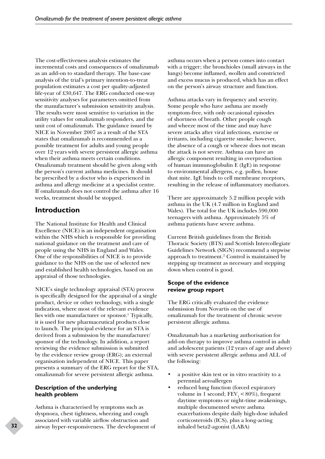The cost-effectiveness analysis estimates the incremental costs and consequences of omalizumab as an add-on to standard therapy. The base-case analysis of the trial's primary intention-to-treat population estimates a cost per quality-adjusted life-year of £30,647. The ERG conducted one-way sensitivity analyses for parameters omitted from the manufacturer's submission sensitivity analysis. The results were most sensitive to variation in the utility values for omalizumab responders, and the unit cost of omalizumab. The guidance issued by NICE in November 2007 as a result of the STA states that omalizumab is recommended as a possible treatment for adults and young people over 12 years with severe persistent allergic asthma when their asthma meets certain conditions. Omalizumab treatment should be given along with the person's current asthma medicines. It should be prescribed by a doctor who is experienced in asthma and allergy medicine at a specialist centre. If omalizumab does not control the asthma after 16 weeks, treatment should be stopped.

# **Introduction**

The National Institute for Health and Clinical Excellence (NICE) is an independent organisation within the NHS which is responsible for providing national guidance on the treatment and care of people using the NHS in England and Wales. One of the responsibilities of NICE is to provide guidance to the NHS on the use of selected new and established health technologies, based on an appraisal of those technologies.

NICE's single technology appraisal (STA) process is specifically designed for the appraisal of a single product, device or other technology, with a single indication, where most of the relevant evidence lies with one manufacturer or sponsor.<sup>1</sup> Typically, it is used for new pharmaceutical products close to launch. The principal evidence for an STA is derived from a submission by the manufacturer/ sponsor of the technology. In addition, a report reviewing the evidence submission is submitted by the evidence review group (ERG); an external organisation independent of NICE. This paper presents a summary of the ERG report for the STA, omalizumab for severe persistent allergic asthma.

#### **Description of the underlying health problem**

Asthma is characterised by symptoms such as dyspnoea, chest tightness, wheezing and cough associated with variable airflow obstruction and airway hyper-responsiveness. The development of

asthma occurs when a person comes into contact with a trigger; the bronchioles (small airways in the lungs) become inflamed, swollen and constricted and excess mucus is produced, which has an effect on the person's airway structure and function.

Asthma attacks vary in frequency and severity. Some people who have asthma are mostly symptom-free, with only occasional episodes of shortness of breath. Other people cough and wheeze most of the time and may have severe attacks after viral infections, exercise or irritants, including cigarette smoke; however, the absence of a cough or wheeze does not mean the attack is not severe. Asthma can have an allergic component resulting in overproduction of human immunoglobulin E (IgE) in response to environmental allergens, e.g. pollen, house dust mite. IgE binds to cell membrane receptors, resulting in the release of inflammatory mediators.

There are approximately 5.2 million people with asthma in the UK (4.7 million in England and Wales). The total for the UK includes 590,000 teenagers with asthma. Approximately 5% of asthma patients have severe asthma.

Current British guidelines from the British Thoracic Society (BTS) and Scottish Intercollegiate Guidelines Network (SIGN) recommend a stepwise approach to treatment.<sup>2</sup> Control is maintained by stepping up treatment as necessary and stepping down when control is good.

### **Scope of the evidence review group report**

The ERG critically evaluated the evidence submission from Novartis on the use of omalizumab for the treatment of chronic severe persistent allergic asthma.

Omalizumab has a marketing authorisation for add-on therapy to improve asthma control in adult and adolescent patients (12 years of age and above) with severe persistent allergic asthma and ALL of the following:

- a positive skin test or in vitro reactivity to a perennial aeroallergen
- reduced lung function (forced expiratory volume in 1 second;  $FEV<sub>1</sub> < 80\%$ ), frequent daytime symptoms or night-time awakenings, multiple documented severe asthma exacerbations despite daily high-dose inhaled corticosteroids (ICS), plus a long-acting inhaled beta2-agonist (LABA)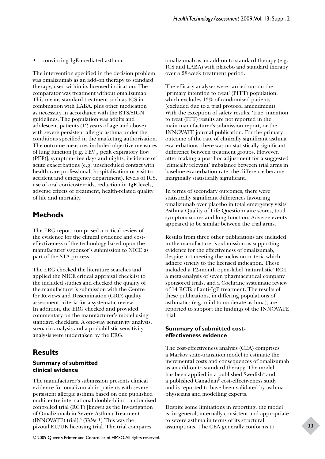convincing IgE-mediated asthma.

The intervention specified in the decision problem was omalizumab as an add-on therapy to standard therapy, used within its licensed indication. The comparator was treatment without omalizumab. This means standard treatment such as ICS in combination with LABA, plus other medication as necessary in accordance with the BTS/SIGN guidelines. The population was adults and adolescent patients (12 years of age and above) with severe persistent allergic asthma under the conditions specified in the marketing authorisation. The outcome measures included objective measures of lung function [e.g. FEV<sub>1</sub>, peak expiratory flow (PEF)], symptom-free days and nights, incidence of acute exacerbations (e.g. unscheduled contact with health-care professional; hospitalisation or visit to accident and emergency department), levels of ICS, use of oral corticosteroids, reduction in IgE levels, adverse effects of treatment, health-related quality of life and mortality.

### **Methods**

The ERG report comprised a critical review of the evidence for the clinical evidence and costeffectiveness of the technology based upon the manufacturer's/sponsor's submission to NICE as part of the STA process.

The ERG checked the literature searches and applied the NICE critical appraisal checklist to the included studies and checked the quality of the manufacturer's submission with the Centre for Reviews and Dissemination (CRD) quality assessment criteria for a systematic review. In addition, the ERG checked and provided commentary on the manufacturer's model using standard checklists. A one-way sensitivity analysis, scenario analysis and a probabilistic sensitivity analysis were undertaken by the ERG.

## **Results**

#### **Summary of submitted clinical evidence**

The manufacturer's submission presents clinical evidence for omalizumab in patients with severe persistent allergic asthma based on one published multicentre international double-blind randomised controlled trial (RCT) [known as the Investigation of Omalizumab in Severe Asthma Treatment (INNOVATE) trial].3 (*Table 1*) This was the pivotal EU/UK licensing trial. The trial compares

omalizumab as an add-on to standard therapy (e.g. ICS and LABA) with placebo and standard therapy over a 28-week treatment period.

The efficacy analyses were carried out on the 'primary intention to treat' (PITT) population, which excludes 13% of randomised patients (excluded due to a trial protocol amendment). With the exception of safety results, 'true' intention to treat (ITT) results are not reported in the main manufacturer's submission report, or the INNOVATE journal publication. For the primary outcome of the rate of clinically significant asthma exacerbations, there was no statistically significant difference between treatment groups. However, after making a post hoc adjustment for a suggested 'clinically relevant' imbalance between trial arms in baseline exacerbation rate, the difference became marginally statistically significant.

In terms of secondary outcomes, there were statistically significant differences favouring omalizumab over placebo in total emergency visits, Asthma Quality of Life Questionnaire scores, total symptom scores and lung function. Adverse events appeared to be similar between the trial arms.

Results from three other publications are included in the manufacturer's submission as supporting evidence for the effectiveness of omalizumab, despite not meeting the inclusion criteria which adhere strictly to the licensed indication. These included a 12-month open-label 'naturalistic' RCT, a meta-analysis of seven pharmaceutical company sponsored trials, and a Cochrane systematic review of 14 RCTs of anti-IgE treatment. The results of these publications, in differing populations of asthmatics (e.g. mild to moderate asthma), are reported to support the findings of the INNOVATE trial.

#### **Summary of submitted costeffectiveness evidence**

The cost-effectiveness analysis (CEA) comprises a Markov state-transition model to estimate the incremental costs and consequences of omalizumab as an add-on to standard therapy. The model has been applied in a published Swedish<sup>4</sup> and a published Canadian<sup>5</sup> cost-effectiveness study and is reported to have been validated by asthma physicians and modelling experts.

Despite some limitations in reporting, the model is, in general, internally consistent and appropriate to severe asthma in terms of its structural assumptions. The CEA generally conforms to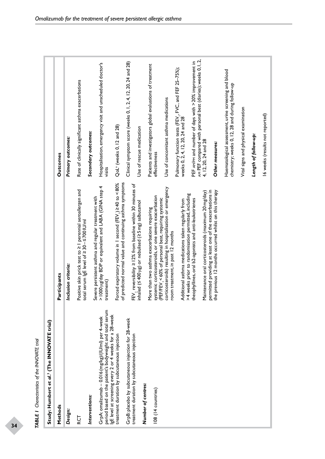**TABLE 1** Characteristics of the INNOVATE trial *Characteristics of the INNOVATE trial*

| Study: Humbert et al. <sup>3</sup> (The INNOVATE trial)                                                                                                                    |                                                                                                                                     |                                                                                                                        |
|----------------------------------------------------------------------------------------------------------------------------------------------------------------------------|-------------------------------------------------------------------------------------------------------------------------------------|------------------------------------------------------------------------------------------------------------------------|
| Methods                                                                                                                                                                    | Participants                                                                                                                        | <b>Outcomes</b>                                                                                                        |
| Design:                                                                                                                                                                    | nclusion criteria:                                                                                                                  | Primary outcomes:                                                                                                      |
| <b>RCT</b>                                                                                                                                                                 | ositive skin prick test to $\geq$ I perennial aeroallergen and<br>otal serum IgE level of 230-5700 IU/ml                            | Rate of clinically significant asthma exacerbations                                                                    |
| Interventions:                                                                                                                                                             | evere persistent asthma and regular treatment with                                                                                  | Secondary outcomes:                                                                                                    |
| period based on the patient's bodyweight and total serum<br>IgE level at screening every 2 or 4 weeks for a 28-week<br>GrpA: omalizumab - 0.016 (mg/kg)/(IU/ml) per 4-week | -1000 ug/day BDP or equivalent and LABA (GINA step 4<br>treatment)                                                                  | Hospitalisation, emergency visit and unscheduled doctor's<br>visits                                                    |
| treatment duration by subcutaneous injection                                                                                                                               | of predicted normal value and continuing asthma symptoms<br>orced expiratory volume in 1 second (FEV,) ≥ 40 to <80%                 | QoL <sup>a</sup> (weeks 0, 12 and 28)                                                                                  |
| GrpB: placebo by subcutaneous injection for 28-week                                                                                                                        |                                                                                                                                     | Clinical symptom score (weeks 0, 1, 2, 4, 12, 20, 24 and 28)                                                           |
| treatment duration by subcutaneous injection                                                                                                                               | EV, reversibility $\geq$ 12% from baseline within 30 minutes of<br>$nhaled$ ( $\leq$ 400 µg) or nebulised ( $\geq$ 5 mg) salbutamol | Use of rescue medication                                                                                               |
| Number of centres:                                                                                                                                                         |                                                                                                                                     |                                                                                                                        |
|                                                                                                                                                                            | Yore than two asthma exacerbations requiring                                                                                        | Patients and investigators global evaluations of treatment                                                             |
| 108 (14 countries)                                                                                                                                                         | ystemic corticosteroids, or one severe exacerbation<br>PEF/FEV < 60% of personal best, requiring systemic                           | effectiveness                                                                                                          |
|                                                                                                                                                                            | orticosteroids) resulting in hospitalisation or emergency<br>oom treatment, in past 12 months                                       | Use of concomitant asthma medications                                                                                  |
|                                                                                                                                                                            |                                                                                                                                     | Pulmonary function tests (FEV, FVC, and FEF 25–75%);<br>weeks 0, 2, 4, 12, 20, 24 and 28                               |
|                                                                                                                                                                            | -4 weeks prior to randomisation permitted, including<br>Additional asthma medications taken regularly from                          |                                                                                                                        |
|                                                                                                                                                                            | heophyllines, oral b2-agonists and anti-leukotrienes                                                                                | AM PEF compared with personal best (diaries); weeks 0, I, 2,<br>PEF AM/PM and number of days with > 20% improvement in |
|                                                                                                                                                                            | permitted providing at least one of the exacerbations in<br>Maintenance oral corticosteroids (maximum 20 mg/day)                    | 4, 12, 20, 24 and 28                                                                                                   |
|                                                                                                                                                                            | the previous 12 months occurred whilst on this therapy                                                                              | Other measures:                                                                                                        |
|                                                                                                                                                                            |                                                                                                                                     | Haematological assessment, urine screening and blood<br>chemistry; weeks 0, 12, 28 and during follow-up                |
|                                                                                                                                                                            |                                                                                                                                     | Vital signs and physical examination                                                                                   |
|                                                                                                                                                                            |                                                                                                                                     | Length of follow-up:                                                                                                   |
|                                                                                                                                                                            |                                                                                                                                     | 16 weeks (results not reported)                                                                                        |

**34**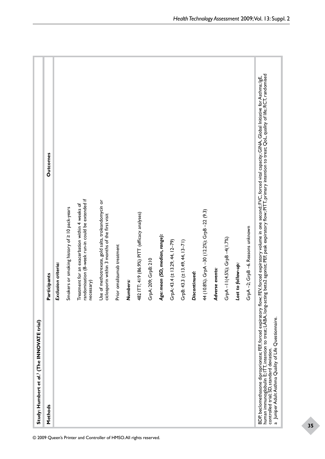| Study: Humbert et al. <sup>3</sup> (The INNOVATE trial)                                                                                                                                                                                    |                                                                                                                                                                                                                                   |                 |
|--------------------------------------------------------------------------------------------------------------------------------------------------------------------------------------------------------------------------------------------|-----------------------------------------------------------------------------------------------------------------------------------------------------------------------------------------------------------------------------------|-----------------|
| Methods                                                                                                                                                                                                                                    | Participants                                                                                                                                                                                                                      | <b>Outcomes</b> |
|                                                                                                                                                                                                                                            | Exclusion criteria:                                                                                                                                                                                                               |                 |
|                                                                                                                                                                                                                                            | Smokers or smoking history of 210 pack-years                                                                                                                                                                                      |                 |
|                                                                                                                                                                                                                                            | randomisation (8-week run-in could be extended if<br>Treatment for an exacerbation within 4 weeks of<br>necessary)                                                                                                                |                 |
|                                                                                                                                                                                                                                            | Use of methotrexate, gold salts, troleandomycin or<br>ciclosporin within 3 months of the first visit                                                                                                                              |                 |
|                                                                                                                                                                                                                                            | ior omalizumab treatment<br>준                                                                                                                                                                                                     |                 |
|                                                                                                                                                                                                                                            | Numbers:                                                                                                                                                                                                                          |                 |
|                                                                                                                                                                                                                                            | 482 ITT; 419 (86.9%) PITT (efficacy analyses)                                                                                                                                                                                     |                 |
|                                                                                                                                                                                                                                            | GrpA: 209; GrpB: 210                                                                                                                                                                                                              |                 |
|                                                                                                                                                                                                                                            | Age: mean (SD, median, range):                                                                                                                                                                                                    |                 |
|                                                                                                                                                                                                                                            | GrpA: 43.4 (± 13.29, 44, 12-79)                                                                                                                                                                                                   |                 |
|                                                                                                                                                                                                                                            | GrpB: 43.3 ( $\pm$ 13.49, 44, 13-71)                                                                                                                                                                                              |                 |
|                                                                                                                                                                                                                                            | Discontinued:                                                                                                                                                                                                                     |                 |
|                                                                                                                                                                                                                                            | (10.8%). GrpA -30 (12.2%); GrpB -22 (9.3)<br>$\frac{4}{3}$                                                                                                                                                                        |                 |
|                                                                                                                                                                                                                                            | Adverse events:                                                                                                                                                                                                                   |                 |
|                                                                                                                                                                                                                                            | $GrpA - 11(4.5%)$ ; $GrpB - 4(1.7%)$                                                                                                                                                                                              |                 |
|                                                                                                                                                                                                                                            | Lost to follow-up:                                                                                                                                                                                                                |                 |
|                                                                                                                                                                                                                                            | GrpA -2; GrpB -6. Reasons unknown                                                                                                                                                                                                 |                 |
| BDP, beclomethasone diproprionate; FEF, forced expiratory flow;<br>human immunoglobulin E; ITT, intention to treat; LABA, long-actir<br>controlled trial; SD, standard deviation.<br>a Juniper Adult Asthma Quality of Life Questionnaire. | FEV, forced expiratory volume in one second; FVC, forced vital capacity; GINA, Global Initiative for Asthma; IgE,<br>ng beta2 agonist; PEF, peak expiratory flow; PITT, primary intention to treat; QoL, quality of life; RCT, ra |                 |

© 2009 Queen's Printer and Controller of HMSO. All rights reserved.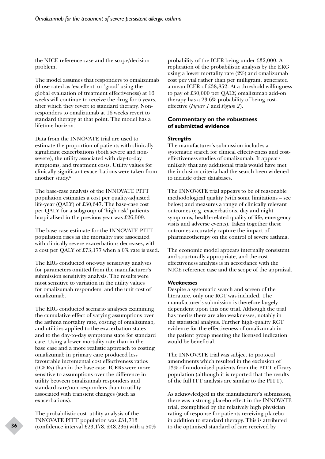the NICE reference case and the scope/decision problem.

The model assumes that responders to omalizumab (those rated as 'excellent' or 'good' using the global evaluation of treatment effectiveness) at 16 weeks will continue to receive the drug for 5 years, after which they revert to standard therapy. Nonresponders to omalizumab at 16 weeks revert to standard therapy at that point. The model has a lifetime horizon.

Data from the INNOVATE trial are used to estimate the proportion of patients with clinically significant exacerbations (both severe and nonsevere), the utility associated with day-to-day symptoms, and treatment costs. Utility values for clinically significant exacerbations were taken from another study.6

The base-case analysis of the INNOVATE PITT population estimates a cost per quality-adjusted life-year (QALY) of £30,647. The base-case cost per QALY for a subgroup of 'high risk' patients hospitalised in the previous year was £26,509.

The base-case estimate for the INNOVATE PITT population rises as the mortality rate associated with clinically severe exacerbations decreases, with a cost per QALY of £73,177 when a 0% rate is used.

The ERG conducted one-way sensitivity analyses for parameters omitted from the manufacturer's submission sensitivity analysis. The results were most sensitive to variation in the utility values for omalizumab responders, and the unit cost of omalizumab.

The ERG conducted scenario analyses examining the cumulative effect of varying assumptions over the asthma mortality rate, costing of omalizumab, and utilities applied to the exacerbation states and to the day-to-day symptoms state for standard care. Using a lower mortality rate than in the base case and a more realistic approach to costing omalizumab in primary care produced less favourable incremental cost effectiveness ratios (ICERs) than in the base case. ICERs were more sensitive to assumptions over the difference in utility between omalizumab responders and standard care/non-responders than to utility associated with transient changes (such as exacerbations).

The probabilistic cost–utility analysis of the INNOVATE PITT population was £31,713 (confidence interval £23,178, £48,236) with a 50% probability of the ICER being under £32,000. A replication of the probabilistic analysis by the ERG using a lower mortality rate (2%) and omalizumab cost per vial rather than per milligram, generated a mean ICER of £38,852. At a threshold willingness to pay of £30,000 per QALY, omalizumab add-on therapy has a 23.6% probability of being costeffective (*Figure 1* and *Figure 2*).

#### **Commentary on the robustness of submitted evidence**

#### *Strengths*

The manufacturer's submission includes a systematic search for clinical effectiveness and costeffectiveness studies of omalizumab. It appears unlikely that any additional trials would have met the inclusion criteria had the search been widened to include other databases.

The INNOVATE trial appears to be of reasonable methodological quality (with some limitations – see below) and measures a range of clinically relevant outcomes (e.g. exacerbations, day and night symptoms, health-related quality of life, emergency visits and adverse events). Taken together these outcomes accurately capture the impact of pharmacotherapy on the control of severe asthma.

The economic model appears internally consistent and structurally appropriate, and the costeffectiveness analysis is in accordance with the NICE reference case and the scope of the appraisal.

#### *Weaknesses*

Despite a systematic search and screen of the literature, only one RCT was included. The manufacturer's submission is therefore largely dependent upon this one trial. Although the trial has merits there are also weaknesses, notably in the statistical analysis. Further high-quality RCT evidence for the effectiveness of omalizumab in the patient group meeting the licensed indication would be beneficial.

The INNOVATE trial was subject to protocol amendments which resulted in the exclusion of 13% of randomised patients from the PITT efficacy population (although it is reported that the results of the full ITT analysis are similar to the PITT).

As acknowledged in the manufacturer's submission, there was a strong placebo effect in the INNOVATE trial, exemplified by the relatively high physician rating of response for patients receiving placebo in addition to standard therapy. This is attributed to the optimised standard of care received by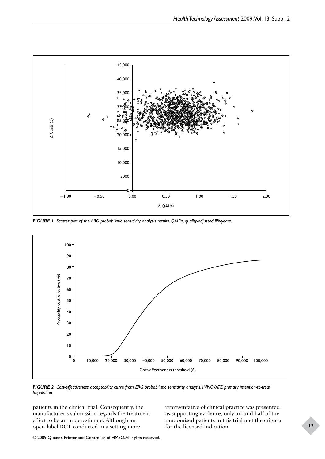

*FIGURE 1 Scatter plot of the ERG probabilistic sensitivity analysis results. QALYs, quality-adjusted life-years.*



**FIGURE 2** Cost-effectiveness acceptability curve from ERG probabilistic sensitivity analysis, INNOVATE primary intention-to-treat<br>population.

patients in the clinical trial. Consequently, the manufacturer's submission regards the treatment effect to be an underestimate. Although an open-label RCT conducted in a setting more

representative of clinical practice was presented as supporting evidence, only around half of the randomised patients in this trial met the criteria for the licensed indication.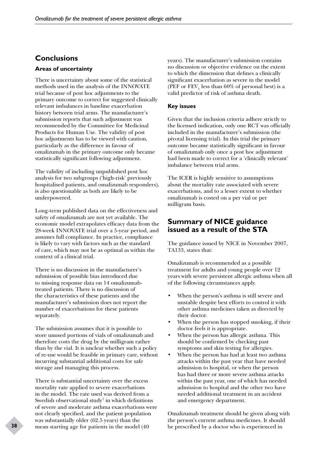# **Conclusions**

### **Areas of uncertainty**

There is uncertainty about some of the statistical methods used in the analysis of the INNOVATE trial because of post hoc adjustments to the primary outcome to correct for suggested clinically relevant imbalances in baseline exacerbation history between trial arms. The manufacturer's submission reports that such adjustment was recommended by the Committee for Medicinal Products for Human Use. The validity of post hoc adjustments has to be viewed with caution, particularly as the difference in favour of omalizumab in the primary outcome only became statistically significant following adjustment.

The validity of including unpublished post hoc analysis for two subgroups ('high-risk' previously hospitalised patients, and omalizumab responders), is also questionable as both are likely to be underpowered.

Long-term published data on the effectiveness and safety of omalizumab are not yet available. The economic model extrapolates efficacy data from the 28-week INNOVATE trial over a 5-year period, and assumes full compliance. In practice, compliance is likely to vary with factors such as the standard of care, which may not be as optimal as within the context of a clinical trial.

There is no discussion in the manufacturer's submission of possible bias introduced due to missing response data on 14 omalizumabtreated patients. There is no discussion of the characteristics of these patients and the manufacturer's submission does not report the number of exacerbations for these patients separately.

The submission assumes that it is possible to store unused portions of vials of omalizumab and therefore costs the drug by the milligram rather than by the vial. It is unclear whether such a policy of re-use would be feasible in primary care, without incurring substantial additional costs for safe storage and managing this process.

There is substantial uncertainty over the excess mortality rate applied to severe exacerbations in the model. The rate used was derived from a Swedish observational study<sup>7</sup> in which definitions of severe and moderate asthma exacerbations were not clearly specified, and the patient population was substantially older (62.5 years) than the mean starting age for patients in the model (40

years). The manufacturer's submission contains no discussion or objective evidence on the extent to which the dimension that defines a clinically significant exacerbation as severe in the model (PEF or  $\text{FEV}_1$  less than 60% of personal best) is a valid predictor of risk of asthma death.

#### **Key issues**

Given that the inclusion criteria adhere strictly to the licensed indication, only one RCT was officially included in the manufacturer's submission (the pivotal licensing trial). In this trial the primary outcome became statistically significant in favour of omalizumab only once a post hoc adjustment had been made to correct for a 'clinically relevant' imbalance between trial arms.

The ICER is highly sensitive to assumptions about the mortality rate associated with severe exacerbations, and to a lesser extent to whether omalizumab is costed on a per vial or per milligram basis.

# **Summary of NICE guidance issued as a result of the STA**

The guidance issued by NICE in November 2007, TA133, states that:

Omalizumab is recommended as a possible treatment for adults and young people over 12 years with severe persistent allergic asthma when all of the following circumstances apply.

- When the person's asthma is still severe and unstable despite best efforts to control it with other asthma medicines taken as directed by their doctor.
- When the person has stopped smoking, if their doctor feels it is appropriate.
- When the person has allergic asthma. This should be confirmed by checking past symptoms and skin testing for allergies.
- When the person has had at least two asthma attacks within the past year that have needed admission to hospital, or when the person has had three or more severe asthma attacks within the past year, one of which has needed admission to hospital and the other two have needed additional treatment in an accident and emergency department.

Omalizumab treatment should be given along with the person's current asthma medicines. It should be prescribed by a doctor who is experienced in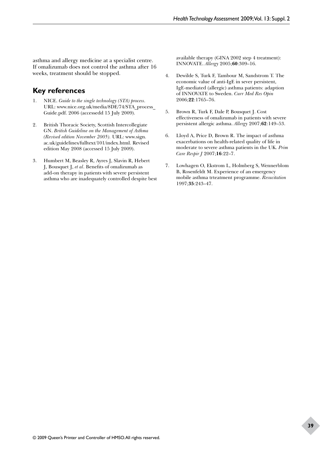asthma and allergy medicine at a specialist centre. If omalizumab does not control the asthma after 16 weeks, treatment should be stopped.

# **Key references**

- 1. NICE. *Guide to the single technology (STA) process.* URL: www.nice.org.uk/media/8DE/74/STA\_process\_ Guide.pdf. 2006 (accessedd 15 July 2009).
- 2. British Thoracic Society, Scottish Intercollegiate GN. *British Guideline on the Management of Asthma (Revised edition November 2005).* URL: www.sign. ac.uk/guidelines/fulltext/101/index.html. Revised edition May 2008 (accessed 15 July 2009).
- 3. Humbert M, Beasley R, Ayres J, Slavin R, Hebert J, Bousquet J, *et al*. Benefits of omalizumab as add-on therapy in patients with severe persistent asthma who are inadequately controlled despite best

available therapy (GINA 2002 step 4 treatment): INNOVATE. *Allergy* 2005;**60**:309–16.

- 4. Dewilde S, Turk F, Tambour M, Sandstrom T. The economic value of anti-IgE in sever persistent, IgE-mediated (allergic) asthma patients: adaption of INNOVATE to Sweden. *Curr Med Res Opin* 2006;**22**:1765–76.
- 5. Brown R, Turk F, Dale P, Bousquet J. Cost effectiveness of omalizumab in patients with severe persistent allergic asthma. *Allergy* 2007;**62**:149–53.
- 6. Lloyd A, Price D, Brown R. The impact of asthma exacerbations on health-related quality of life in moderate to severe asthma patients in the UK. *Prim Care Respir J* 2007;**16**:22–7.
- 7. Lowhagen O, Ekstrom L, Holmberg S, Wennerblom B, Rosenfeldt M. Experience of an emergency mobile asthma trteatment programme. *Resucitation* 1997;**35**:243–47.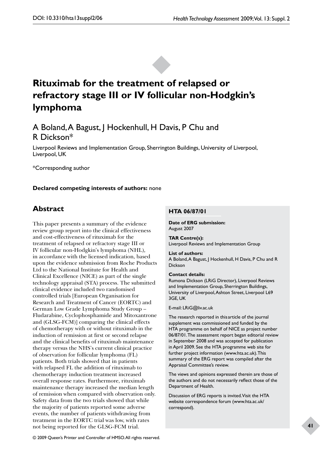

# **Rituximab for the treatment of relapsed or refractory stage III or IV follicular non-Hodgkin's lymphoma**

# A Boland, A Bagust, J Hockenhull, H Davis, P Chu and R Dickson\*

Liverpool Reviews and Implementation Group, Sherrington Buildings, University of Liverpool, Liverpool, UK

\*Corresponding author

### **Declared competing interests of authors:** none

# **Abstract**

This paper presents a summary of the evidence review group report into the clinical effectiveness and cost-effectiveness of rituximab for the treatment of relapsed or refractory stage III or IV follicular non-Hodgkin's lymphoma (NHL), in accordance with the licensed indication, based upon the evidence submission from Roche Products Ltd to the National Institute for Health and Clinical Excellence (NICE) as part of the single technology appraisal (STA) process. The submitted clinical evidence included two randomised controlled trials [European Organisation for Research and Treatment of Cancer (EORTC) and German Low Grade Lymphoma Study Group – Fludarabine, Cyclophosphamide and Mitoxantrone and (GLSG-FCM)] comparing the clinical effects of chemotherapy with or without rituximab in the induction of remission at first or second relapse and the clinical benefits of rituximab maintenance therapy versus the NHS's current clinical practice of observation for follicular lymphoma (FL) patients. Both trials showed that in patients with relapsed FL the addition of rituximab to chemotherapy induction treatment increased overall response rates. Furthermore, rituximab maintenance therapy increased the median length of remission when compared with observation only. Safety data from the two trials showed that while the majority of patients reported some adverse events, the number of patients withdrawing from treatment in the EORTC trial was low, with rates not being reported for the GLSG-FCM trial.

### **HTA 06/87/01**

#### **Date of ERG submission:** August 2007

**TAR Centre(s):** Liverpool Reviews and Implementation Group

#### **List of authors:**

A Boland, A Bagust, J Hockenhull, H Davis, P Chu and R Dickson

#### **Contact details:**

Rumona Dickson (LRiG Director), Liverpool Reviews and Implementation Group, Sherrington Buildings, University of Liverpool, Ashton Street, Liverpool L69 3GE, UK

#### E-mail: LRiG@liv.ac.uk

The research reported in this article of the journal supplement was commissioned and funded by the HTA programme on behalf of NICE as project number 06/87/01. The assessment report began editorial review in September 2008 and was accepted for publication in April 2009. See the HTA programme web site for further project information (www.hta.ac.uk). This summary of the ERG report was compiled after the Appraisal Committee's review.

The views and opinions expressed therein are those of the authors and do not necessarily reflect those of the Department of Health.

Discussion of ERG reports is invited. Visit the HTA website correspondence forum (www.hta.ac.uk/ correspond).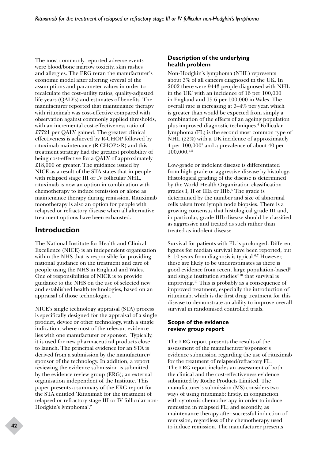The most commonly reported adverse events were blood/bone marrow toxicity, skin rashes and allergies. The ERG reran the manufacturer's economic model after altering several of the assumptions and parameter values in order to recalculate the cost–utility ratios, quality-adjusted life-years (QALYs) and estimates of benefits. The manufacturer reported that maintenance therapy with rituximab was cost-effective compared with observation against commonly applied thresholds, with an incremental cost-effectiveness ratio of £7721 per QALY gained. The greatest clinical effectiveness is achieved by R-CHOP followed by rituximab maintenance (R-CHOP>R) and this treatment strategy had the greatest probability of being cost-effective for a QALY of approximately £18,000 or greater. The guidance issued by NICE as a result of the STA states that in people with relapsed stage III or IV follicular NHL, rituximab is now an option in combination with chemotherapy to induce remission or alone as maintenance therapy during remission. Rituximab monotherapy is also an option for people with relapsed or refractory disease when all alternative treatment options have been exhausted.

### **Introduction**

The National Institute for Health and Clinical Excellence (NICE) is an independent organisation within the NHS that is responsible for providing national guidance on the treatment and care of people using the NHS in England and Wales. One of responsibilities of NICE is to provide guidance to the NHS on the use of selected new and established health technologies, based on an appraisal of those technologies.

NICE's single technology appraisal (STA) process is specifically designed for the appraisal of a single product, device or other technology, with a single indication, where most of the relevant evidence lies with one manufacturer or sponsor.<sup>1</sup> Typically, it is used for new pharmaceutical products close to launch. The principal evidence for an STA is derived from a submission by the manufacturer/ sponsor of the technology. In addition, a report reviewing the evidence submission is submitted by the evidence review group (ERG); an external organisation independent of the Institute. This paper presents a summary of the ERG report for the STA entitled 'Rituximab for the treatment of relapsed or refractory stage III or IV follicular non-Hodgkin's lymphoma'.2

#### **Description of the underlying health problem**

Non-Hodgkin's lymphoma (NHL) represents about 3% of all cancers diagnosed in the UK. In 2002 there were 9443 people diagnosed with NHL in the UK<sup>3</sup> with an incidence of 16 per  $100,000$ in England and 15.6 per 100,000 in Wales. The overall rate is increasing at 3–4% per year, which is greater than would be expected from simply a combination of the effects of an ageing population plus improved diagnostic techniques.4 Follicular lymphoma (FL) is the second most common type of NHL (22%) with a UK incidence of approximately 4 per 100,0005 and a prevalence of about 40 per 100,000.4,5

Low-grade or indolent disease is differentiated from high-grade or aggressive disease by histology. Histological grading of the disease is determined by the World Health Organization classification grades I, II or IIIa or IIIb.<sup>5</sup> The grade is determined by the number and size of abnormal cells taken from lymph node biopsies. There is a growing consensus that histological grade III and, in particular, grade IIIb disease should be classified as aggressive and treated as such rather than treated as indolent disease.

Survival for patients with FL is prolonged. Different figures for median survival have been reported, but 8–10 years from diagnosis is typical.6,7 However, these are likely to be underestimates as there is good evidence from recent large population-based<sup>8</sup> and single institution studies $9,10$  that survival is improving.11 This is probably as a consequence of improved treatment, especially the introduction of rituximab, which is the first drug treatment for this disease to demonstrate an ability to improve overall survival in randomised controlled trials.

### **Scope of the evidence review group report**

The ERG report presents the results of the assessment of the manufacturer's/sponsor's evidence submission regarding the use of rituximab for the treatment of relapsed/refractory FL. The ERG report includes an assessment of both the clinical and the cost-effectiveness evidence submitted by Roche Products Limited. The manufacturer's submission (MS) considers two ways of using rituximab: firstly, in conjunction with cytotoxic chemotherapy in order to induce remission in relapsed FL; and secondly, as maintenance therapy after successful induction of remission, regardless of the chemotherapy used to induce remission. The manufacturer presents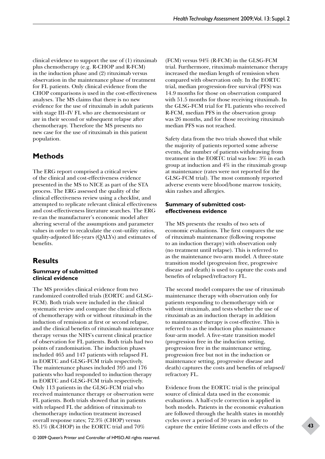clinical evidence to support the use of (1) rituximab plus chemotherapy (e.g. R-CHOP and R-FCM) in the induction phase and (2) rituximab versus observation in the maintenance phase of treatment for FL patients. Only clinical evidence from the CHOP comparisons is used in the cost-effectiveness analyses. The MS claims that there is no new evidence for the use of rituximab in adult patients with stage III–IV FL who are chemoresistant or are in their second or subsequent relapse after chemotherapy. Therefore the MS presents no new case for the use of rituximab in this patient population.

# **Methods**

The ERG report comprised a critical review of the clinical and cost-effectiveness evidence presented in the MS to NICE as part of the STA process. The ERG assessed the quality of the clinical effectiveness review using a checklist, and attempted to replicate relevant clinical effectiveness and cost-effectiveness literature searches. The ERG re-ran the manufacturer's economic model after altering several of the assumptions and parameter values in order to recalculate the cost–utility ratios, quality-adjusted life-years (QALYs) and estimates of benefits.

# **Results**

### **Summary of submitted clinical evidence**

The MS provides clinical evidence from two randomized controlled trials (EORTC and GLSG-FCM). Both trials were included in the clinical systematic review and compare the clinical effects of chemotherapy with or without rituximab in the induction of remission at first or second relapse, and the clinical benefits of rituximab maintenance therapy versus the NHS's current clinical practice of observation for FL patients. Both trials had two points of randomisation. The induction phases included 465 and 147 patients with relapsed FL in EORTC and GLSG-FCM trials respectively. The maintenance phases included 395 and 176 patients who had responded to induction therapy in EORTC and GLSG-FCM trials respectively. Only 113 patients in the GLSG-FCM trial who received maintenance therapy or observation were FL patients. Both trials showed that in patients with relapsed FL the addition of rituximab to chemotherapy induction treatment increased overall response rates; 72.3% (CHOP) versus 85.1% (R-CHOP) in the EORTC trial and 70%

(FCM) versus 94% (R-FCM) in the GLSG-FCM trial. Furthermore, rituximab maintenance therapy increased the median length of remission when compared with observation only. In the EORTC trial, median progression-free survival (PFS) was 14.9 months for those on observation compared with 51.5 months for those receiving rituximab. In the GLSG-FCM trial for FL patients who received R-FCM, median PFS in the observation group was 26 months, and for those receiving rituximab median PFS was not reached.

Safety data from the two trials showed that while the majority of patients reported some adverse events, the number of patients withdrawing from treatment in the EORTC trial was low: 3% in each group at induction and 4% in the rituximab group at maintenance (rates were not reported for the GLSG-FCM trial). The most commonly reported adverse events were blood/bone marrow toxicity, skin rashes and allergies.

### **Summary of submitted costeffectiveness evidence**

The MS presents the results of two sets of economic evaluations. The first compares the use of rituximab maintenance (following response to an induction therapy) with observation only (no treatment until relapse). This is referred to as the maintenance two-arm model. A three-state transition model (progression free, progressive disease and death) is used to capture the costs and benefits of relapsed/refractory FL.

The second model compares the use of rituximab maintenance therapy with observation only for patients responding to chemotherapy with or without rituximab, and tests whether the use of rituximab as an induction therapy in addition to maintenance therapy is cost-effective. This is referred to as the induction plus maintenance four-arm model. A five-state transition model (progression free in the induction setting, progression free in the maintenance setting, progression free but not in the induction or maintenance setting, progressive disease and death) captures the costs and benefits of relapsed/ refractory FL.

Evidence from the EORTC trial is the principal source of clinical data used in the economic evaluations. A half-cycle correction is applied in both models. Patients in the economic evaluation are followed through the health states in monthly cycles over a period of 30 years in order to capture the entire lifetime costs and effects of the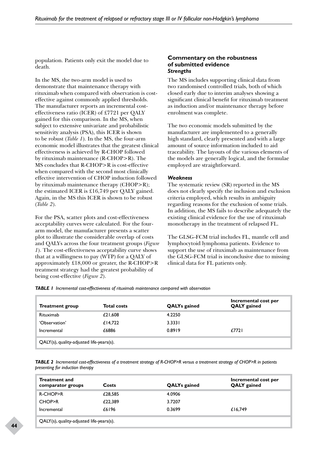population. Patients only exit the model due to death.

In the MS, the two-arm model is used to demonstrate that maintenance therapy with rituximab when compared with observation is costeffective against commonly applied thresholds. The manufacturer reports an incremental costeffectiveness ratio (ICER) of £7721 per QALY gained for this comparison. In the MS, when subject to extensive univariate and probabilistic sensitivity analysis (PSA), this ICER is shown to be robust (*Table 1*). In the MS, the four-arm economic model illustrates that the greatest clinical effectiveness is achieved by R-CHOP followed by rituximab maintenance (R-CHOP>R). The MS concludes that R-CHOP>R is cost-effective when compared with the second most clinically effective intervention of CHOP induction followed by rituximab maintenance therapy (CHOP>R); the estimated ICER is £16,749 per QALY gained. Again, in the MS this ICER is shown to be robust (*Table 2*).

For the PSA, scatter plots and cost-effectiveness acceptability curves were calculated. For the fourarm model, the manufacturer presents a scatter plot to illustrate the considerable overlap of costs and QALYs across the four treatment groups (*Figure 1*). The cost-effectiveness acceptability curve shows that at a willingness to pay (WTP) for a QALY of approximately £18,000 or greater, the R-CHOP>R treatment strategy had the greatest probability of being cost-effective (*Figure 2*).

#### **Commentary on the robustness of submitted evidence** *Strengths*

The MS includes supporting clinical data from two randomised controlled trials, both of which closed early due to interim analyses showing a significant clinical benefit for rituximab treatment as induction and/or maintenance therapy before enrolment was complete.

The two economic models submitted by the manufacturer are implemented to a generally high standard, clearly presented and with a large amount of source information included to aid traceability. The layouts of the various elements of the models are generally logical, and the formulae employed are straightforward.

#### *Weakness*

The systematic review (SR) reported in the MS does not clearly specify the inclusion and exclusion criteria employed, which results in ambiguity regarding reasons for the exclusion of some trials. In addition, the MS fails to describe adequately the existing clinical evidence for the use of rituximab monotherapy in the treatment of relapsed FL.

The GLSG-FCM trial includes FL, mantle cell and lymphocytoid lymphoma patients. Evidence to support the use of rituximab as maintenance from the GLSG-FCM trial is inconclusive due to missing clinical data for FL patients only.

*TABLE 1 Incremental cost-effectiveness of rituximab maintenance compared with observation*

| <b>Treatment group</b>                   | <b>Total costs</b> | <b>QALYs</b> gained | Incremental cost per<br><b>QALY</b> gained |
|------------------------------------------|--------------------|---------------------|--------------------------------------------|
| Rituximab                                | £21,608            | 4.2250              |                                            |
| 'Observation'                            | £14,722            | 3.3331              |                                            |
| Incremental                              | £6886              | 0.8919              | £7721                                      |
| QALY(s), quality-adjusted life-years(s). |                    |                     |                                            |

*TABLE 2 Incremental cost-effectiveness of a treatment strategy of R-CHOP>R versus a treatment strategy of CHOP>R in patients presenting for induction therapy*

| <b>Treatment and</b><br>comparator groups | Costs   | <b>QALYs</b> gained | Incremental cost per<br><b>QALY</b> gained |
|-------------------------------------------|---------|---------------------|--------------------------------------------|
| R-CHOP>R                                  | £28,585 | 4.0906              |                                            |
| CHOP>R                                    | £22,389 | 3.7207              |                                            |
| Incremental                               | £6196   | 0.3699              | £16.749                                    |
| QALY(s), quality-adjusted life-years(s).  |         |                     |                                            |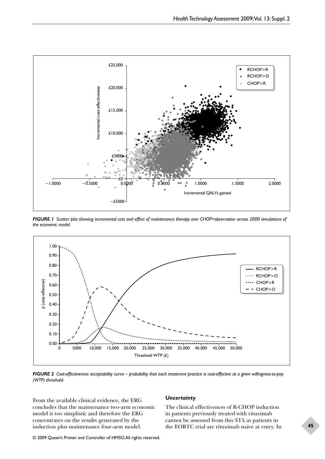

*FIGURE 1 Scatter plot showing incremental cost and effect of maintenance therapy over CHOP>observation across 2000 simulations of the economic model.*



(WTP) threshold.<sup>27</sup><br>
(WTP) threshold. *FIGURE 2 Cost-effectiveness acceptability curve – probability that each treatment practice is cost-effective at a given willingness-to-pay* 

From the available clinical evidence, the ERG concludes that the maintenance two-arm economic model is too simplistic and therefore the ERG concentrates on the results generated by the induction plus maintenance four-arm model.

#### *Uncertainty*

The clinical effectiveness of R-CHOP induction in patients previously treated with rituximab cannot be assessed from this STA as patients in the EORTC trial are rituximab naive at entry. In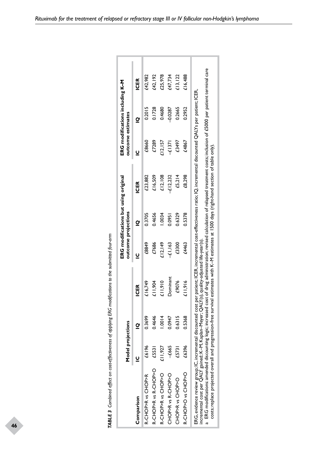TABLE 3 Combined effect on cost-effectiveness of applying ERG modifications to the submitted four-arm *TABLE 3 Combined effect on cost-effectiveness of applying ERG modifications to the submitted four-arm*

|                                                                                                                                                                                                                                                                                                                                                                                                                                                                                                                                    | Model projections |                         |             | outcome projections | ERG modifications but using original |                                                                               | outcome estimates | ERG modifications including K-M |             |
|------------------------------------------------------------------------------------------------------------------------------------------------------------------------------------------------------------------------------------------------------------------------------------------------------------------------------------------------------------------------------------------------------------------------------------------------------------------------------------------------------------------------------------|-------------------|-------------------------|-------------|---------------------|--------------------------------------|-------------------------------------------------------------------------------|-------------------|---------------------------------|-------------|
| Comparison                                                                                                                                                                                                                                                                                                                                                                                                                                                                                                                         |                   | $\overline{\mathsf{C}}$ | <b>ICER</b> |                     | $\overline{Q}$                       | <b>ICER</b>                                                                   |                   | $\overline{\mathsf{C}}$         | <b>ICER</b> |
| R-CHOP>R vs CHOP>R                                                                                                                                                                                                                                                                                                                                                                                                                                                                                                                 | 56196             | 0.3699                  | £16,749     | £8849               | 0.3705                               | £23,882                                                                       | 18660             | 0.2015                          | £42,982     |
| R-CHOP>R vs R-CHOP>O                                                                                                                                                                                                                                                                                                                                                                                                                                                                                                               | £531              | 0.4646                  | £11,904     | £7686               | 0.4656                               | £16,509                                                                       | £7289             | 0.1728                          | £42,192     |
| R-CHOP>R vs CHOP>O                                                                                                                                                                                                                                                                                                                                                                                                                                                                                                                 | £1,927            | 1.0014                  | 211,910     | £12,149             | 1.0034                               | £12,108                                                                       | (12, 157)         | 0.4680                          | £25,978     |
| CHOP>R vs R-CHOP>O                                                                                                                                                                                                                                                                                                                                                                                                                                                                                                                 | -£665             | 0.0947                  | Dominant    | $-21,163$           | 0.0951                               | $-£12,232$                                                                    | $-1371$           | $-0.0287$                       | £47,734     |
| CHOP>R vs CHOP>O                                                                                                                                                                                                                                                                                                                                                                                                                                                                                                                   | £5731             | 0.6315                  | £9076       | £3300               | 0.6329                               | £5,214                                                                        | £3497             | 0.2665                          | (13, 122)   |
| R-OHO S O <aoho-2< td=""><td>£6396</td><td>0.5368</td><td>211,916</td><td>£4463</td><td>0.5378</td><td>£8,298</td><td>£4867</td><td>0.2952</td><td><math>-16,488</math></td></aoho-2<>                                                                                                                                                                                                                                                                                                                                             | £6396             | 0.5368                  | 211,916     | £4463               | 0.5378                               | £8,298                                                                        | £4867             | 0.2952                          | $-16,488$   |
| a ERG modifications: amended discounting logic; increased cost of drug administration; revised calculation of relapsed treatment costs; inclusion of £5000 per patient terminal care<br>ERG, evidence review group; IC, incremental discounted cost per patient; ICER, incremental cost-effectiveness ratio; IQ, incremental discounted QALYs per patient; ICER,<br>incremental cost per QALY gained; K–M, Kaplan–Meyer; QALY(s), quality-adjusted life-year(s).<br>costs; replace projected overall and progression-free survival |                   |                         |             |                     |                                      | estimates with K-M estimates at 1500 days (right-hand section of table only). |                   |                                 |             |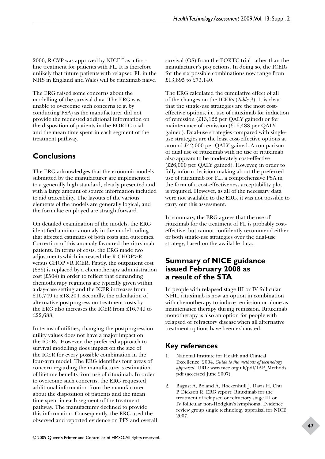2006, R-CVP was approved by NICE $12$  as a firstline treatment for patients with FL. It is therefore unlikely that future patients with relapsed FL in the NHS in England and Wales will be rituximab naive.

The ERG raised some concerns about the modelling of the survival data. The ERG was unable to overcome such concerns (e.g. by conducting PSA) as the manufacturer did not provide the requested additional information on the disposition of patients in the EORTC trial and the mean time spent in each segment of the treatment pathway.

# **Conclusions**

The ERG acknowledges that the economic models submitted by the manufacturer are implemented to a generally high standard, clearly presented and with a large amount of source information included to aid traceability. The layouts of the various elements of the models are generally logical, and the formulae employed are straightforward.

On detailed examination of the models, the ERG identified a minor anomaly in the model coding that affected estimates of both costs and outcomes. Correction of this anomaly favoured the rituximab patients. In terms of costs, the ERG made two adjustments which increased the R-CHOP>R versus CHOP>R ICER. Firstly, the outpatient cost (£86) is replaced by a chemotherapy administration cost (£504) in order to reflect that demanding chemotherapy regimens are typically given within a day-case setting and the ICER increases from £16,749 to £18,204. Secondly, the calculation of alternative postprogression treatment costs by the ERG also increases the ICER from £16,749 to £22,688.

In terms of utilities, changing the postprogression utility values does not have a major impact on the ICERs. However, the preferred approach to survival modelling does impact on the size of the ICER for every possible combination in the four-arm model. The ERG identifies four areas of concern regarding the manufacturer's estimation of lifetime benefits from use of rituximab. In order to overcome such concerns, the ERG requested additional information from the manufacturer about the disposition of patients and the mean time spent in each segment of the treatment pathway. The manufacturer declined to provide this information. Consequently, the ERG used the observed and reported evidence on PFS and overall survival (OS) from the EORTC trial rather than the manufacturer's projections. In doing so, the ICERs for the six possible combinations now range from £13,895 to £73,140.

The ERG calculated the cumulative effect of all of the changes on the ICERs (*Table 3*). It is clear that the single-use strategies are the most costeffective options, i.e. use of rituximab for induction of remission (£13,122 per QALY gained) or for maintenance of remission (£16,488 per QALY gained). Dual-use strategies compared with singleuse strategies are the least cost-effective options at around £42,000 per QALY gained. A comparison of dual use of rituximab with no use of rituximab also appears to be moderately cost-effective (£26,000 per QALY gained). However, in order to fully inform decision-making about the preferred use of rituximab for FL, a comprehensive PSA in the form of a cost-effectiveness acceptability plot is required. However, as all of the necessary data were not available to the ERG, it was not possible to carry out this assessment.

In summary, the ERG agrees that the use of rituximab for the treatment of FL is probably costeffective, but cannot confidently recommend either or both single-use strategies over the dual-use strategy, based on the available data.

# **Summary of NICE guidance issued February 2008 as a result of the STA**

In people with relapsed stage III or IV follicular NHL, rituximab is now an option in combination with chemotherapy to induce remission or alone as maintenance therapy during remission. Rituximab monotherapy is also an option for people with relapsed or refractory disease when all alternative treatment options have been exhausted.

# **Key references**

- 1. National Institute for Health and Clinical Excellence. 2004. *Guide to the methods of technology appraisal.* URL: www.nice.org.uk/pdf/TAP\_Methods. pdf (accessed June 2007).
- 2. Bagust A, Boland A, Hockenhull J, Davis H, Chu P, Dickson R. ERG report: Rituximab for the treatment of relapsed or refractory stage III or IV follicular non-Hodgkin's lymphoma. Evidence review group single technology appraisal for NICE. 2007.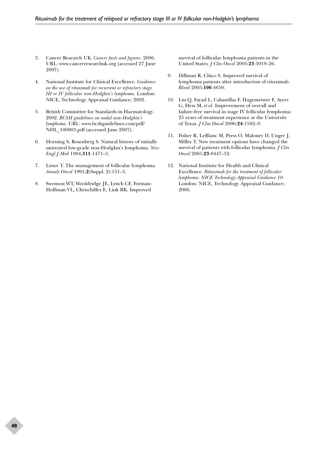- 3. Cancer Research UK. *Cancer facts and figures.* 2006. URL: www.cancerresearchuk.org (accessed 27 June 2007).
- 4. National Institute for Clinical Excellence. *Guidance on the use of rituximab for recurrent or refractory stage III or IV follicular non-Hodgkin's lymphoma.* London: NICE, Technology Appraisal Guidance; 2002.
- 5. British Committee for Standards in Haematology. 2002. *BCSH guidelines on nodal non-Hodgkin's lymphoma.* URL: www.bcshguidelines.com/pdf/ NHL\_100903.pdf (accessed June 2007).
- 6. Horning S, Rosenberg S. Natural history of initially untreated low-grade non-Hodgkin's lymphoma. *New Engl J Med* 1984;**311**:1471–5.
- 7. Lister T. The management of follicular lymphoma. *Annals Oncol* 1991;**2**(Suppl. 2):131–5.
- 8. Swenson WT, Wooldridge JE, Lynch CF, Forman-Hoffman VL, Chrischilles E, Link BK. Improved

survival of follicular lymphoma patients in the United States. *J Clin Oncol* 2005;**23**:5019–26.

- 9. Dillman R, Chico S. Improved survival of lymphoma patients after introduction of rituximab. *Blood* 2005;**106**:4650.
- 10. Liu Q, Fayad L, Cabanillas F, Hagemeister F, Ayers G, Hess M, *et al*. Improvement of overall and failure-free survival in stage IV follicular lymphoma: 25 years of treatment experience at the University of Texas. *J Clin Oncol* 2006;**24**:1582–9.
- 11. Fisher R, LeBlanc M, Press O, Maloney D, Unger J, Miller T. New treatment options have changed the survival of patients with follicular lymphoma. *J Clin Oncol* 2005;**23**:8447–52.
- 12. National Institute for Health and Clinical Excellence. *Rituximab for the treatment of follicular lymphoma: NICE Technology Appraisal Guidance 10.* London: NICE, Technology Appraisal Guidance; 2006.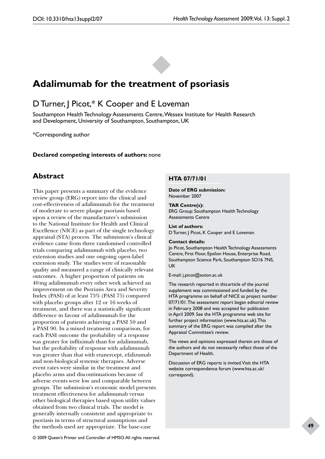

# **Adalimumab for the treatment of psoriasis**

# D Turner, J Picot,\* K Cooper and E Loveman

Southampton Health Technology Assessments Centre, Wessex Institute for Health Research and Development, University of Southampton, Southampton, UK

\*Corresponding author

#### **Declared competing interests of authors:** none

# **Abstract**

This paper presents a summary of the evidence review group (ERG) report into the clinical and cost-effectiveness of adalimumab for the treatment of moderate to severe plaque psoriasis based upon a review of the manufacturer's submission to the National Institute for Health and Clinical Excellence (NICE) as part of the single technology appraisal (STA) process. The submission's clinical evidence came from three randomised controlled trials comparing adalimumab with placebo, two extension studies and one ongoing open-label extension study. The studies were of reasonable quality and measured a range of clinically relevant outcomes. A higher proportion of patients on 40mg adalimumab every other week achieved an improvement on the Psoriasis Area and Severity Index (PASI) of at least 75% (PASI 75) compared with placebo groups after 12 or 16 weeks of treatment, and there was a statistically significant difference in favour of adalimumab for the proportion of patients achieving a PASI 50 and a PASI 90. In a mixed treatment comparison, for each PASI outcome the probability of a response was greater for infliximab than for adalimumab, but the probability of response with adalimumab was greater than that with etanercept, efalizumab and non-biological systemic therapies. Adverse event rates were similar in the treatment and placebo arms and discontinuations because of adverse events were low and comparable between groups. The submission's economic model presents treatment effectiveness for adalimumab versus other biological therapies based upon utility values obtained from two clinical trials. The model is generally internally consistent and appropriate to psoriasis in terms of structural assumptions and the methods used are appropriate. The base-case

#### **HTA 07/71/01**

**Date of ERG submission:** November 2007

**TAR Centre(s):** ERG Group: Southampton Health Technology Assessments Centre

**List of authors:**

D Turner, J Picot, K Cooper and E Loveman

#### **Contact details:**

Jo Picot, Southampton Health Technology Assessments Centre, First Floor, Epsilon House, Enterprise Road, Southampton Science Park, Southampton SO16 7NS, UK

E-mail: j.picot@soton.ac.uk

The research reported in this article of the journal supplement was commissioned and funded by the HTA programme on behalf of NICE as project number 07/71/01. The assessment report began editorial review in February 2008 and was accepted for publication in April 2009. See the HTA programme web site for further project information (www.hta.ac.uk). This summary of the ERG report was compiled after the Appraisal Committee's review.

The views and opinions expressed therein are those of the authors and do not necessarily reflect those of the Department of Health.

Discussion of ERG reports is invited. Visit the HTA website correspondence forum (www.hta.ac.uk/ correspond).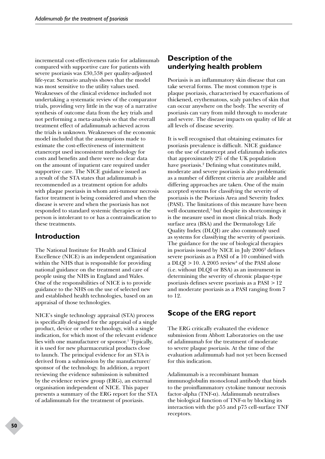incremental cost-effectiveness ratio for adalimumab compared with supportive care for patients with severe psoriasis was £30,538 per quality-adjusted life-year. Scenario analysis shows that the model was most sensitive to the utility values used. Weaknesses of the clinical evidence included not undertaking a systematic review of the comparator trials, providing very little in the way of a narrative synthesis of outcome data from the key trials and not performing a meta-analysis so that the overall treatment effect of adalimumab achieved across the trials is unknown. Weaknesses of the economic model included that the assumptions made to estimate the cost-effectiveness of intermittent etanercept used inconsistent methodology for costs and benefits and there were no clear data on the amount of inpatient care required under supportive care. The NICE guidance issued as a result of the STA states that adalimumab is recommended as a treatment option for adults with plaque psoriasis in whom anti-tumour necrosis factor treatment is being considered and when the disease is severe and when the psoriasis has not responded to standard systemic therapies or the person is intolerant to or has a contraindication to these treatments.

# **Introduction**

The National Institute for Health and Clinical Excellence (NICE) is an independent organisation within the NHS that is responsible for providing national guidance on the treatment and care of people using the NHS in England and Wales. One of the responsibilities of NICE is to provide guidance to the NHS on the use of selected new and established health technologies, based on an appraisal of those technologies.

NICE's single technology appraisal (STA) process is specifically designed for the appraisal of a single product, device or other technology, with a single indication, for which most of the relevant evidence lies with one manufacturer or sponsor.<sup>1</sup> Typically, it is used for new pharmaceutical products close to launch. The principal evidence for an STA is derived from a submission by the manufacturer/ sponsor of the technology. In addition, a report reviewing the evidence submission is submitted by the evidence review group (ERG), an external organisation independent of NICE. This paper presents a summary of the ERG report for the STA of adalimumab for the treatment of psoriasis.

# **Description of the underlying health problem**

Psoriasis is an inflammatory skin disease that can take several forms. The most common type is plaque psoriasis, characterised by exacerbations of thickened, erythematous, scaly patches of skin that can occur anywhere on the body. The severity of psoriasis can vary from mild through to moderate and severe. The disease impacts on quality of life at all levels of disease severity.

It is well recognised that obtaining estimates for psoriasis prevalence is difficult. NICE guidance on the use of etanercept and efalizumab indicates that approximately 2% of the UK population have psoriasis.<sup>2</sup> Defining what constitutes mild, moderate and severe psoriasis is also problematic as a number of different criteria are available and differing approaches are taken. One of the main accepted systems for classifying the severity of psoriasis is the Psoriasis Area and Severity Index (PASI). The limitations of this measure have been well documented,<sup>3</sup> but despite its shortcomings it is the measure used in most clinical trials. Body surface area (BSA) and the Dermatology Life Quality Index (DLQI) are also commonly used as systems for classifying the severity of psoriasis. The guidance for the use of biological therapies in psoriasis issued by NICE in July 20062 defines severe psoriasis as a PASI of  $\geq 10$  combined with a DLQI  $> 10$ . A 2005 review<sup>4</sup> of the PASI alone (i.e. without DLQI or BSA) as an instrument in determining the severity of chronic plaque-type psoriasis defines severe psoriasis as a PASI >12 and moderate psoriasis as a PASI ranging from 7 to 12.

# **Scope of the ERG report**

The ERG critically evaluated the evidence submission from Abbott Laboratories on the use of adalimumab for the treatment of moderate to severe plaque psoriasis. At the time of the evaluation adalimumab had not yet been licensed for this indication.

Adalimumab is a recombinant human immunoglobulin monoclonal antibody that binds to the proinflammatory cytokine tumour necrosis factor-alpha (TNF- $\alpha$ ). Adalimumab neutralises the biological function of TNF- $\alpha$  by blocking its interaction with the p55 and p75 cell-surface TNF receptors.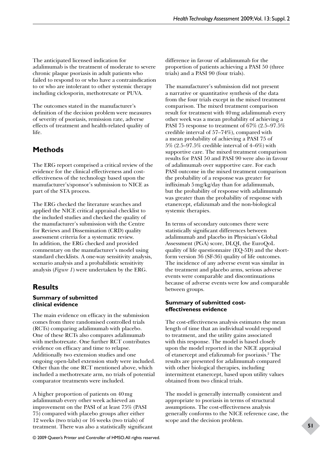The anticipated licensed indication for adalimumab is the treatment of moderate to severe chronic plaque psoriasis in adult patients who failed to respond to or who have a contraindication to or who are intolerant to other systemic therapy including ciclosporin, methotrexate or PUVA.

The outcomes stated in the manufacturer's definition of the decision problem were measures of severity of psoriasis, remission rate, adverse effects of treatment and health-related quality of life.

## **Methods**

The ERG report comprised a critical review of the evidence for the clinical effectiveness and costeffectiveness of the technology based upon the manufacturer's/sponsor's submission to NICE as part of the STA process.

The ERG checked the literature searches and applied the NICE critical appraisal checklist to the included studies and checked the quality of the manufacturer's submission with the Centre for Reviews and Dissemination (CRD) quality assessment criteria for a systematic review. In addition, the ERG checked and provided commentary on the manufacturer's model using standard checklists. A one-way sensitivity analysis, scenario analysis and a probabilistic sensitivity analysis (*Figure 1*) were undertaken by the ERG.

## **Results**

#### **Summary of submitted clinical evidence**

The main evidence on efficacy in the submission comes from three randomised controlled trials (RCTs) comparing adalimumab with placebo. One of these RCTs also compares adalimumab with methotrexate. One further RCT contributes evidence on efficacy and time to relapse. Additionally two extension studies and one ongoing open-label extension study were included. Other than the one RCT mentioned above, which included a methotrexate arm, no trials of potential comparator treatments were included.

A higher proportion of patients on 40mg adalimumab every other week achieved an improvement on the PASI of at least 75% (PASI 75) compared with placebo groups after either 12 weeks (two trials) or 16 weeks (two trials) of treatment. There was also a statistically significant difference in favour of adalimumab for the proportion of patients achieving a PASI 50 (three trials) and a PASI 90 (four trials).

The manufacturer's submission did not present a narrative or quantitative synthesis of the data from the four trials except in the mixed treatment comparison. The mixed treatment comparison result for treatment with 40mg adalimumab every other week was a mean probability of achieving a PASI 75 response to treatment of 67% (2.5–97.5% credible interval of 57–74%), compared with a mean probability of achieving a PASI 75 of 5% (2.5–97.5% credible interval of 4–6%) with supportive care. The mixed treatment comparison results for PASI 50 and PASI 90 were also in favour of adalimumab over supportive care. For each PASI outcome in the mixed treatment comparison the probability of a response was greater for infliximab 5mg/kg/day than for adalimumab, but the probability of response with adalimumab was greater than the probability of response with etanercept, efalizumab and the non-biological systemic therapies.

In terms of secondary outcomes there were statistically significant differences between adalimumab and placebo in Physician's Global Assessment (PGA) score, DLQI, the EuroQoL quality of life questionnaire (EQ-5D) and the shortform version 36 (SF-36) quality of life outcomes. The incidence of any adverse event was similar in the treatment and placebo arms, serious adverse events were comparable and discontinuations because of adverse events were low and comparable between groups.

### **Summary of submitted costeffectiveness evidence**

The cost-effectiveness analysis estimates the mean length of time that an individual would respond to treatment, and the utility gains associated with this response. The model is based closely upon the model reported in the NICE appraisal of etanercept and efalizumab for psoriasis.<sup>2</sup> The results are presented for adalimumab compared with other biological therapies, including intermittent etanercept, based upon utility values obtained from two clinical trials.

The model is generally internally consistent and appropriate to psoriasis in terms of structural assumptions. The cost-effectiveness analysis generally conforms to the NICE reference case, the scope and the decision problem.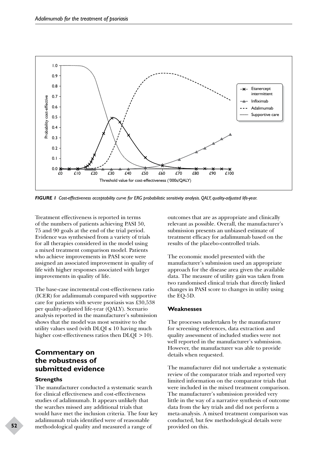

*FIGURE 1 Cost-effectiveness acceptability curve for ERG probabilistic sensitivity analysis. QALY, quality-adjusted life-year.*

Treatment effectiveness is reported in terms of the numbers of patients achieving PASI 50, 75 and 90 goals at the end of the trial period. Evidence was synthesised from a variety of trials for all therapies considered in the model using a mixed treatment comparison model. Patients who achieve improvements in PASI score were assigned an associated improvement in quality of life with higher responses associated with larger improvements in quality of life.

The base-case incremental cost-effectiveness ratio (ICER) for adalimumab compared with supportive care for patients with severe psoriasis was £30,538 per quality-adjusted life-year (QALY). Scenario analysis reported in the manufacturer's submission shows that the model was most sensitive to the utility values used (with  $DLOI \leq 10$  having much higher cost-effectiveness ratios then DLQI > 10).

## **Commentary on the robustness of submitted evidence**

#### **Strengths**

The manufacturer conducted a systematic search for clinical effectiveness and cost-effectiveness studies of adalimumab. It appears unlikely that the searches missed any additional trials that http://data from the key trials and did would have met the inclusion criteria. The four key adalimumab trials identified were of reasonable methodological quality and measured a range of

outcomes that are as appropriate and clinically relevant as possible. Overall, the manufacturer's submission presents an unbiased estimate of treatment efficacy for adalimumab based on the results of the placebo-controlled trials.

The economic model presented with the manufacturer's submission used an appropriate approach for the disease area given the available data. The measure of utility gain was taken from two randomised clinical trials that directly linked changes in PASI score to changes in utility using the EQ-5D.

#### **Weaknesses**

The processes undertaken by the manufacturer for screening references, data extraction and quality assessment of included studies were not well reported in the manufacturer's submission. However, the manufacturer was able to provide details when requested.

The manufacturer did not undertake a systematic review of the comparator trials and reported very limited information on the comparator trials that were included in the mixed treatment comparison. The manufacturer's submission provided very little in the way of a narrative synthesis of outcome data from the key trials and did not perform a meta-analysis. A mixed treatment comparison was conducted, but few methodological details were provided on this.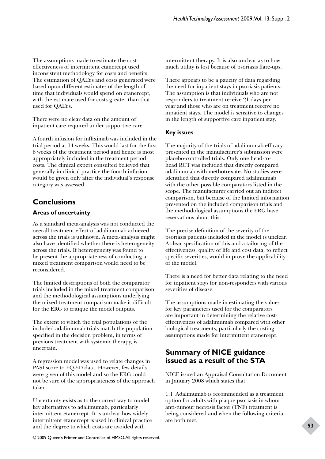The assumptions made to estimate the costeffectiveness of intermittent etanercept used inconsistent methodology for costs and benefits. The estimation of QALYs and costs generated were based upon different estimates of the length of time that individuals would spend on etanercept, with the estimate used for costs greater than that used for QALYs.

There were no clear data on the amount of inpatient care required under supportive care.

A fourth infusion for infliximab was included in the trial period at 14 weeks. This would last for the first 8 weeks of the treatment period and hence is most appropriately included in the treatment period costs. The clinical expert consulted believed that generally in clinical practice the fourth infusion would be given only after the individual's response category was assessed.

# **Conclusions**

### **Areas of uncertainty**

As a standard meta-analysis was not conducted the overall treatment effect of adalimumab achieved across the trials is unknown. A meta-analysis might also have identified whether there is heterogeneity across the trials. If heterogeneity was found to be present the appropriateness of conducting a mixed treatment comparison would need to be reconsidered.

The limited descriptions of both the comparator trials included in the mixed treatment comparison and the methodological assumptions underlying the mixed treatment comparison make it difficult for the ERG to critique the model outputs.

The extent to which the trial populations of the included adalimumab trials match the population specified in the decision problem, in terms of previous treatment with systemic therapy, is uncertain.

A regression model was used to relate changes in PASI score to EQ-5D data. However, few details were given of this model and so the ERG could not be sure of the appropriateness of the approach taken.

Uncertainty exists as to the correct way to model key alternatives to adalimumab, particularly intermittent etanercept. It is unclear how widely intermittent etanercept is used in clinical practice and the degree to which costs are avoided with

intermittent therapy. It is also unclear as to how much utility is lost because of psoriasis flare-ups.

There appears to be a paucity of data regarding the need for inpatient stays in psoriasis patients. The assumption is that individuals who are not responders to treatment receive 21 days per year and those who are on treatment receive no inpatient stays. The model is sensitive to changes in the length of supportive care inpatient stay.

### **Key issues**

The majority of the trials of adalimumab efficacy presented in the manufacturer's submission were placebo-controlled trials. Only one head-tohead RCT was included that directly compared adalimumab with methotrexate. No studies were identified that directly compared adalimumab with the other possible comparators listed in the scope. The manufacturer carried out an indirect comparison, but because of the limited information presented on the included comparison trials and the methodological assumptions the ERG have reservations about this.

The precise definition of the severity of the psoriasis patients included in the model is unclear. A clear specification of this and a tailoring of the effectiveness, quality of life and cost data, to reflect specific severities, would improve the applicability of the model.

There is a need for better data relating to the need for inpatient stays for non-responders with various severities of disease.

The assumptions made in estimating the values for key parameters used for the comparators are important in determining the relative costeffectiveness of adalimumab compared with other biological treatments, particularly the costing assumptions made for intermittent etanercept.

# **Summary of NICE guidance issued as a result of the STA**

NICE issued an Appraisal Consultation Document in January 2008 which states that:

1.1 Adalimumab is recommended as a treatment option for adults with plaque psoriasis in whom anti-tumour necrosis factor (TNF) treatment is being considered and when the following criteria are both met.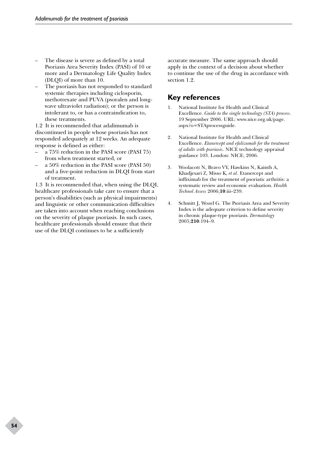- The disease is severe as defined by a total Psoriasis Area Severity Index (PASI) of 10 or more and a Dermatology Life Quality Index (DLQI) of more than 10.
- The psoriasis has not responded to standard systemic therapies including ciclosporin, methotrexate and PUVA (psoralen and longwave ultraviolet radiation); or the person is intolerant to, or has a contraindication to, these treatments.

1.2 It is recommended that adalimumab is discontinued in people whose psoriasis has not responded adequately at 12 weeks. An adequate response is defined as either:

- a 75% reduction in the PASI score (PASI 75) from when treatment started, or
- a 50% reduction in the PASI score (PASI 50) and a five-point reduction in DLQI from start of treatment.

1.3 It is recommended that, when using the DLQI, healthcare professionals take care to ensure that a person's disabilities (such as physical impairments) and linguistic or other communication difficulties are taken into account when reaching conclusions on the severity of plaque psoriasis. In such cases, healthcare professionals should ensure that their use of the DLQI continues to be a sufficiently

accurate measure. The same approach should apply in the context of a decision about whether to continue the use of the drug in accordance with section 1.2.

### **Key references**

- 1. National Institute for Health and Clinical Excellence. *Guide to the single technology (STA) process*. 19 September 2006. URL: www.nice.org.uk/page. aspx?o=STAprocessguide.
- 2. National Institute for Health and Clinical Excellence. *Etanercept and efalizumab for the treatment of adults with psoriasis*. NICE technology appraisal guidance 103. London: NICE; 2006.
- 3. Woolacott N, Bravo VY, Hawkins N, Kainth A, Khadjesari Z, Misso K, *et al*. Etanercept and infliximab for the treatment of psoriatic arthritis: a systematic review and economic evaluation. *Health Technol Assess* 2006;**10**:iii–239.
- 4. Schmitt J, Wozel G. The Psoriasis Area and Severity Index is the adequate criterion to define severity in chronic plaque-type psoriasis. *Dermatology* 2005;**210**:194–9.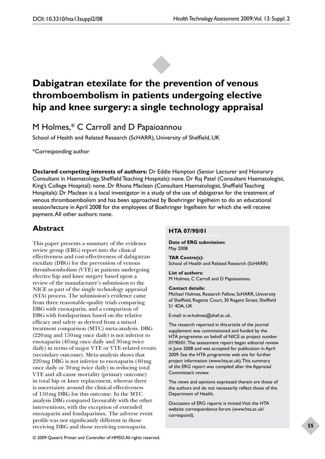

# **Dabigatran etexilate for the prevention of venous thromboembolism in patients undergoing elective hip and knee surgery: a single technology appraisal**

M Holmes,\* C Carroll and D Papaioannou

School of Health and Related Research (ScHARR), University of Sheffield, UK

\*Corresponding author

**Declared competing interests of authors:** Dr Eddie Hampton (Senior Lecturer and Honorary Consultant in Haematology, Sheffield Teaching Hospitals): none. Dr Raj Patel (Consultant Haematologist, King's College Hospital): none. Dr Rhona Maclean (Consultant Haematologist, Sheffield Teaching Hospitals): Dr Maclean is a local investigator in a study of the use of dabigatran for the treatment of venous thromboembolism and has been approached by Boehringer Ingelheim to do an educational session/lecture in April 2008 for the employees of Boehringer Ingelheim for which she will receive payment. All other authors: none.

# **Abstract**

This paper presents a summary of the evidence review group (ERG) report into the clinical effectiveness and cost-effectiveness of dabigatran etexilate (DBG) for the prevention of venous thromboembolism (VTE) in patients undergoing elective hip and knee surgery based upon a review of the manufacturer's submission to the NICE as part of the single technology appraisal (STA) process. The submission's evidence came from three reasonable-quality trials comparing DBG with enoxaparin, and a comparison of DBG with fondaparinux based on the relative efficacy and safety as derived from a mixed treatment comparison (MTC) meta-analysis. DBG (220mg and 150mg once daily) is not inferior to enoxaparin (40mg once daily and 30mg twice daily) in terms of major VTE or VTE-related events (secondary outcome). Meta-analysis shows that 220mg DBG is not inferior to enoxaparin (40mg once daily or 30mg twice daily) in reducing total VTE and all-cause mortality (primary outcome) in total hip or knee replacement, whereas there is uncertainty around the clinical effectiveness of 150mg DBG for this outcome. In the MTC analysis DBG compared favourably with the other interventions, with the exception of extended enoxaparin and fondaparinux. The adverse event profile was not significantly different in those receiving DBG and those receiving enoxaparin.

#### **HTA 07/90/01**

**Date of ERG submission:**  May 2008

**TAR Centre(s):** School of Health and Related Research (ScHARR)

**List of authors:** M Holmes, C Carroll and D Papaioannou

#### **Contact details:**

Michael Holmes, Research Fellow, ScHARR, University of Sheffield, Regents Court, 30 Regent Street, Sheffield S1 4DA, UK

E-mail: m.w.holmes@shef.ac.uk.

The research reported in this article of the journal supplement was commissioned and funded by the HTA programme on behalf of NICE as project number 07/90/01. The assessment report began editorial review in June 2008 and was accepted for publication in April 2009. See the HTA programme web site for further project information (www.hta.ac.uk). This summary of the ERG report was compiled after the Appraisal Committee's review.

The views and opinions expressed therein are those of the authors and do not necessarily reflect those of the Department of Health.

Discussion of ERG reports is invited. Visit the HTA website correspondence forum (www.hta.ac.uk/ correspond).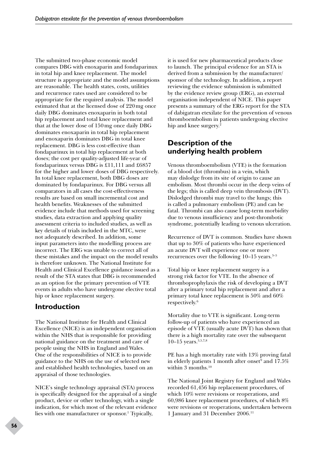The submitted two-phase economic model compares DBG with enoxaparin and fondaparinux in total hip and knee replacement. The model structure is appropriate and the model assumptions are reasonable. The health states, costs, utilities and recurrence rates used are considered to be appropriate for the required analysis. The model estimated that at the licensed dose of 220mg once daily DBG dominates enoxaparin in both total hip replacement and total knee replacement and that at the lower dose of 150mg once daily DBG dominates enoxaparin in total hip replacement and enoxaparin dominates DBG in total knee replacement. DBG is less cost-effective than fondaparinux in total hip replacement at both doses; the cost per quality-adjusted life-year of fondaparinux versus DBG is £11,111 and £6857 for the higher and lower doses of DBG respectively. In total knee replacement, both DBG doses are dominated by fondaparinux. For DBG versus all comparators in all cases the cost-effectiveness results are based on small incremental cost and health benefits. Weaknesses of the submitted evidence include that methods used for screening studies, data extraction and applying quality assessment criteria to included studies, as well as key details of trials included in the MTC, were not adequately described. In addition, some input parameters into the modelling process are incorrect. The ERG was unable to correct all of these mistakes and the impact on the model results is therefore unknown. The National Institute for Health and Clinical Excellence guidance issued as a result of the STA states that DBG is recommended as an option for the primary prevention of VTE events in adults who have undergone elective total hip or knee replacement surgery.

### **Introduction**

The National Institute for Health and Clinical Excellence (NICE) is an independent organisation within the NHS that is responsible for providing national guidance on the treatment and care of people using the NHS in England and Wales. One of the responsibilities of NICE is to provide guidance to the NHS on the use of selected new and established health technologies, based on an appraisal of those technologies.

NICE's single technology appraisal (STA) process is specifically designed for the appraisal of a single product, device or other technology, with a single indication, for which most of the relevant evidence lies with one manufacturer or sponsor.<sup>1</sup> Typically,

it is used for new pharmaceutical products close to launch. The principal evidence for an STA is derived from a submission by the manufacturer/ sponsor of the technology. In addition, a report reviewing the evidence submission is submitted by the evidence review group (ERG), an external organisation independent of NICE. This paper presents a summary of the ERG report for the STA of dabigatran etexilate for the prevention of venous thromboembolism in patients undergoing elective hip and knee surgery.<sup>2</sup>

### **Description of the underlying health problem**

Venous thromboembolism (VTE) is the formation of a blood clot (thrombus) in a vein, which may dislodge from its site of origin to cause an embolism. Most thrombi occur in the deep veins of the legs; this is called deep vein thrombosis (DVT). Dislodged thrombi may travel to the lungs; this is called a pulmonary embolism (PE) and can be fatal. Thrombi can also cause long-term morbidity due to venous insufficiency and post-thrombotic syndrome, potentially leading to venous ulceration.

Recurrence of DVT is common. Studies have shown that up to 30% of patients who have experienced an acute DVT will experience one or more recurrences over the following  $10-15$  years.<sup>3–5</sup>

Total hip or knee replacement surgery is a strong risk factor for VTE. In the absence of thromboprophylaxis the risk of developing a DVT after a primary total hip replacement and after a primary total knee replacement is 50% and 60% respectively.6

Mortality due to VTE is significant. Long-term follow-up of patients who have experienced an episode of VTE (usually acute DVT) has shown that there is a high mortality rate over the subsequent 10–15 years. $3,5,7,8$ 

PE has a high mortality rate with 13% proving fatal in elderly patients 1 month after onset<sup>9</sup> and  $17.5\%$ within 3 months.<sup>10</sup>

The National Joint Registry for England and Wales recorded 61,456 hip replacement procedures, of which 10% were revisions or reoperations, and 60,986 knee replacement procedures, of which 8% were revisions or reoperations, undertaken between 1 January and 31 December 2006.11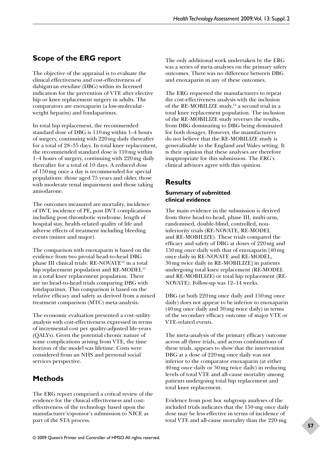# **Scope of the ERG report**

The objective of the appraisal is to evaluate the clinical effectiveness and cost-effectiveness of dabigatran etexilate (DBG) within its licensed indication for the prevention of VTE after elective hip or knee replacement surgery in adults. The comparators are enoxaparin (a low-molecularweight heparin) and fondaparinux.

In total hip replacement, the recommended standard dose of DBG is 110mg within 1–4 hours of surgery, continuing with 220mg daily thereafter for a total of 28–35 days. In total knee replacement, the recommended standard dose is 110mg within 1–4 hours of surgery, continuing with 220mg daily thereafter for a total of 10 days. A reduced dose of 150mg once a day is recommended for special populations: those aged 75 years and older, those with moderate renal impairment and those taking amiodarone.

The outcomes measured are mortality, incidence of DVT, incidence of PE, post DVT complications including post-thrombotic syndrome, length of hospital stay, health-related quality of life and adverse effects of treatment including bleeding events (minor and major).

The comparison with enoxaparin is based on the evidence from two pivotal head-to-head DBG phase III clinical trials: RE-NOVATE12 in a total hip replacement population and RE-MODEL<sup>13</sup> in a total knee replacement population. There are no head-to-head trials comparing DBG with fondaparinux. This comparison is based on the relative efficacy and safety as derived from a mixed treatment comparison (MTC) meta-analysis.

The economic evaluation presented a cost–utility analysis with cost-effectiveness expressed in terms of incremental cost per quality-adjusted life-years (QALYs). Given the potential chronic nature of some complications arising from VTE, the time horizon of the model was lifetime. Costs were considered from an NHS and personal social services perspective.

# **Methods**

The ERG report comprised a critical review of the evidence for the clinical effectiveness and costeffectiveness of the technology based upon the manufacturer's/sponsor's submission to NICE as part of the STA process.

The only additional work undertaken by the ERG was a series of meta-analyses on the primary safety outcomes. There was no difference between DBG and enoxaparin in any of these outcomes.

The ERG requested the manufacturers to repeat the cost-effectiveness analysis with the inclusion of the RE-MOBILIZE study,<sup>14</sup> a second trial in a total knee replacement population. The inclusion of the RE-MOBILIZE study reverses the results, from DBG dominating to DBG being dominated for both dosages. However, the manufacturers do not believe that the RE-MOBILIZE study is generalisable to the England and Wales setting. It is their opinion that these analyses are therefore inappropriate for this submission. The ERG's clinical advisors agree with this opinion.

# **Results**

### **Summary of submitted clinical evidence**

The main evidence in the submission is derived from three head-to-head, phase III, multi-arm, randomised, double-blind, controlled, noninferiority trials (RE-NOVATE, RE-MODEL and RE-MOBILIZE). These trials compared the efficacy and safety of DBG at doses of 220mg and 150mg once daily with that of enoxaparin [40mg once daily in RE-NOVATE and RE-MODEL, 30mg twice daily in RE-MOBILIZE] in patients undergoing total knee replacement (RE-MODEL and RE-MOBILIZE) or total hip replacement (RE-NOVATE). Follow-up was 12–14 weeks.

DBG (at both 220mg once daily and 150mg once daily) does not appear to be inferior to enoxaparin (40mg once daily and 30mg twice daily) in terms of the secondary efficacy outcome of major VTE or VTE-related events.

The meta-analysis of the primary efficacy outcome across all three trials, and across combinations of these trials, appears to show that the intervention DBG at a dose of 220mg once daily was not inferior to the comparator enoxaparin (at either 40mg once daily or 30mg twice daily) in reducing levels of total VTE and all-cause mortality among patients undergoing total hip replacement and total knee replacement.

Evidence from post hoc subgroup analyses of the included trials indicates that the 150-mg once daily dose may be less effective in terms of incidence of total VTE and all-cause mortality than the 220-mg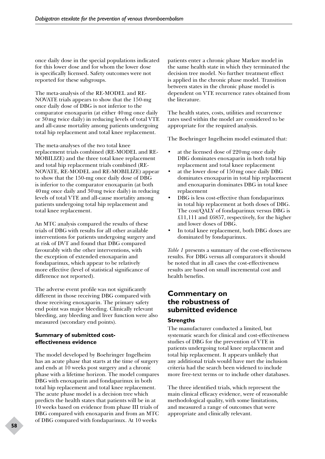once daily dose in the special populations indicated for this lower dose and for whom the lower dose is specifically licensed. Safety outcomes were not reported for these subgroups.

The meta-analysis of the RE-MODEL and RE-NOVATE trials appears to show that the 150-mg once daily dose of DBG is not inferior to the comparator enoxaparin (at either 40mg once daily or 30mg twice daily) in reducing levels of total VTE and all-cause mortality among patients undergoing total hip replacement and total knee replacement.

The meta-analyses of the two total knee replacement trials combined (RE-MODEL and RE-MOBILIZE) and the three total knee replacement and total hip replacement trials combined (RE-NOVATE, RE-MODEL and RE-MOBILIZE) appear to show that the 150-mg once daily dose of DBG is inferior to the comparator enoxaparin (at both 40mg once daily and 30mg twice daily) in reducing levels of total VTE and all-cause mortality among patients undergoing total hip replacement and total knee replacement.

An MTC analysis compared the results of these trials of DBG with results for all other available interventions for patients undergoing surgery and at risk of DVT and found that DBG compared favourably with the other interventions, with the exception of extended enoxaparin and fondaparinux, which appear to be relatively more effective (level of statistical significance of difference not reported).

The adverse event profile was not significantly different in those receiving DBG compared with those receiving enoxaparin. The primary safety end point was major bleeding. Clinically relevant bleeding, any bleeding and liver function were also measured (secondary end points).

#### **Summary of submitted costeffectiveness evidence**

The model developed by Boehringer Ingelheim has an acute phase that starts at the time of surgery and ends at 10 weeks post surgery and a chronic phase with a lifetime horizon. The model compares DBG with enoxaparin and fondaparinux in both total hip replacement and total knee replacement. The acute phase model is a decision tree which predicts the health states that patients will be in at 10 weeks based on evidence from phase III trials of DBG compared with enoxaparin and from an MTC of DBG compared with fondaparinux. At 10 weeks

patients enter a chronic phase Markov model in the same health state in which they terminated the decision tree model. No further treatment effect is applied in the chronic phase model. Transition between states in the chronic phase model is dependent on VTE recurrence rates obtained from the literature.

The health states, costs, utilities and recurrence rates used within the model are considered to be appropriate for the required analysis.

The Boehringer Ingelheim model estimated that:

- at the licensed dose of 220 mg once daily DBG dominates enoxaparin in both total hip replacement and total knee replacement
- at the lower dose of 150 mg once daily DBG dominates enoxaparin in total hip replacement and enoxaparin dominates DBG in total knee replacement
- DBG is less cost-effective than fondaparinux in total hip replacement at both doses of DBG. The cost/QALY of fondaparinux versus DBG is £11,111 and £6857, respectively, for the higher and lower doses of DBG.
- In total knee replacement, both DBG doses are dominated by fondaparinux.

*Table 1* presents a summary of the cost-effectiveness results. For DBG versus all comparators it should be noted that in all cases the cost-effectiveness results are based on small incremental cost and health benefits.

# **Commentary on the robustness of submitted evidence**

#### **Strengths**

The manufacturer conducted a limited, but systematic search for clinical and cost-effectiveness studies of DBG for the prevention of VTE in patients undergoing total knee replacement and total hip replacement. It appears unlikely that any additional trials would have met the inclusion criteria had the search been widened to include more free-text terms or to include other databases.

The three identified trials, which represent the main clinical efficacy evidence, were of reasonable methodological quality, with some limitations, and measured a range of outcomes that were appropriate and clinically relevant.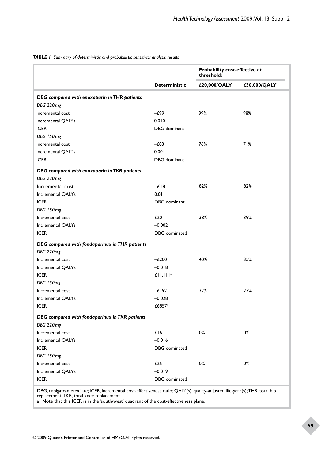|                                                |                         | Probability cost-effective at<br>threshold: |              |
|------------------------------------------------|-------------------------|---------------------------------------------|--------------|
|                                                | <b>Deterministic</b>    | £20,000/QALY                                | £30,000/QALY |
| DBG compared with enoxaparin in THR patients   |                         |                                             |              |
| DBG 220 mg                                     |                         |                                             |              |
| Incremental cost                               | $-E99$                  | 99%                                         | 98%          |
| Incremental QALYs                              | 0.010                   |                                             |              |
| <b>ICER</b>                                    | DBG dominant            |                                             |              |
| DBG 150mg                                      |                         |                                             |              |
| Incremental cost                               | $-£83$                  | 76%                                         | 71%          |
| Incremental QALYs                              | 0.001                   |                                             |              |
| <b>ICER</b>                                    | DBG dominant            |                                             |              |
| DBG compared with enoxaparin in TKR patients   |                         |                                             |              |
| DBG 220 mg                                     |                         |                                             |              |
| Incremental cost                               | $-L18$                  | 82%                                         | 82%          |
| Incremental QALYs                              | 0.011                   |                                             |              |
| <b>ICER</b>                                    | DBG dominant            |                                             |              |
| DBG 150mg                                      |                         |                                             |              |
| Incremental cost                               | £20                     | 38%                                         | 39%          |
| Incremental QALYs                              | $-0.002$                |                                             |              |
| <b>ICER</b>                                    | DBG dominated           |                                             |              |
| DBG compared with fondaparinux in THR patients |                         |                                             |              |
| DBG 220mg                                      |                         |                                             |              |
| Incremental cost                               | $-\pounds 200$          | 40%                                         | 35%          |
| Incremental QALYs                              | $-0.018$                |                                             |              |
| <b>ICER</b>                                    | $f  ,$     <sup>a</sup> |                                             |              |
| DBG 150mg                                      |                         |                                             |              |
| Incremental cost                               | $-L192$                 | 32%                                         | 27%          |
| Incremental QALYs                              | $-0.028$                |                                             |              |
| <b>ICER</b>                                    | £6857 <sup>a</sup>      |                                             |              |
| DBG compared with fondaparinux in TKR patients |                         |                                             |              |
| DBG 220 mg                                     |                         |                                             |              |
| Incremental cost                               | £16                     | 0%                                          | 0%           |
| Incremental QALYs                              | $-0.016$                |                                             |              |
| <b>ICER</b>                                    | DBG dominated           |                                             |              |
| DBG 150mg                                      |                         |                                             |              |
| Incremental cost                               | £25                     | 0%                                          | 0%           |
| Incremental QALYs                              | $-0.019$                |                                             |              |
| <b>ICER</b>                                    | DBG dominated           |                                             |              |

*TABLE 1 Summary of deterministic and probabilistic sensitivity analysis results* 

DBG, dabigatran etexilate; ICER, incremental cost-effectiveness ratio; QALY(s), quality-adjusted life-year(s); THR, total hip replacement; TKR, total knee replacement.

a Note that this ICER is in the 'south/west' quadrant of the cost-effectiveness plane.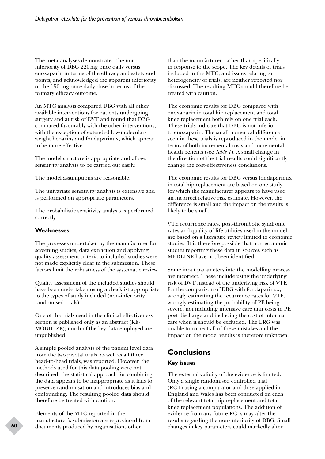The meta-analyses demonstrated the noninferiority of DBG 220mg once daily versus enoxaparin in terms of the efficacy and safety end points, and acknowledged the apparent inferiority of the 150-mg once daily dose in terms of the primary efficacy outcome.

An MTC analysis compared DBG with all other available interventions for patients undergoing surgery and at risk of DVT and found that DBG compared favourably with the other interventions, with the exception of extended low-molecularweight heparins and fondaparinux, which appear to be more effective.

The model structure is appropriate and allows sensitivity analysis to be carried out easily.

The model assumptions are reasonable.

The univariate sensitivity analysis is extensive and is performed on appropriate parameters.

The probabilistic sensitivity analysis is performed correctly.

#### **Weaknesses**

The processes undertaken by the manufacturer for screening studies, data extraction and applying quality assessment criteria to included studies were not made explicitly clear in the submission. These factors limit the robustness of the systematic review.

Quality assessment of the included studies should have been undertaken using a checklist appropriate to the types of study included (non-inferiority randomised trials).

One of the trials used in the clinical effectiveness section is published only as an abstract (RE-MOBILIZE); much of the key data employed are unpublished.

A simple pooled analysis of the patient level data from the two pivotal trials, as well as all three head-to-head trials, was reported. However, the methods used for this data pooling were not described; the statistical approach for combining the data appears to be inappropriate as it fails to preserve randomisation and introduces bias and confounding. The resulting pooled data should therefore be treated with caution.

Elements of the MTC reported in the manufacturer's submission are reproduced from documents produced by organisations other

than the manufacturer, rather than specifically in response to the scope. The key details of trials included in the MTC, and issues relating to heterogeneity of trials, are neither reported nor discussed. The resulting MTC should therefore be treated with caution.

The economic results for DBG compared with enoxaparin in total hip replacement and total knee replacement both rely on one trial each. These trials indicate that DBG is not inferior to enoxaparin. The small numerical difference seen in these trials is reproduced in the model in terms of both incremental costs and incremental health benefits (see *Table 1*). A small change in the direction of the trial results could significantly change the cost-effectiveness conclusions.

The economic results for DBG versus fondaparinux in total hip replacement are based on one study for which the manufacturer appears to have used an incorrect relative risk estimate. However, the difference is small and the impact on the results is likely to be small.

VTE recurrence rates, post-thrombotic syndrome rates and quality of life utilities used in the model are based on a literature review limited to economic studies. It is therefore possible that non-economic studies reporting these data in sources such as MEDLINE have not been identified.

Some input parameters into the modelling process are incorrect. These include using the underlying risk of DVT instead of the underlying risk of VTE for the comparison of DBG with fondaparinux, wrongly estimating the recurrence rates for VTE, wrongly estimating the probability of PE being severe, not including intensive care unit costs in PE post discharge and including the cost of informal care when it should be excluded. The ERG was unable to correct all of these mistakes and the impact on the model results is therefore unknown.

## **Conclusions**

#### **Key issues**

The external validity of the evidence is limited. Only a single randomised controlled trial (RCT) using a comparator and dose applied in England and Wales has been conducted on each of the relevant total hip replacement and total knee replacement populations. The addition of evidence from any future RCTs may alter the results regarding the non-inferiority of DBG. Small changes in key parameters could markedly alter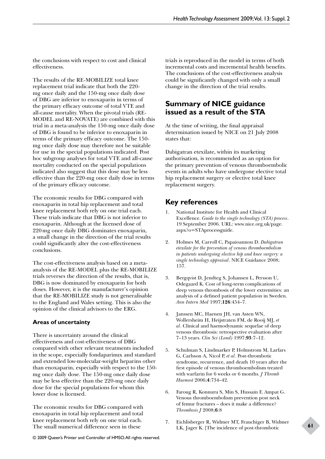the conclusions with respect to cost and clinical effectiveness.

The results of the RE-MOBILIZE total knee replacement trial indicate that both the 220 mg once daily and the 150-mg once daily dose of DBG are inferior to enoxaparin in terms of the primary efficacy outcome of total VTE and all-cause mortality. When the pivotal trials (RE-MODEL and RE-NOVATE) are combined with this trial in a meta-analysis the 150-mg once daily dose of DBG is found to be inferior to enoxaparin in terms of the primary efficacy outcome. The 150 mg once daily dose may therefore not be suitable for use in the special populations indicated. Post hoc subgroup analyses for total VTE and all-cause mortality conducted on the special populations indicated also suggest that this dose may be less effective than the 220-mg once daily dose in terms of the primary efficacy outcome.

The economic results for DBG compared with enoxaparin in total hip replacement and total knee replacement both rely on one trial each. These trials indicate that DBG is not inferior to enoxaparin. Although at the licensed dose of 220mg once daily DBG dominates enoxaparin, a small change in the direction of the trial results could significantly alter the cost-effectiveness conclusions.

The cost-effectiveness analysis based on a metaanalysis of the RE-MODEL plus the RE-MOBILIZE trials reverses the direction of the results, that is, DBG is now dominated by enoxaparin for both doses. However, it is the manufacturer's opinion that the RE-MOBILIZE study is not generalisable to the England and Wales setting. This is also the opinion of the clinical advisors to the ERG.

#### **Areas of uncertainty**

There is uncertainty around the clinical effectiveness and cost-effectiveness of DBG compared with other relevant treatments included in the scope, especially fondaparinux and standard and extended low-molecular-weight heparins other than enoxaparin, especially with respect to the 150 mg once daily dose. The 150-mg once daily dose may be less effective than the 220-mg once daily dose for the special populations for whom this lower dose is licensed.

The economic results for DBG compared with enoxaparin in total hip replacement and total knee replacement both rely on one trial each. The small numerical difference seen in these

trials is reproduced in the model in terms of both incremental costs and incremental health benefits. The conclusions of the cost-effectiveness analysis could be significantly changed with only a small change in the direction of the trial results.

## **Summary of NICE guidance issued as a result of the STA**

At the time of writing, the final appraisal determination issued by NICE on 21 July 2008 states that:

Dabigatran etexilate, within its marketing authorisation, is recommended as an option for the primary prevention of venous thromboembolic events in adults who have undergone elective total hip replacement surgery or elective total knee replacement surgery.

# **Key references**

- 1. National Institute for Health and Clinical Excellence. *Guide to the single technology (STA) process*. 19 September 2006. URL: www.nice.org.uk/page. aspx?o=STAprocessguide.
- 2. Holmes M, Carroll C, Papaioannou D. *Dabigatran etexilate for the prevention of venous thromboembolism in patients undergoing elective hip and knee surgery: a single technology appraisal*. NICE Guidance 2008; 157.
- 3. Bergqvist D, Jendteg S, Johansen L, Persson U, Odegaard K. Cost of long-term complications of deep venous thrombosis of the lower extremities: an analysis of a defined patient population in Sweden. *Ann Intern Med* 1997;**126**:454–7.
- 4. Janssen MC, Haenen JH, van Asten WN, Wollersheim H, Heijstraten FM, de Rooij MJ, *et al*. Clinical and haemodynamic sequelae of deep venous thrombosis: retrospective evaluation after 7–13 years. *Clin Sci (Lond)* 1997;**93**:7–12.
- 5. Schulman S, Lindmarker P, Holmstrom M, Larfars G, Carlsson A, Nicol P, *et al*. Post-thrombotic syndrome, recurrence, and death 10 years after the first episode of venous thromboembolism treated with warfarin for 6 weeks or 6 months. *J Thromb Haemost* 2006;**4**:734–42.
- 6. Faroug R, Konnuru S, Min S, Hussain F, Ampat G. Venous thromboembolism prevention post neck of femur fractures – does it make a difference? *Thrombosis J* 2008;**6**:8
- 7. Eichlisberger R, Widmer MT, Frauchiger B, Widmer LK, Jager K. [The incidence of post-thrombotic

© 2009 Queen's Printer and Controller of HMSO. All rights reserved.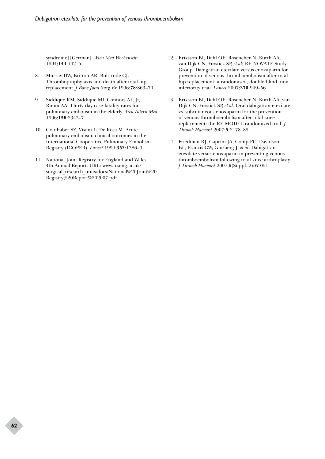syndrome] [German]. *Wien Med Wochenschr* 1994;**144**:192–5.

- 8. Murray DW, Britton AR, Bulstrode CJ. Thromboprophylaxis and death after total hip replacement. *J Bone Joint Surg Br* 1996;**78**:863–70.
- 9. Siddique RM, Siddique MI, Connors AF, Jr, Rimm AA. Thirty-day case-fatality rates for pulmonary embolism in the elderly. *Arch Intern Med* 1996;**156**:2343–7.
- 10. Goldhaber SZ, Visani L, De Rosa M. Acute pulmonary embolism: clinical outcomes in the International Cooperative Pulmonary Embolism Registry (ICOPER). *Lancet* 1999;**353**:1386–9.
- 11. National Joint Registry for England and Wales 4th Annual Report. URL: www.rcseng.ac.uk/ surgical research units/docs/National%20Joint%20 Registry%20Report%202007.pdf.
- 12. Eriksson BI, Dahl OE, Rosencher N, Kurth AA, van Dijk CN, Frostick SP, *et al*; RE-NOVATE Study Group. Dabigatran etexilate versus enoxaparin for prevention of venous thromboembolism after total hip replacement: a randomised, double-blind, noninferiority trial. *Lancet* 2007;**370**:949–56.
- 13. Eriksson BI, Dahl OE, Rosencher N, Kurth AA, van Dijk CN, Frostick SP, *et al*. Oral dabigatran etexilate vs. subcutaneous enoxaparin for the prevention of venous thromboembolism after total knee replacement: the RE-MODEL randomized trial. *J Thromb Haemost* 2007;**5**:2178–85.
- 14. Friedman RJ, Caprini JA, Comp PC, Davidson BL, Francis CW, Ginsberg J, *et al*. Dabigatran etexilate versus enoxaparin in preventing venous thromboembolism following total knee arthroplasty. *J Thromb Haemost* 2007;**5**(Suppl. 2):W-051.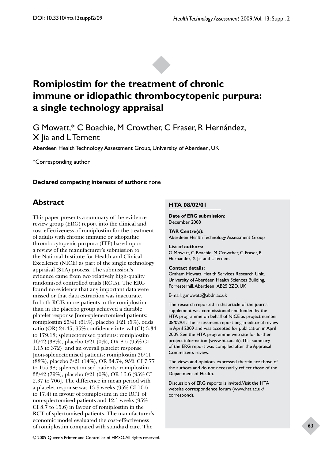

# **Romiplostim for the treatment of chronic immune or idiopathic thrombocytopenic purpura: a single technology appraisal**

# G Mowatt,\* C Boachie, M Crowther, C Fraser, R Hernández, X Jia and L Ternent

Aberdeen Health Technology Assessment Group, University of Aberdeen, UK

\*Corresponding author

### **Declared competing interests of authors:** none

# **Abstract**

This paper presents a summary of the evidence review group (ERG) report into the clinical and cost-effectiveness of romiplostim for the treatment of adults with chronic immune or idiopathic thrombocytopenic purpura (ITP) based upon a review of the manufacturer's submission to the National Institute for Health and Clinical Excellence (NICE) as part of the single technology appraisal (STA) process. The submission's evidence came from two relatively high-quality randomised controlled trials (RCTs). The ERG found no evidence that any important data were missed or that data extraction was inaccurate. In both RCTs more patients in the romiplostim than in the placebo group achieved a durable platelet response [non-splenectomised patients: romiplostim 25/41 (61%), placebo 1/21 (5%), odds ratio (OR) 24.45, 95% confidence interval (CI) 3.34 to 179.18; splenectomised patients: romiplostim 16/42 (38%), placebo 0/21 (0%), OR 8.5 (95% CI 1.15 to 372)] and an overall platelet response [non-splenectomised patients: romiplostim 36/41 (88%), placebo 3/21 (14%), OR 34.74, 95% CI 7.77 to 155.38; splenectomised patients: romiplostim 33/42 (79%), placebo 0/21 (0%), OR 16.6 (95% CI 2.37 to 706]. The difference in mean period with a platelet response was 13.9 weeks (95% CI 10.5 to 17.4) in favour of romiplostim in the RCT of non-splectomised patients and 12.1 weeks (95% CI 8.7 to 15.6) in favour of romiplostim in the RCT of splectomised patients. The manufacturer's economic model evaluated the cost-effectiveness of romiplostim compared with standard care. The

### **Date of ERG submission:**

December 2008

**HTA 08/02/01**

**TAR Centre(s):** Aberdeen Health Technology Assessment Group

#### **List of authors:** G Mowatt, C Boachie, M Crowther, C Fraser, R Hernández, X Jia and L Ternent

#### **Contact details:**

Graham Mowatt, Health Services Research Unit, University of Aberdeen Health Sciences Building, Forresterhill, Aberdeen AB25 2ZD, UK

E-mail: g.mowatt@abdn.ac.uk

The research reported in this article of the journal supplement was commissioned and funded by the HTA programme on behalf of NICE as project number 08/02/01. The assessment report began editorial review in April 2009 and was accepted for publication in April 2009. See the HTA programme web site for further project information (www.hta.ac.uk). This summary of the ERG report was compiled after the Appraisal Committee's review.

The views and opinions expressed therein are those of the authors and do not necessarily reflect those of the Department of Health.

Discussion of ERG reports is invited. Visit the HTA website correspondence forum (www.hta.ac.uk/ correspond).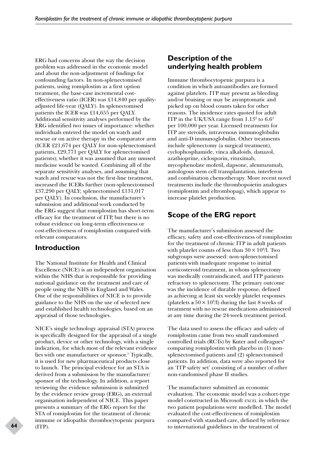ERG had concerns about the way the decision problem was addressed in the economic model and about the non-adjustment of findings for confounding factors. In non-splenectomised patients, using romiplostim as a first option treatment, the base-case incremental costeffectiveness ratio (ICER) was £14,840 per qualityadjusted life-year (QALY). In splenectomised patients the ICER was £14,655 per QALY. Additional sensitivity analyses performed by the ERG identified two issues of importance: whether individuals entered the model on watch and rescue or on active therapy in the comparator arm (ICER £21,674 per QALY for non-splenectomised patients, £29,771 per QALY for splenectomised patients); whether it was assumed that any unused medicine would be wasted. Combining all of the separate sensitivity analyses, and assuming that watch and rescue was not the first-line treatment, increased the ICERs further (non-splenectomised £37,290 per QALY; splenectomised £131,017 per QALY). In conclusion, the manufacturer's submission and additional work conducted by the ERG suggest that romiplostim has short-term efficacy for the treatment of ITP, but there is no robust evidence on long-term effectiveness or cost-effectiveness of romiplostim compared with relevant comparators.

## **Introduction**

The National Institute for Health and Clinical Excellence (NICE) is an independent organisation within the NHS that is responsible for providing national guidance on the treatment and care of people using the NHS in England and Wales. One of the responsibilities of NICE is to provide guidance to the NHS on the use of selected new and established health technologies, based on an appraisal of those technologies.

NICE's single technology appraisal (STA) process is specifically designed for the appraisal of a single product, device or other technology, with a single indication, for which most of the relevant evidence lies with one manufacturer or sponsor.<sup>1</sup> Typically, it is used for new pharmaceutical products close to launch. The principal evidence for an STA is derived from a submission by the manufacturer/ sponsor of the technology. In addition, a report reviewing the evidence submission is submitted by the evidence review group (ERG), an external organisation independent of NICE. This paper presents a summary of the ERG report for the STA of romiplostim for the treatment of chronic immune or idiopathic thrombocytopenic purpura (ITP).

# **Description of the underlying health problem**

Immune thrombocytopenic purpura is a condition in which autoantibodies are formed against platelets. ITP may present as bleeding and/or bruising or may be asymptomatic and picked up on blood counts taken for other reasons. The incidence rates quoted for adult ITP in the UK/USA range from  $1.13^2$  to  $6.6^3$ per 100,000 per year. Licensed treatments for ITP are steroids, intravenous immunoglobulin and anti-D immunoglobulin. Other treatments include splenectomy (a surgical treatment), cyclophosphamide, vinca alkaloids, danazol, azathioprine, ciclosporin, rituximab, mycophenolate mofetil, dapsone, alemtuzumab, autologous stem cell transplantation, interferon and combination chemotherapy. More recent novel treatments include the thrombopoietin analogues (romiplostim and eltrombopag), which appear to increase platelet production.

# **Scope of the ERG report**

The manufacturer's submission assessed the efficacy, safety and cost-effectiveness of romiplostim for the treatment of chronic ITP in adult patients with platelet counts of less than  $30 \times 10^9$ /l. Two subgroups were assessed: non-splenectomised patients with inadequate response to initial corticosteroid treatment, in whom splenectomy was medically contraindicated, and ITP patients refractory to splenectomy. The primary outcome was the incidence of durable response, defined as achieving at least six weekly platelet responses (platelets ≥50 × 10<sup>9</sup>/l) during the last 8 weeks of treatment with no rescue medications administered at any time during the 24-week treatment period.

The data used to assess the efficacy and safety of romiplostim came from two small randomised controlled trials (RCTs) by Kuter and colleagues $4$ comparing romiplostim with placebo in (1) nonsplenectomised patients and (2) splenectomised patients. In addition, data were also reported for an 'ITP safety set' consisting of a number of other non-randomised phase II studies.

The manufacturer submitted an economic evaluation. The economic model was a cohort-type model constructed in Microsoft excel in which the two patient populations were modelled. The model evaluated the cost-effectiveness of romiplostim compared with standard care, defined by reference to international guidelines in the treatment of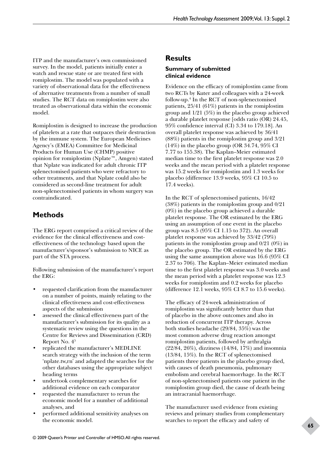ITP and the manufacturer's own commissioned survey. In the model, patients initially enter a watch and rescue state or are treated first with romiplostim. The model was populated with a variety of observational data for the effectiveness of alternative treatments from a number of small studies. The RCT data on romiplostim were also treated as observational data within the economic model.

Romiplostim is designed to increase the production of platelets at a rate that outpaces their destruction by the immune system. The European Medicines Agency's (EMEA) Committee for Medicinal Products for Human Use (CHMP) positive opinion for romiplostim (Nplate™, Amgen) stated that Nplate was indicated for adult chronic ITP splenectomised patients who were refractory to other treatments, and that Nplate could also be considered as second-line treatment for adult non-splenectomised patients in whom surgery was contraindicated.

# **Methods**

The ERG report comprised a critical review of the evidence for the clinical effectiveness and costeffectiveness of the technology based upon the manufacturer's/sponsor's submission to NICE as part of the STA process.

Following submission of the manufacturer's report the ERG:

- requested clarification from the manufacturer on a number of points, mainly relating to the clinical effectiveness and cost-effectiveness aspects of the submission
- assessed the clinical effectiveness part of the manufacturer's submission for its quality as a systematic review using the questions in the Centre for Reviews and Dissemination (CRD) Report No. 45
- replicated the manufacturer's MEDLINE search strategy with the inclusion of the term 'nplate.tw,rn' and adapted the searches for the other databases using the appropriate subject heading terms
- • undertook complementary searches for additional evidence on each comparator
- requested the manufacturer to rerun the economic model for a number of additional analyses, and
- performed additional sensitivity analyses on the economic model.

### **Results**

#### **Summary of submitted clinical evidence**

Evidence on the efficacy of romiplostim came from two RCTs by Kuter and colleagues with a 24-week follow-up.4 In the RCT of non-splenectomised patients, 25/41 (61%) patients in the romiplostim group and 1/21 (5%) in the placebo group achieved a durable platelet response [odds ratio (OR) 24.45, 95% confidence interval (CI) 3.34 to 179.18]. An overall platelet response was achieved by 36/41 (88%) patients in the romiplostim group and 3/21 (14%) in the placebo group (OR 34.74, 95% CI 7.77 to 155.38). The Kaplan–Meier estimated median time to the first platelet response was 2.0 weeks and the mean period with a platelet response was 15.2 weeks for romiplostim and 1.3 weeks for placebo (difference 13.9 weeks, 95% CI 10.5 to 17.4 weeks).

In the RCT of splenectomised patients, 16/42 (38%) patients in the romiplostim group and 0/21 (0%) in the placebo group achieved a durable platelet response. The OR estimated by the ERG using an assumption of one event in the placebo group was 8.5 (95% CI 1.15 to 372). An overall platelet response was achieved by 33/42 (79%) patients in the romiplostim group and 0/21 (0%) in the placebo group. The OR estimated by the ERG using the same assumption above was 16.6 (95% CI 2.37 to 706). The Kaplan–Meier estimated median time to the first platelet response was 3.0 weeks and the mean period with a platelet response was 12.3 weeks for romiplostim and 0.2 weeks for placebo (difference 12.1 weeks,  $95\%$  CI 8.7 to 15.6 weeks).

The efficacy of 24-week administration of romiplostim was significantly better than that of placebo in the above outcomes and also in reduction of concurrent ITP therapy. Across both studies headache (29/84, 35%) was the most common adverse drug reaction amongst romiplostim patients, followed by arthralgia (22/84, 26%), dizziness (14/84, 17%) and insomnia (13/84, 15%). In the RCT of splenectomised patients three patients in the placebo group died, with causes of death pneumonia, pulmonary embolism and cerebral haemorrhage. In the RCT of non-splenectomised patients one patient in the romiplostim group died, the cause of death being an intracranial haemorrhage.

The manufacturer used evidence from existing reviews and primary studies from complementary searches to report the efficacy and safety of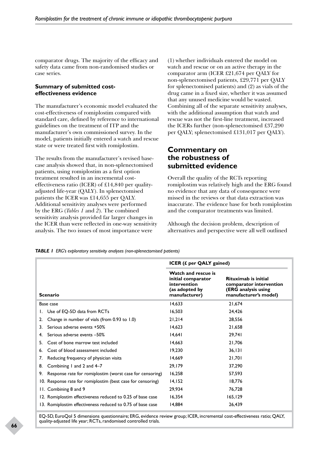comparator drugs. The majority of the efficacy and safety data came from non-randomised studies or case series.

#### **Summary of submitted costeffectiveness evidence**

The manufacturer's economic model evaluated the cost-effectiveness of romiplostim compared with standard care, defined by reference to international guidelines on the treatment of ITP and the manufacturer's own commissioned survey. In the model, patients initially entered a watch and rescue state or were treated first with romiplostim.

The results from the manufacturer's revised basecase analysis showed that, in non-splenectomised patients, using romiplostim as a first option treatment resulted in an incremental costeffectiveness ratio (ICER) of £14,840 per qualityadjusted life-year (QALY). In splenectomised patients the ICER was £14,655 per QALY. Additional sensitivity analyses were performed by the ERG (*Tables 1* and *2*). The combined sensitivity analysis provided far larger changes in the ICER than were reflected in one-way sensitivity analysis. The two issues of most importance were

(1) whether individuals entered the model on watch and rescue or on an active therapy in the comparator arm (ICER £21,674 per QALY for non-splenectomised patients, £29,771 per QALY for splenectomised patients) and (2) as vials of the drug came in a fixed size, whether it was assumed that any unused medicine would be wasted. Combining all of the separate sensitivity analyses, with the additional assumption that watch and rescue was not the first-line treatment, increased the ICERs further (non-splenectomised £37,290 per QALY; splenectomised £131,017 per QALY).

# **Commentary on the robustness of submitted evidence**

Overall the quality of the RCTs reporting romiplostim was relatively high and the ERG found no evidence that any data of consequence were missed in the reviews or that data extraction was inaccurate. The evidence base for both romiplostim and the comparator treatments was limited.

Although the decision problem, description of alternatives and perspective were all well outlined

*TABLE 1 ERG's exploratory sensitivity analyses (non-splenectomised patients)*

|                                                                | ICER (£ per QALY gained)                                                                            |                                                                                                 |
|----------------------------------------------------------------|-----------------------------------------------------------------------------------------------------|-------------------------------------------------------------------------------------------------|
| <b>Scenario</b>                                                | <b>Watch and rescue is</b><br>initial comparator<br>intervention<br>(as adopted by<br>manufacturer) | Rituximab is initial<br>comparator intervention<br>(ERG analysis using<br>manufacturer's model) |
| Base case                                                      | 14,633                                                                                              | 21,674                                                                                          |
| Use of EQ-5D data from RCTs<br>L.                              | 16,503                                                                                              | 24,426                                                                                          |
| Change in number of vials (from 0.93 to 1.0)<br>2.             | 21,214                                                                                              | 28,556                                                                                          |
| Serious adverse events +50%<br>3.                              | 14,623                                                                                              | 21,658                                                                                          |
| Serious adverse events -50%<br>4.                              | 14,641                                                                                              | 29,741                                                                                          |
| Cost of bone marrow test included<br>5.                        | 14,663                                                                                              | 21,706                                                                                          |
| Cost of blood assessment included<br>6.                        | 19,230                                                                                              | 36,131                                                                                          |
| Reducing frequency of physician visits<br>7.                   | 14,669                                                                                              | 21,701                                                                                          |
| Combining 1 and 2 and 4-7<br>8.                                | 29,179                                                                                              | 37,290                                                                                          |
| Response rate for romiplostim (worst case for censoring)<br>9. | 16,258                                                                                              | 57,593                                                                                          |
| 10. Response rate for romiplostim (best case for censoring)    | 14,152                                                                                              | 18,776                                                                                          |
| 11. Combining 8 and 9                                          | 29,934                                                                                              | 76,728                                                                                          |
| 12. Romiplostim effectiveness reduced to 0.25 of base case     | 16,354                                                                                              | 165, 129                                                                                        |
| 13. Romiplostim effectiveness reduced to 0.75 of base case     | 14,884                                                                                              | 26,439                                                                                          |

EQ-5D, EuroQol 5 dimensions questionnaire; ERG, evidence review group; ICER, incremental cost-effectiveness ratio; QALY, quality-adjusted life year; RCTs, randomised controlled trials.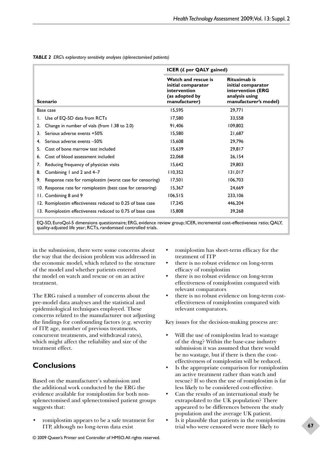|                                                                | ICER (£ per QALY gained)                                                                            |                                                                                                           |
|----------------------------------------------------------------|-----------------------------------------------------------------------------------------------------|-----------------------------------------------------------------------------------------------------------|
| <b>Scenario</b>                                                | <b>Watch and rescue is</b><br>initial comparator<br>intervention<br>(as adopted by<br>manufacturer) | <b>Rituximab is</b><br>initial comparator<br>intervention (ERG<br>analysis using<br>manufacturer's model) |
| Base case                                                      | 15,595                                                                                              | 29.771                                                                                                    |
| Use of EQ-5D data from RCTs                                    | 17,580                                                                                              | 33.558                                                                                                    |
| Change in number of vials (from 1.38 to 2.0)<br>2.             | 91,406                                                                                              | 109,802                                                                                                   |
| Serious adverse events +50%<br>З.                              | 15,580                                                                                              | 21,687                                                                                                    |
| Serious adverse events -50%<br>4.                              | 15,608                                                                                              | 29,796                                                                                                    |
| Cost of bone marrow test included<br>5.                        | 15,639                                                                                              | 29,817                                                                                                    |
| Cost of blood assessment included<br>6.                        | 22,068                                                                                              | 26,154                                                                                                    |
| Reducing frequency of physician visits<br>7.                   | 15,642                                                                                              | 29,803                                                                                                    |
| Combining 1 and 2 and 4-7<br>8.                                | 110,352                                                                                             | 131,017                                                                                                   |
| Response rate for romiplostim (worst case for censoring)<br>9. | 17,501                                                                                              | 106,703                                                                                                   |
| 10. Response rate for romiplostim (best case for censoring)    | 15,367                                                                                              | 24,669                                                                                                    |
| 11. Combining 8 and 9                                          | 106, 515                                                                                            | 233,106                                                                                                   |
| 12. Romiplostim effectiveness reduced to 0.25 of base case     | 17,245                                                                                              | 446,204                                                                                                   |
| 13. Romiplostim effectiveness reduced to 0.75 of base case     | 15,808                                                                                              | 39,268                                                                                                    |

*TABLE 2 ERG's exploratory sensitivity analyses (splenectomised patients)*

EQ-5D, EuroQol-5 dimensions questionnaire; ERG, evidence review group; ICER, incremental cost-effectiveness ratio; QALY, quality-adjusted life year; RCTs, randomised controlled trials.

in the submission, there were some concerns about the way that the decision problem was addressed in the economic model, which related to the structure of the model and whether patients entered the model on watch and rescue or on an active treatment.

The ERG raised a number of concerns about the pre-model data analyses and the statistical and epidemiological techniques employed. These concerns related to the manufacturer not adjusting the findings for confounding factors (e.g. severity of ITP, age, number of previous treatments, concurrent treatments, and withdrawal rates), which might affect the reliability and size of the treatment effect.

# **Conclusions**

Based on the manufacturer's submission and the additional work conducted by the ERG the evidence available for romiplostim for both nonsplenectomised and splenectomised patient groups suggests that:

romiplostim appears to be a safe treatment for ITP, although no long-term data exist

- romiplostim has short-term efficacy for the treatment of ITP
- there is no robust evidence on long-term efficacy of romiplostim
- there is no robust evidence on long-term effectiveness of romiplostim compared with relevant comparators
- there is no robust evidence on long-term costeffectiveness of romiplostim compared with relevant comparators.

Key issues for the decision-making process are:

- Will the use of romiplostim lead to wastage of the drug? Within the base-case industry submission it was assumed that there would be no wastage, but if there is then the costeffectiveness of romiplostim will be reduced.
- Is the appropriate comparison for romiplostim an active treatment rather than watch and rescue? If so then the use of romiplostim is far less likely to be considered cost-effective.
- Can the results of an international study be extrapolated to the UK population? There appeared to be differences between the study population and the average UK patient.
- Is it plausible that patients in the romiplostim trial who were censored were more likely to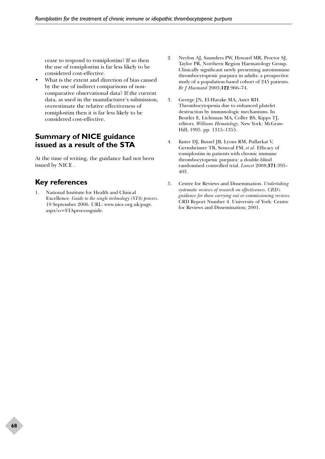cease to respond to romiplostim? If so then the use of romiplostim is far less likely to be considered cost-effective.

What is the extent and direction of bias caused by the use of indirect comparisons of noncomparative observational data? If the current data, as used in the manufacturer's submission, overestimate the relative effectiveness of romiplostim then it is far less likely to be considered cost-effective.

# **Summary of NICE guidance issued as a result of the STA**

At the time of writing, the guidance had not been issued by NICE .

# **Key references**

1. National Institute for Health and Clinical Excellence. *Guide to the single technology (STA) process*. 19 September 2006. URL: www.nice.org.uk/page. aspx?o=STAprocessguide.

- 2. Neylon AJ, Saunders PW, Howard MR, Proctor SJ, Taylor PR, Northern Region Haematology Group. Clinically significant newly presenting autoimmune thrombocytopenic purpura in adults: a prospective study of a population-based cohort of 245 patients. *Br J Haematol* 2003;**122**:966–74.
- 3. George JN, El-Harake MA, Aster RH. Thrombocytopenia due to enhanced platelet destruction by immunologic mechanisms. In Beutler E, Lichtman MA, Coller BS, Kipps TJ, editors. *Williams Hematology*. New York: McGraw-Hill; 1995. pp. 1315–1355.
- 4. Kuter DJ, Bussel JB, Lyons RM, Pullarkat V, Gernsheimer TB, Senecal FM, *et al*. Efficacy of romiplostim in patients with chronic immune thrombocytopenic purpura: a double-blind randomised controlled trial. *Lancet* 2008;**371**:395– 403.
- 5. Centre for Reviews and Dissemination. *Undertaking systematic reviews of research on effectiveness. CRD's guidance for those carrying out or commissioning reviews*. CRD Report Number 4. University of York: Centre for Reviews and Dissemination; 2001.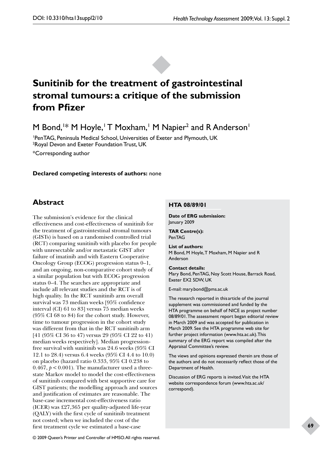

# **Sunitinib for the treatment of gastrointestinal stromal tumours: a critique of the submission from Pfizer**

M Bond,<sup>1\*</sup> M Hoyle,<sup>1</sup> T Moxham,<sup>1</sup> M Napier<sup>2</sup> and R Anderson<sup>1</sup>

1 PenTAG, Peninsula Medical School, Universities of Exeter and Plymouth, UK 2 Royal Devon and Exeter Foundation Trust, UK

\*Corresponding author

### **Declared competing interests of authors:** none

# **Abstract**

The submission's evidence for the clinical effectiveness and cost-effectiveness of sunitinib for the treatment of gastrointestinal stromal tumours (GISTs) is based on a randomised controlled trial (RCT) comparing sunitinib with placebo for people with unresectable and/or metastatic GIST after failure of imatinib and with Eastern Cooperative Oncology Group (ECOG) progression status 0–1, and an ongoing, non-comparative cohort study of a similar population but with ECOG progression status 0–4. The searches are appropriate and include all relevant studies and the RCT is of high quality. In the RCT sunitinib arm overall survival was 73 median weeks [95% confidence interval (CI) 61 to 83] versus 75 median weeks (95% CI 68 to 84) for the cohort study. However, time to tumour progression in the cohort study was different from that in the RCT sunitinib arm [41 (95% CI 36 to 47) versus 29 (95% CI 22 to 41) median weeks respectively]. Median progressionfree survival with sunitinib was 24.6 weeks (95% CI 12.1 to 28.4) versus 6.4 weeks (95% CI 4.4 to 10.0) on placebo (hazard ratio 0.333, 95% CI 0.238 to 0.467,  $p < 0.001$ ). The manufacturer used a threestate Markov model to model the cost-effectiveness of sunitinib compared with best supportive care for GIST patients; the modelling approach and sources and justification of estimates are reasonable. The base-case incremental cost-effectiveness ratio (ICER) was £27,365 per quality-adjusted life-year (QALY) with the first cycle of sunitinib treatment not costed; when we included the cost of the first treatment cycle we estimated a base-case

### **HTA 08/89/01**

**Date of ERG submission:** January 2009

**TAR Centre(s):** PenTAG

**List of authors:** M Bond, M Hoyle, T Moxham, M Napier and R Anderson

### **Contact details:**

Mary Bond, PenTAG, Noy Scott House, Barrack Road, Exeter EX2 5DW, UK

E-mail: mary.bond@pms.ac.uk

The research reported in this article of the journal supplement was commissioned and funded by the HTA programme on behalf of NICE as project number 08/89/01. The assessment report began editorial review in March 2009 and was accepted for publication in March 2009. See the HTA programme web site for further project information (www.hta.ac.uk). This summary of the ERG report was compiled after the Appraisal Committee's review.

The views and opinions expressed therein are those of the authors and do not necessarily reflect those of the Department of Health.

Discussion of ERG reports is invited. Visit the HTA website correspondence forum (www.hta.ac.uk/ correspond).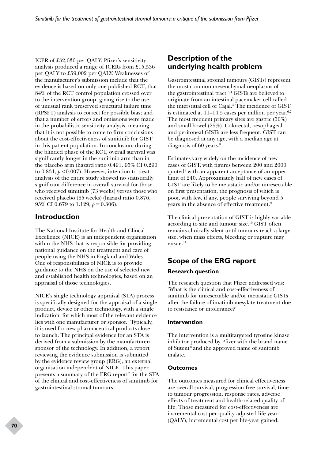ICER of £32,636 per QALY. Pfizer's sensitivity analysis produced a range of ICERs from £15,536 per QALY to £59,002 per QALY. Weaknesses of the manufacturer's submission include that the evidence is based on only one published RCT; that 84% of the RCT control population crossed over to the intervention group, giving rise to the use of unusual rank preserved structural failure time (RPSFT) analysis to correct for possible bias; and that a number of errors and omissions were made in the probabilistic sensitivity analysis, meaning that it is not possible to come to firm conclusions about the cost-effectiveness of sunitinib for GIST in this patient population. In conclusion, during the blinded phase of the RCT, overall survival was significantly longer in the sunitinib arm than in the placebo arm (hazard ratio 0.491, 95% CI 0.290 to  $0.831, p < 0.007$ ). However, intention-to-treat analysis of the entire study showed no statistically significant difference in overall survival for those who received sunitinib (73 weeks) versus those who received placebo (65 weeks) (hazard ratio 0.876, 95% CI 0.679 to 1.129, *p*=0.306).

# **Introduction**

The National Institute for Health and Clincal Excellence (NICE) is an independent organisation within the NHS that is responsible for providing national guidance on the treatment and care of people using the NHS in England and Wales. One of responsibilities of NICE is to provide guidance to the NHS on the use of selected new and established health technologies, based on an appraisal of those technologies.

NICE's single technology appraisal (STA) process is specifically designed for the appraisal of a single product, device or other technology, with a single indication, for which most of the relevant evidence lies with one manufacturer or sponsor.<sup>1</sup> Typically, it is used for new pharmaceutical products close to launch. The principal evidence for an STA is derived from a submission by the manufacturer/ sponsor of the technology. In addition, a report reviewing the evidence submission is submitted by the evidence review group (ERG), an external organisation independent of NICE. This paper presents a summary of the ERG report<sup>2</sup> for the STA of the clinical and cost-effectiveness of sunitinib for gastrointestinal stromal tumours.

# **Description of the underlying health problem**

Gastrointestinal stromal tumours (GISTs) represent the most common mesenchymal neoplasms of the gastrointestinal tract.3,4 GISTs are believed to originate from an intestinal pacemaker cell called the interstitial cell of Cajal.<sup>5</sup> The incidence of GIST is estimated at  $11-14.5$  cases per million per year.<sup>6,7</sup> The most frequent primary sites are gastric (50%) and small bowel (25%). Colorectal, oesophageal and peritoneal GISTs are less frequent. GIST can be diagnosed at any age, with a median age at diagnosis of 60 years.<sup>8</sup>

Estimates vary widely on the incidence of new cases of GIST, with figures between 200 and 2000 quoted<sup>9</sup> with an apparent acceptance of an upper limit of 240. Approximately half of new cases of GIST are likely to be metastatic and/or unresectable on first presentation, the prognosis of which is poor, with few, if any, people surviving beyond 5 years in the absence of effective treatment.9

The clinical presentation of GIST is highly variable according to site and tumour size.10 GIST often remains clinically silent until tumours reach a large size, when mass effects, bleeding or rupture may ensue.11

# **Scope of the ERG report**

## **Research question**

The research question that Pfizer addressed was: 'What is the clinical and cost-effectiveness of sunitinib for unresectable and/or metastatic GISTs after the failure of imatinib mesylate treatment due to resistance or intolerance?'

### **Intervention**

The intervention is a multitargeted tyrosine kinase inhibitor produced by Pfizer with the brand name of Sutent® and the approved name of sunitinib malate.

### **Outcomes**

The outcomes measured for clinical effectiveness are overall survival, progression-free survival, time to tumour progression, response rates, adverse effects of treatment and health-related quality of life. Those measured for cost-effectiveness are incremental cost per quality-adjusted life-year (QALY), incremental cost per life-year gained,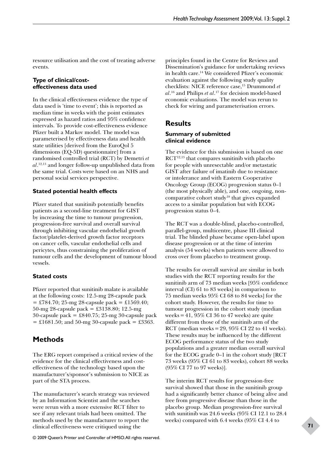resource utilisation and the cost of treating adverse events.

### **Type of clinical/costeffectiveness data used**

In the clinical effectiveness evidence the type of data used is 'time to event'; this is reported as median time in weeks with the point estimates expressed as hazard ratios and 95% confidence intervals. To provide cost-effectiveness evidence Pfizer built a Markov model. The model was parameterised by effectiveness data and health state utilities [derived from the EuroQol 5 dimensions (EQ-5D) questionnaire] from a randomised controlled trial (RCT) by Demetri *et al*. 12,13 and longer follow-up unpublished data from the same trial. Costs were based on an NHS and personal social services perspective.

## **Stated potential health effects**

Pfizer stated that sunitinib potentially benefits patients as a second-line treatment for GIST by increasing the time to tumour progression, progression-free survival and overall survival through inhibiting vascular endothelial growth factor/platelet-derived growth factor receptors on cancer cells, vascular endothelial cells and pericytes, thus constraining the proliferation of tumour cells and the development of tumour blood vessels.

## **Stated costs**

Pfizer reported that sunitinib malate is available at the following costs: 12.5-mg 28-capsule pack  $=$  £784.70; 25-mg 28-capsule pack  $=$  £1569.40; 50-mg 28-capsule pack = £3138.80; 12.5-mg 30-capsule pack =  $£840.75$ ; 25-mg 30-capsule pack  $=$  £1681.50; and 50-mg 30-capsule pack = £3363.

# **Methods**

The ERG report comprised a critical review of the evidence for the clinical effectiveness and costeffectiveness of the technology based upon the manufacturer's/sponsor's submission to NICE as part of the STA process.

The manufacturer's search strategy was reviewed by an Information Scientist and the searches were rerun with a more extensive RCT filter to see if any relevant trials had been omitted. The methods used by the manufacturer to report the clinical effectiveness were critiqued using the

principles found in the Centre for Reviews and Dissemination's guidance for undertaking reviews in health care.14 We considered Pfizer's economic evaluation against the following study quality checklists: NICE reference case,15 Drummond *et al*. 16 and Philips *et al*. 17 for decision model-based economic evaluations. The model was rerun to check for wiring and parameterisation errors.

# **Results**

### **Summary of submitted clinical evidence**

The evidence for this submission is based on one  $RCT<sup>12,13</sup>$  that compares sunitinib with placebo for people with unresectable and/or metastatic GIST after failure of imatinib due to resistance or intolerance and with Eastern Cooperative Oncology Group (ECOG) progression status 0–1 (the most physically able), and one, ongoing, noncomparative cohort study18 that gives expanded access to a similar population but with ECOG progression status 0–4.

The RCT was a double-blind, placebo-controlled, parallel-group, multicentre, phase III clinical trial. The blinded phase became open-label upon disease progression or at the time of interim analysis (54 weeks) when patients were allowed to cross over from placebo to treatment group.

The results for overall survival are similar in both studies with the RCT reporting results for the sunitinib arm of 73 median weeks [95% confidence interval (CI) 61 to 83 weeks] in comparison to 75 median weeks 95% CI 68 to 84 weeks] for the cohort study. However, the results for time to tumour progression in the cohort study (median weeks = 41,  $95\%$  CI 36 to 47 weeks) are quite different from those of the sunitinib arm of the RCT (median weeks =  $29, 95\%$  CI 22 to 41 weeks). These results may be influenced by the different ECOG performance status of the two study populations and a greater median overall survival for the ECOG grade 0–1 in the cohort study [RCT 73 weeks (95% CI 61 to 83 weeks), cohort 88 weeks (95% CI 77 to 97 weeks)].

The interim RCT results for progression-free survival showed that those in the sunitinib group had a significantly better chance of being alive and free from progressive disease than those in the placebo group. Median progression-free survival with sunitinib was 24.6 weeks (95% CI 12.1 to 28.4 weeks) compared with 6.4 weeks (95% CI 4.4 to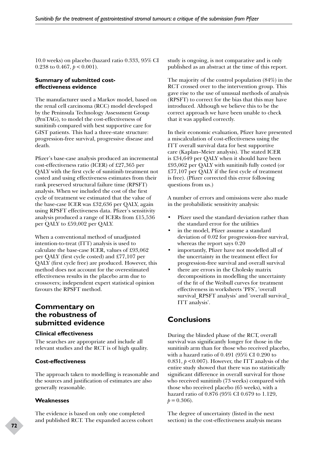10.0 weeks) on placebo (hazard ratio 0.333, 95% CI 0.238 to 0.467,  $p < 0.001$ ).

### **Summary of submitted costeffectiveness evidence**

The manufacturer used a Markov model, based on the renal cell carcinoma (RCC) model developed by the Peninsula Technology Assessment Group (PenTAG), to model the cost-effectiveness of sunitinib compared with best supportive care for GIST patients. This had a three-state structure: progression-free survival, progressive disease and death.

Pfizer's base-case analysis produced an incremental cost-effectiveness ratio (ICER) of £27,365 per QALY with the first cycle of sunitinib treatment not costed and using effectiveness estimates from their rank preserved structural failure time (RPSFT) analysis. When we included the cost of the first cycle of treatment we estimated that the value of the base-case ICER was £32,636 per QALY, again using RPSFT effectiveness data. Pfizer's sensitivity analysis produced a range of ICERs from £15,536 per QALY to £59,002 per QALY.

When a conventional method of unadjusted intention-to-treat (ITT) analysis is used to calculate the base-case ICER, values of £93,062 per QALY (first cycle costed) and £77,107 per QALY (first cycle free) are produced. However, this method does not account for the overestimated effectiveness results in the placebo arm due to crossovers; independent expert statistical opinion favours the RPSFT method.

# **Commentary on the robustness of submitted evidence**

### **Clinical effectiveness**

The searches are appropriate and include all relevant studies and the RCT is of high quality.

### **Cost-effectiveness**

The approach taken to modelling is reasonable and the sources and justification of estimates are also generally reasonable.

### **Weaknesses**

The evidence is based on only one completed and published RCT. The expanded access cohort study is ongoing, is not comparative and is only published as an abstract at the time of this report.

The majority of the control population (84%) in the RCT crossed over to the intervention group. This gave rise to the use of unusual methods of analysis (RPSFT) to correct for the bias that this may have introduced. Although we believe this to be the correct approach we have been unable to check that it was applied correctly.

In their economic evaluation, Pfizer have presented a miscalculation of cost-effectiveness using the ITT overall survival data for best supportive care (Kaplan–Meier analysis). The stated ICER is £34,649 per QALY when it should have been £93,062 per QALY with sunitinib fully costed (or £77,107 per QALY if the first cycle of treatment is free). (Pfizer corrected this error following questions from us.)

A number of errors and omissions were also made in the probabilistic sensitivity analysis:

- Pfizer used the standard deviation rather than the standard error for the utilities
- in the model, Pfizer assume a standard deviation of 0.02 for progression-free survival, whereas the report says 0.20
- importantly, Pfizer have not modelled all of the uncertainty in the treatment effect for progression-free survival and overall survival
- there are errors in the Cholesky matrix decompositions in modelling the uncertainty of the fit of the Weibull curves for treatment effectiveness in worksheets 'PFS', 'overall survival\_RPSFT analysis' and 'overall survival ITT analysis'.

# **Conclusions**

During the blinded phase of the RCT, overall survival was significantly longer for those in the sunitinib arm than for those who received placebo, with a hazard ratio of 0.491 (95% CI 0.290 to 0.831,  $p < 0.007$ ). However, the ITT analysis of the entire study showed that there was no statistically significant difference in overall survival for those who received sunitinib (73 weeks) compared with those who received placebo (65 weeks), with a hazard ratio of 0.876 (95% CI 0.679 to 1.129,  $p=0.306$ ).

The degree of uncertainty (listed in the next section) in the cost-effectiveness analysis means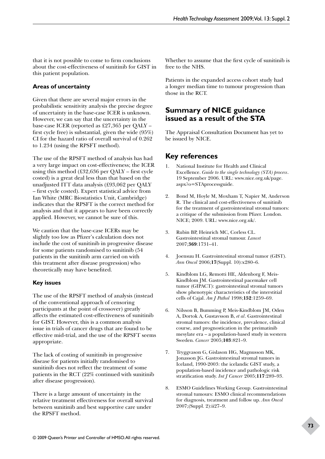that it is not possible to come to firm conclusions about the cost-effectiveness of sunitinib for GIST in this patient population.

### **Areas of uncertainty**

Given that there are several major errors in the probabilistic sensitivity analysis the precise degree of uncertainty in the base-case ICER is unknown. However, we can say that the uncertainty in the base-case ICER (reported as £27,365 per QALY – first cycle free) is substantial, given the wide (95%) CI for the hazard ratio of overall survival of 0.262 to 1.234 (using the RPSFT method).

The use of the RPSFT method of analysis has had a very large impact on cost-effectiveness; the ICER using this method (£32,636 per QALY – first cycle costed) is a great deal less than that based on the unadjusted ITT data analysis (£93,062 per QALY – first cycle costed). Expert statistical advice from Ian White (MRC Biostatistics Unit, Cambridge) indicates that the RPSFT is the correct method for analysis and that it appears to have been correctly applied. However, we cannot be sure of this.

We caution that the base-case ICERs may be slightly too low as Pfizer's calculation does not include the cost of sunitinib in progressive disease for some patients randomised to sunitinib (54 patients in the sunitinib arm carried on with this treatment after disease progression) who theoretically may have benefited.

### **Key issues**

The use of the RPSFT method of analysis (instead of the conventional approach of censoring participants at the point of crossover) greatly affects the estimated cost-effectiveness of sunitinib for GIST. However, this is a common analysis issue in trials of cancer drugs that are found to be effective mid-trial, and the use of the RPSFT seems appropriate.

The lack of costing of sunitinib in progressive disease for patients initially randomised to sunitinib does not reflect the treatment of some patients in the RCT (22% continued with sunitinib after disease progression).

There is a large amount of uncertainty in the relative treatment effectiveness for overall survival between sunitinib and best supportive care under the RPSFT method.

Whether to assume that the first cycle of sunitinib is free to the NHS.

Patients in the expanded access cohort study had a longer median time to tumour progression than those in the RCT.

# **Summary of NICE guidance issued as a result of the STA**

The Appraisal Consultation Document has yet to be issued by NICE.

# **Key references**

- 1. National Institute for Health and Clinical Excellence. *Guide to the single technology (STA) process*. 19 September 2006. URL: www.nice.org.uk/page. aspx?o=STAprocessguide.
- 2. Bond M, Hoyle M, Moxham T, Napier M, Anderson R. The clinical and cost-effectiveness of sunitinib for the treatment of gastrointestinal stromal tumors: a critique of the submission from Pfizer. London. NICE; 2009. URL: www.nice.org.uk/.
- 3. Rubin BP, Heinrich MC, Corless CL. Gastrointestinal stromal tumour. *Lancet* 2007;**369**:1731–41.
- 4. Joensuu H. Gastrointestinal stromal tumor (GIST). *Ann Oncol* 2006;**17**(Suppl. 10):x280–6.
- 5. Kindblom LG, Remotti HE, Aldenborg F, Meis-Kindblom JM. Gastrointestinal pacemaker cell tumor (GIPACT): gastrointestinal stromal tumors show phenotypic characteristics of the interstitial cells of Cajal. *Am J Pathol* 1998;**152**:1259–69.
- 6. Nilsson B, Bumming P, Meis-Kindblom JM, Oden A, Dortok A, Gustavsson B, *et al*. Gastrointestinal stromal tumors: the incidence, prevalence, clinical course, and prognostication in the preimatinib mesylate era – a population-based study in western Sweden. *Cancer* 2005;**103**:821–9.
- 7. Tryggvason G, Gislason HG, Magnusson MK, Jonasson JG. Gastrointestinal stromal tumors in Iceland, 1990-2003: the icelandic GIST study, a population-based incidence and pathologic risk stratification study. *Int J Cancer* 2005;**117**:289–93.
- 8. ESMO Guidelines Working Group. Gastrointestinal stromal tumours: ESMO clinical recommendations for diagnosis, treatment and follow up. *Ann Oncol* 2007;(Suppl. 2):ii27–9.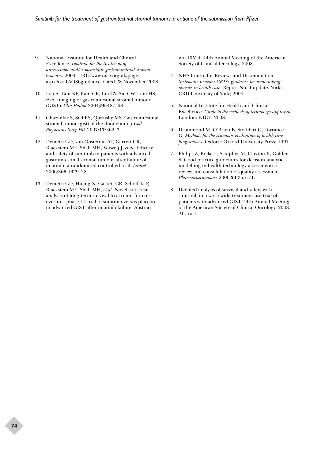- 9. National Institute for Health and Clinical Excellence. *Imatinib for the treatment of unresectable and/or metastatic gastrointestinal stromal tumours*. 2004. URL: www.nice.org.uk/page. aspx?o=TAO86guidance. Cited 28 November 2008.
- 10. Lau S, Tam KF, Kam CK, Lui CY, Siu CW, Lam HS, *et al*. Imaging of gastrointestinal stromal tumour (GIST). *Clin Radiol* 2004;**59**:487–98.
- 11. Ghazanfar S, Sial KS, Quraishy MS. Gastrointestinal stromal tumor (gist) of the duodenum. *J Coll Physicians Surg Pak* 2007;**17**:362–3.
- 12. Demetri GD, van Oosterom AT, Garrett CR, Blackstein ME, Shah MH, Verweij J, *et al*. Efficacy and safety of sunitinib in patients with advanced gastrointestinal stromal tumour after failure of imatinib: a randomised controlled trial. *Lancet* 2006;**368**:1329–38.
- 13. Demetri GD, Huang X, Garrett CR, Schoffski P, Blackstein ME, Shah MH, *et al*. Novel statistical analysis of long-term survival to account for crossover in a phase III trial of sunitinib versus placebo in advanced GIST after imatinib failure. Abstract

no. 10524. 44th Annual Meeting of the American Society of Clinical Oncology, 2008.

- 14. NHS Centre for Reviews and Dissemination. *Systematic reviews: CRD's guidance for undertaking reviews in health care*. Report No. 4 update. York: CRD University of York; 2009.
- 15. National Institute for Health and Clinical Excellence. *Guide to the methods of technology appraisal*. London: NICE; 2008.
- 16. Drummond M, O'Brien B, Stoddart G, Torrance G. *Methods for the economic evaluation of health care programmes*. Oxford: Oxford University Press; 1997.
- 17. Philips Z, Bojke L, Sculpher M, Claxton K, Golder S. Good practice guidelines for decision-analytic modelling in health technology assessment: a review and consolidation of quality assessment. *Pharmacoeconomics* 2006;**24**:355–71.
- 18. Detailed analysis of survival and safety with sunitinib in a worldwide treatment use trial of patients with advanced GIST. 44th Annual Meeting of the American Society of Clinical Oncology, 2008. Abstract.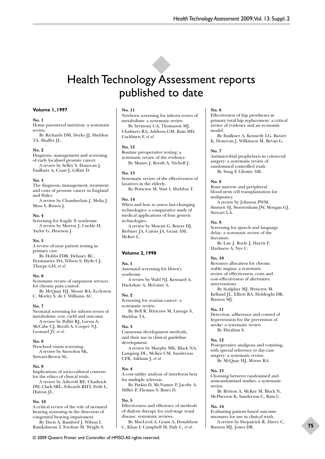# Health Technology Assessment reports published to date

### **Volume 1, 1997**

### **No. 1**

Home parenteral nutrition: a systematic review.

By Richards DM, Deeks JJ, Sheldon TA, Shaffer JL.

### **No. 2**

Diagnosis, management and screening of early localised prostate cancer. A review by Selley S, Donovan J, Faulkner A, Coast J, Gillatt D.

**No. 3**

The diagnosis, management, treatment and costs of prostate cancer in England and Wales.

A review by Chamberlain J, Melia J, Moss S, Brown J.

### **No. 4**

Screening for fragile X syndrome. A review by Murray J, Cuckle H, Taylor G, Hewison J.

### **No. 5**

A review of near patient testing in primary care. By Hobbs FDR, Delaney BC,

Fitzmaurice DA, Wilson S, Hyde CJ, Thorpe GH, *et al*.

### **No. 6**

Systematic review of outpatient services for chronic pain control. By McQuay HJ, Moore RA, Eccleston C, Morley S, de C Williams AC.

### **No. 7**

Neonatal screening for inborn errors of metabolism: cost, yield and outcome. A review by Pollitt RJ, Green A, McCabe CJ, Booth A, Cooper NJ, Leonard JV, *et al*.

### **No. 8**

Preschool vision screening. A review by Snowdon SK, Stewart-Brown SL.

### **No. 9**

Implications of socio-cultural contexts for the ethics of clinical trials. A review by Ashcroft RE, Chadwick DW, Clark SRL, Edwards RHT, Frith L, Hutton JL.

### **No. 10**

A critical review of the role of neonatal hearing screening in the detection of congenital hearing impairment. By Davis A, Bamford J, Wilson I,

Ramkalawan T, Forshaw M, Wright S.

### **No. 11**

Newborn screening for inborn errors of metabolism: a systematic review.

By Seymour CA, Thomason MJ, Chalmers RA, Addison GM, Bain MD, Cockburn F, *et al*.

### **No. 12**

Routine preoperative testing: a systematic review of the evidence. By Munro J, Booth A, Nicholl J.

### **No. 13**

Systematic review of the effectiveness of laxatives in the elderly.

By Petticrew M, Watt I, Sheldon T.

### **No. 14**

When and how to assess fast-changing technologies: a comparative study of medical applications of four generic technologies.

A review by Mowatt G, Bower DJ, Brebner JA, Cairns JA, Grant AM, McKee L.

### **Volume 2, 1998**

### **No. 1**

Antenatal screening for Down's syndrome.

A review by Wald NJ, Kennard A, Hackshaw A, McGuire A.

### **No. 2**

Screening for ovarian cancer: a systematic review. By Bell R, Petticrew M, Luengo S, Sheldon TA.

### **No. 3**

Consensus development methods, and their use in clinical guideline development.

A review by Murphy MK, Black NA, Lamping DL, McKee CM, Sanderson CFB, Askham J, *et al*.

### **No. 4**

A cost–utility analysis of interferon beta for multiple sclerosis.

By Parkin D, McNamee P, Jacoby A, Miller P, Thomas S, Bates D.

### **No. 5**

Effectiveness and efficiency of methods of dialysis therapy for end-stage renal disease: systematic reviews.

By MacLeod A, Grant A, Donaldson C, Khan I, Campbell M, Daly C, *et al*.

### **No. 6**

Effectiveness of hip prostheses in primary total hip replacement: a critical review of evidence and an economic model.

By Faulkner A, Kennedy LG, Baxter K, Donovan J, Wilkinson M, Bevan G.

### **No. 7**

Antimicrobial prophylaxis in colorectal surgery: a systematic review of randomised controlled trials. By Song F, Glenny AM.

### **No. 8**

Bone marrow and peripheral blood stem cell transplantation for malignancy. A review by Johnson PWM, Simnett SJ, Sweetenham JW, Morgan GJ, Stewart LA.

### **No. 9**

Screening for speech and language delay: a systematic review of the literature. By Law J, Boyle J, Harris F,

Harkness A, Nye C.

### **No. 10**

Resource allocation for chronic stable angina: a systematic review of effectiveness, costs and cost-effectiveness of alternative interventions. By Sculpher MJ, Petticrew M,

Kelland JL, Elliott RA, Holdright DR, Buxton MJ.

### **No. 11**

Detection, adherence and control of hypertension for the prevention of stroke: a systematic review. By Ebrahim S.

### **No. 12**

Postoperative analgesia and vomiting, with special reference to day-case surgery: a systematic review. By McQuay HJ, Moore RA.

### **No. 13**

Choosing between randomised and nonrandomised studies: a systematic review.

By Britton A, McKee M, Black N, McPherson K, Sanderson C, Bain C.

### **No. 14**

Evaluating patient-based outcome measures for use in clinical trials. A review by Fitzpatrick R, Davey C, Buxton MJ, Jones DR.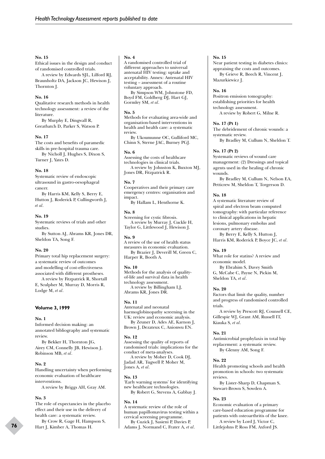Ethical issues in the design and conduct of randomised controlled trials.

A review by Edwards SJL, Lilford RJ, Braunholtz DA, Jackson JC, Hewison J, Thornton J.

#### **No. 16**

Qualitative research methods in health technology assessment: a review of the literature.

By Murphy E, Dingwall R, Greatbatch D, Parker S, Watson P.

#### **No. 17**

The costs and benefits of paramedic skills in pre-hospital trauma care. By Nicholl J, Hughes S, Dixon S, Turner J, Yates D.

#### **No. 18**

Systematic review of endoscopic ultrasound in gastro-oesophageal cancer.

By Harris KM, Kelly S, Berry E, Hutton J, Roderick P, Cullingworth J, *et al*.

#### **No. 19**

Systematic reviews of trials and other studies.

By Sutton AJ, Abrams KR, Jones DR, Sheldon TA, Song F.

#### **No. 20**

Primary total hip replacement surgery: a systematic review of outcomes and modelling of cost-effectiveness associated with different prostheses.

A review by Fitzpatrick R, Shortall E, Sculpher M, Murray D, Morris R, Lodge M, *et al*.

### **Volume 3, 1999**

#### **No. 1**

Informed decision making: an annotated bibliography and systematic review.

By Bekker H, Thornton JG, Airey CM, Connelly JB, Hewison J, Robinson MB, *et al*.

#### **No. 2**

Handling uncertainty when performing economic evaluation of healthcare interventions.

A review by Briggs AH, Gray AM.

#### **No. 3**

The role of expectancies in the placebo effect and their use in the delivery of health care: a systematic review. By Crow R, Gage H, Hampson S,

Hart J, Kimber A, Thomas H.

### **No. 4**

A randomised controlled trial of different approaches to universal antenatal HIV testing: uptake and acceptability. Annex: Antenatal HIV testing – assessment of a routine voluntary approach.

By Simpson WM, Johnstone FD, Boyd FM, Goldberg DJ, Hart GJ, Gormley SM, *et al*.

#### **No. 5**

Methods for evaluating area-wide and organisation-based interventions in health and health care: a systematic review.

By Ukoumunne OC, Gulliford MC, Chinn S, Sterne JAC, Burney PGJ.

#### **No. 6**

Assessing the costs of healthcare technologies in clinical trials. A review by Johnston K, Buxton MJ, Jones DR, Fitzpatrick R.

#### **No. 7**

Cooperatives and their primary care emergency centres: organisation and impact.

By Hallam L, Henthorne K.

### **No. 8**

Screening for cystic fibrosis. A review by Murray J, Cuckle H, Taylor G, Littlewood J, Hewison J.

#### **No. 9**

A review of the use of health status measures in economic evaluation.

By Brazier J, Deverill M, Green C, Harper R, Booth A.

### **No. 10**

Methods for the analysis of qualityof-life and survival data in health technology assessment. A review by Billingham LJ, Abrams KR, Jones DR.

#### **No. 11**

Antenatal and neonatal haemoglobinopathy screening in the UK: review and economic analysis. By Zeuner D, Ades AE, Karnon J, Brown J, Dezateux C, Anionwu EN.

#### **No. 12**

Assessing the quality of reports of randomised trials: implications for the conduct of meta-analyses.

A review by Moher D, Cook DJ, Jadad AR, Tugwell P, Moher M, Jones A, *et al*.

#### **No. 13**

'Early warning systems' for identifying new healthcare technologies. By Robert G, Stevens A, Gabbay J.

#### **No. 14**

A systematic review of the role of human papillomavirus testing within a cervical screening programme. By Cuzick J, Sasieni P, Davies P, Adams J, Normand C, Frater A, *et al*.

#### **No. 15**

Near patient testing in diabetes clinics: appraising the costs and outcomes. By Grieve R, Beech R, Vincent J, Mazurkiewicz J.

#### **No. 16**

Positron emission tomography: establishing priorities for health technology assessment. A review by Robert G, Milne R.

#### **No. 17 (Pt 1)**

The debridement of chronic wounds: a systematic review.

By Bradley M, Cullum N, Sheldon T.

### **No. 17 (Pt 2)**

Systematic reviews of wound care management: (2) Dressings and topical agents used in the healing of chronic wounds.

By Bradley M, Cullum N, Nelson EA, Petticrew M, Sheldon T, Torgerson D.

#### **No. 18**

A systematic literature review of spiral and electron beam computed tomography: with particular reference to clinical applications in hepatic lesions, pulmonary embolus and coronary artery disease.

By Berry E, Kelly S, Hutton J, Harris KM, Roderick P, Boyce JC, *et al*.

#### **No. 19**

What role for statins? A review and economic model.

By Ebrahim S, Davey Smith G, McCabe C, Payne N, Pickin M, Sheldon TA, *et al*.

### **No. 20**

Factors that limit the quality, number and progress of randomised controlled trials.

A review by Prescott RJ, Counsell CE, Gillespie WJ, Grant AM, Russell IT, Kiauka S, *et al*.

#### **No. 21**

Antimicrobial prophylaxis in total hip replacement: a systematic review. By Glenny AM, Song F.

#### **No. 22**

Health promoting schools and health promotion in schools: two systematic reviews.

By Lister-Sharp D, Chapman S, Stewart-Brown S, Sowden A.

#### **No. 23**

Economic evaluation of a primary care-based education programme for patients with osteoarthritis of the knee. A review by Lord J, Victor C,

Littlejohns P, Ross FM, Axford JS.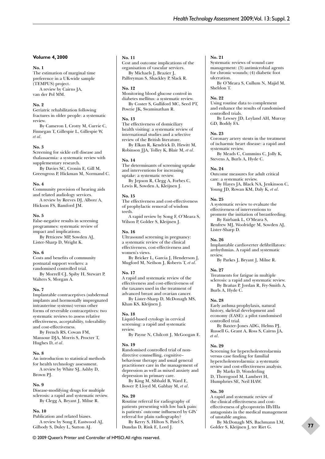### **Volume 4, 2000**

### **No. 1**

The estimation of marginal time preference in a UK-wide sample (TEMPUS) project. A review by Cairns JA, van der Pol MM.

### **No. 2**

Geriatric rehabilitation following fractures in older people: a systematic review.

By Cameron I, Crotty M, Currie C, Finnegan T, Gillespie L, Gillespie W, *et al*.

### **No. 3**

Screening for sickle cell disease and thalassaemia: a systematic review with supplementary research.

By Davies SC, Cronin E, Gill M, Greengross P, Hickman M, Normand C.

### **No. 4**

Community provision of hearing aids and related audiology services. A review by Reeves DJ, Alborz A, Hickson FS, Bamford JM.

### **No. 5**

False-negative results in screening programmes: systematic review of impact and implications. By Petticrew MP, Sowden AJ, Lister-Sharp D, Wright K.

### **No. 6**

Costs and benefits of community postnatal support workers: a randomised controlled trial.

By Morrell CJ, Spiby H, Stewart P, Walters S, Morgan A.

### **No. 7**

Implantable contraceptives (subdermal implants and hormonally impregnated intrauterine systems) versus other forms of reversible contraceptives: two systematic reviews to assess relative effectiveness, acceptability, tolerability and cost-effectiveness.

By French RS, Cowan FM, Mansour DJA, Morris S, Procter T, Hughes D, *et al*.

### **No. 8**

An introduction to statistical methods for health technology assessment. A review by White SJ, Ashby D,

Brown PJ.

### **No. 9**

Disease-modifying drugs for multiple sclerosis: a rapid and systematic review. By Clegg A, Bryant J, Milne R.

### **No. 10**

Publication and related biases. A review by Song F, Eastwood AJ, Gilbody S, Duley L, Sutton AJ.

### **No. 11**

Cost and outcome implications of the organisation of vascular services. By Michaels J, Brazier J, Palfreyman S, Shackley P, Slack R.

### **No. 12**

Monitoring blood glucose control in diabetes mellitus: a systematic review. By Coster S, Gulliford MC, Seed PT, Powrie JK, Swaminathan R.

### **No. 13**

The effectiveness of domiciliary health visiting: a systematic review of international studies and a selective review of the British literature. By Elkan R, Kendrick D, Hewitt M,

Robinson JJA, Tolley K, Blair M, *et al*.

### **No. 14**

The determinants of screening uptake and interventions for increasing uptake: a systematic review. By Jepson R, Clegg A, Forbes C, Lewis R, Sowden A, Kleijnen J.

### **No. 15**

The effectiveness and cost-effectiveness of prophylactic removal of wisdom teeth.

A rapid review by Song F, O'Meara S, Wilson P, Golder S, Kleijnen J.

### **No. 16**

Ultrasound screening in pregnancy: a systematic review of the clinical effectiveness, cost-effectiveness and women's views.

By Bricker L, Garcia J, Henderson J, Mugford M, Neilson J, Roberts T, *et al*.

### **No. 17**

A rapid and systematic review of the effectiveness and cost-effectiveness of the taxanes used in the treatment of advanced breast and ovarian cancer. By Lister-Sharp D, McDonagh MS, Khan KS, Kleijnen J.

### **No. 18**

Liquid-based cytology in cervical screening: a rapid and systematic review.

By Payne N, Chilcott J, McGoogan E.

### **No. 19**

Randomised controlled trial of nondirective counselling, cognitive– behaviour therapy and usual general practitioner care in the management of depression as well as mixed anxiety and depression in primary care.

By King M, Sibbald B, Ward E, Bower P, Lloyd M, Gabbay M, *et al*.

### **No. 20**

Routine referral for radiography of patients presenting with low back pain: is patients' outcome influenced by GPs' referral for plain radiography? By Kerry S, Hilton S, Patel S, Dundas D, Rink E, Lord J.

### **No. 21**

Systematic reviews of wound care management: (3) antimicrobial agents for chronic wounds; (4) diabetic foot ulceration.

By O'Meara S, Cullum N, Majid M, Sheldon T.

### **No. 22**

Using routine data to complement and enhance the results of randomised controlled trials.

By Lewsey JD, Leyland AH, Murray GD, Boddy FA.

### **No. 23**

Coronary artery stents in the treatment of ischaemic heart disease: a rapid and systematic review. By Meads C, Cummins C, Jolly K,

Stevens A, Burls A, Hyde C.

### **No. 24**

Outcome measures for adult critical care: a systematic review. By Hayes JA, Black NA, Jenkinson C, Young JD, Rowan KM, Daly K, *et al*.

### **No. 25**

A systematic review to evaluate the effectiveness of interventions to promote the initiation of breastfeeding. By Fairbank L, O'Meara S, Renfrew MJ, Woolridge M, Sowden AJ, Lister-Sharp D.

### **No. 26**

Implantable cardioverter defibrillators: arrhythmias. A rapid and systematic review.

By Parkes J, Bryant J, Milne R.

### **No. 27**

Treatments for fatigue in multiple sclerosis: a rapid and systematic review. By Brañas P, Jordan R, Fry-Smith A, Burls A, Hyde C.

### **No. 28**

Early asthma prophylaxis, natural history, skeletal development and economy (EASE): a pilot randomised controlled trial.

By Baxter-Jones ADG, Helms PJ, Russell G, Grant A, Ross S, Cairns JA, *et al*.

### **No. 29**

Screening for hypercholesterolaemia versus case finding for familial hypercholesterolaemia: a systematic review and cost-effectiveness analysis.

By Marks D, Wonderling D, Thorogood M, Lambert H, Humphries SE, Neil HAW.

### **No. 30**

A rapid and systematic review of the clinical effectiveness and costeffectiveness of glycoprotein IIb/IIIa antagonists in the medical management of unstable angina.

By McDonagh MS, Bachmann LM, Golder S, Kleijnen J, ter Riet G.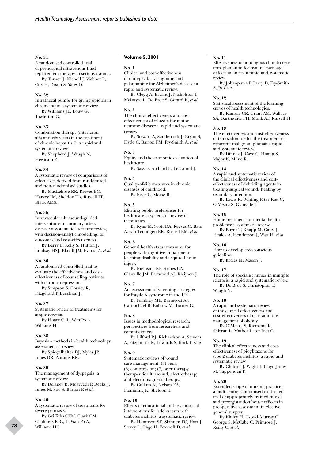A randomised controlled trial of prehospital intravenous fluid replacement therapy in serious trauma. By Turner J, Nicholl J, Webber L, Cox H, Dixon S, Yates D.

#### **No. 32**

Intrathecal pumps for giving opioids in chronic pain: a systematic review. By Williams JE, Louw G, Towlerton G.

#### **No. 33**

Combination therapy (interferon alfa and ribavirin) in the treatment of chronic hepatitis C: a rapid and systematic review. By Shepherd J, Waugh N, Hewitson P.

#### **No. 34**

A systematic review of comparisons of effect sizes derived from randomised and non-randomised studies.

By MacLehose RR, Reeves BC, Harvey IM, Sheldon TA, Russell IT, Black AMS.

### **No. 35**

Intravascular ultrasound-guided interventions in coronary artery disease: a systematic literature review, with decision-analytic modelling, of outcomes and cost-effectiveness.

By Berry E, Kelly S, Hutton J, Lindsay HSJ, Blaxill JM, Evans JA, *et al*.

#### **No. 36**

A randomised controlled trial to evaluate the effectiveness and costeffectiveness of counselling patients with chronic depression. By Simpson S, Corney R, Fitzgerald P, Beecham J.

#### **No. 37**

Systematic review of treatments for atopic eczema. By Hoare C, Li Wan Po A, Williams H.

#### **No. 38**

Bayesian methods in health technology assessment: a review. By Spiegelhalter DJ, Myles JP, Jones DR, Abrams KR.

#### **No. 39**

The management of dyspepsia: a systematic review. By Delaney B, Moayyedi P, Deeks J, Innes M, Soo S, Barton P, *et al*.

#### **No. 40**

A systematic review of treatments for severe psoriasis.

By Griffiths CEM, Clark CM, Chalmers RJG, Li Wan Po A, Williams HC.

#### **Volume 5, 2001**

#### **No. 1**

Clinical and cost-effectiveness of donepezil, rivastigmine and galantamine for Alzheimer's disease: a rapid and systematic review.

By Clegg A, Bryant J, Nicholson T, McIntyre L, De Broe S, Gerard K, *et al*.

#### **No. 2**

The clinical effectiveness and costeffectiveness of riluzole for motor neurone disease: a rapid and systematic review.

By Stewart A, Sandercock J, Bryan S, Hyde C, Barton PM, Fry-Smith A, *et al*.

### **No. 3**

Equity and the economic evaluation of healthcare. By Sassi F, Archard L, Le Grand J.

#### **No. 4**

Quality-of-life measures in chronic diseases of childhood. By Eiser C, Morse R.

#### **No. 5**

Eliciting public preferences for healthcare: a systematic review of techniques. By Ryan M, Scott DA, Reeves C, Bate A, van Teijlingen ER, Russell EM, *et al*.

### **No. 6**

General health status measures for people with cognitive impairment: learning disability and acquired brain injury.

By Riemsma RP, Forbes CA, Glanville JM, Eastwood AJ, Kleijnen J.

#### **No. 7**

An assessment of screening strategies for fragile X syndrome in the UK. By Pembrey ME, Barnicoat AJ,

Carmichael B, Bobrow M, Turner G.

### **No. 8**

Issues in methodological research: perspectives from researchers and commissioners.

By Lilford RJ, Richardson A, Stevens A, Fitzpatrick R, Edwards S, Rock F, *et al*.

#### **No. 9**

Systematic reviews of wound care management: (5) beds; (6) compression; (7) laser therapy, therapeutic ultrasound, electrotherapy and electromagnetic therapy. By Cullum N, Nelson EA, Flemming K, Sheldon T.

### **No. 10**

Effects of educational and psychosocial interventions for adolescents with diabetes mellitus: a systematic review. By Hampson SE, Skinner TC, Hart J,

Storey L, Gage H, Foxcroft D, *et al*.

#### **No. 11**

Effectiveness of autologous chondrocyte transplantation for hyaline cartilage defects in knees: a rapid and systematic review.

By Jobanputra P, Parry D, Fry-Smith A, Burls A.

#### **No. 12**

Statistical assessment of the learning curves of health technologies. By Ramsay CR, Grant AM, Wallace SA, Garthwaite PH, Monk AF, Russell IT.

#### **No. 13**

The effectiveness and cost-effectiveness of temozolomide for the treatment of recurrent malignant glioma: a rapid and systematic review. By Dinnes J, Cave C, Huang S,

Major K, Milne R.

#### **No. 14**

A rapid and systematic review of the clinical effectiveness and costeffectiveness of debriding agents in treating surgical wounds healing by secondary intention.

By Lewis R, Whiting P, ter Riet G, O'Meara S, Glanville J.

#### **No. 15**

Home treatment for mental health problems: a systematic review. By Burns T, Knapp M, Catty J, Healey A, Henderson J, Watt H, *et al*.

#### **No. 16**

How to develop cost-conscious guidelines. By Eccles M, Mason J.

#### **No. 17**

The role of specialist nurses in multiple sclerosis: a rapid and systematic review. By De Broe S, Christopher F, Waugh N.

#### **No. 18**

A rapid and systematic review of the clinical effectiveness and cost-effectiveness of orlistat in the management of obesity. By O'Meara S, Riemsma R, Shirran L, Mather L, ter Riet G.

#### **No. 19**

The clinical effectiveness and costeffectiveness of pioglitazone for type 2 diabetes mellitus: a rapid and systematic review.

By Chilcott J, Wight J, Lloyd Jones M, Tappenden P.

### **No. 20**

Extended scope of nursing practice: a multicentre randomised controlled trial of appropriately trained nurses and preregistration house officers in preoperative assessment in elective general surgery.

By Kinley H, Czoski-Murray C, George S, McCabe C, Primrose J, Reilly C, *et al*.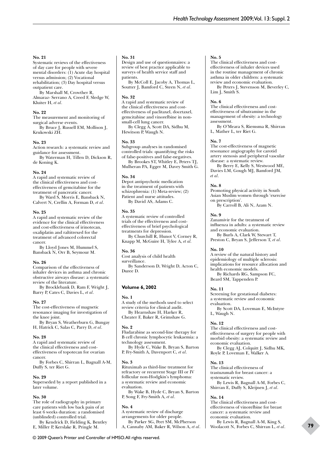Systematic reviews of the effectiveness of day care for people with severe mental disorders: (1) Acute day hospital versus admission; (2) Vocational rehabilitation; (3) Day hospital versus outpatient care.

By Marshall M, Crowther R, Almaraz- Serrano A, Creed F, Sledge W, Kluiter H, *et al*.

### **No. 22**

The measurement and monitoring of surgical adverse events.

By Bruce J, Russell EM, Mollison J, Krukowski ZH.

### **No. 23**

Action research: a systematic review and guidance for assessment.

By Waterman H, Tillen D, Dickson R, de Koning K.

#### **No. 24**

A rapid and systematic review of the clinical effectiveness and costeffectiveness of gemcitabine for the treatment of pancreatic cancer.

By Ward S, Morris E, Bansback N, Calvert N, Crellin A, Forman D, *et al*.

### **No. 25**

A rapid and systematic review of the evidence for the clinical effectiveness and cost-effectiveness of irinotecan, oxaliplatin and raltitrexed for the treatment of advanced colorectal cancer.

By Lloyd Jones M, Hummel S, Bansback N, Orr B, Seymour M.

#### **No. 26**

Comparison of the effectiveness of inhaler devices in asthma and chronic obstructive airways disease: a systematic review of the literature.

By Brocklebank D, Ram F, Wright J, Barry P, Cates C, Davies L, *et al*.

#### **No. 27**

The cost-effectiveness of magnetic resonance imaging for investigation of the knee joint.

By Bryan S, Weatherburn G, Bungay H, Hatrick C, Salas C, Parry D, *et al*.

### **No. 28**

A rapid and systematic review of the clinical effectiveness and costeffectiveness of topotecan for ovarian cancer.

By Forbes C, Shirran L, Bagnall A-M, Duffy S, ter Riet G.

#### **No. 29**

Superseded by a report published in a later volume.

#### **No. 30**

The role of radiography in primary care patients with low back pain of at least 6 weeks duration: a randomised (unblinded) controlled trial.

By Kendrick D, Fielding K, Bentley E, Miller P, Kerslake R, Pringle M.

### **No. 31**

Design and use of questionnaires: a review of best practice applicable to surveys of health service staff and patients.

By McColl E, Jacoby A, Thomas L, Soutter J, Bamford C, Steen N, *et al*.

#### **No. 32**

A rapid and systematic review of the clinical effectiveness and costeffectiveness of paclitaxel, docetaxel, gemcitabine and vinorelbine in nonsmall-cell lung cancer.

By Clegg A, Scott DA, Sidhu M, Hewitson P, Waugh N.

### **No. 33**

Subgroup analyses in randomised controlled trials: quantifying the risks of false-positives and false-negatives. By Brookes ST, Whitley E, Peters TJ, Mulheran PA, Egger M, Davey Smith G.

#### **No. 34**

Depot antipsychotic medication in the treatment of patients with schizophrenia: (1) Meta-review; (2) Patient and nurse attitudes. By David AS, Adams C.

#### **No. 35**

A systematic review of controlled trials of the effectiveness and costeffectiveness of brief psychological treatments for depression.

By Churchill R, Hunot V, Corney R, Knapp M, McGuire H, Tylee A, *et al.*

### **No. 36**

Cost analysis of child health surveillance.

By Sanderson D, Wright D, Acton C, Duree D.

### **Volume 6, 2002**

#### **No. 1**

A study of the methods used to select review criteria for clinical audit. By Hearnshaw H, Harker R, Cheater F, Baker R, Grimshaw G.

#### **No. 2**

Fludarabine as second-line therapy for B cell chronic lymphocytic leukaemia: a technology assessment.

By Hyde C, Wake B, Bryan S, Barton P, Fry-Smith A, Davenport C, *et al*.

### **No. 3**

Rituximab as third-line treatment for refractory or recurrent Stage III or IV follicular non-Hodgkin's lymphoma: a systematic review and economic evaluation.

By Wake B, Hyde C, Bryan S, Barton P, Song F, Fry-Smith A, *et al*.

### **No. 4**

A systematic review of discharge arrangements for older people. By Parker SG, Peet SM, McPherson

A, Cannaby AM, Baker R, Wilson A, *et al*.

### **No. 5**

The clinical effectiveness and costeffectiveness of inhaler devices used in the routine management of chronic asthma in older children: a systematic review and economic evaluation.

By Peters J, Stevenson M, Beverley C, Lim J, Smith S.

### **No. 6**

The clinical effectiveness and costeffectiveness of sibutramine in the management of obesity: a technology assessment.

By O'Meara S, Riemsma R, Shirran L, Mather L, ter Riet G.

### **No. 7**

The cost-effectiveness of magnetic resonance angiography for carotid artery stenosis and peripheral vascular disease: a systematic review.

By Berry E, Kelly S, Westwood ME, Davies LM, Gough MJ, Bamford JM, *et al*.

#### **No. 8**

Promoting physical activity in South Asian Muslim women through 'exercise on prescription'. By Carroll B, Ali N, Azam N.

**No. 9** Zanamivir for the treatment of influenza in adults: a systematic review and economic evaluation. By Burls A, Clark W, Stewart T,

Preston C, Bryan S, Jefferson T, *et al*.

### **No. 10**

A review of the natural history and epidemiology of multiple sclerosis: implications for resource allocation and health economic models. By Richards RG, Sampson FC, Beard SM, Tappenden P.

### **No. 11**

Screening for gestational diabetes: a systematic review and economic evaluation.

By Scott DA, Loveman E, McIntyre L, Waugh N.

### **No. 12**

The clinical effectiveness and costeffectiveness of surgery for people with morbid obesity: a systematic review and economic evaluation.

By Clegg AJ, Colquitt J, Sidhu MK, Royle P, Loveman E, Walker A.

### **No. 13**

The clinical effectiveness of trastuzumab for breast cancer: a systematic review. By Lewis R, Bagnall A-M, Forbes C,

Shirran E, Duffy S, Kleijnen J, *et al*.

#### **No. 14**

The clinical effectiveness and costeffectiveness of vinorelbine for breast cancer: a systematic review and economic evaluation.

By Lewis R, Bagnall A-M, King S, Woolacott N, Forbes C, Shirran L, *et al*.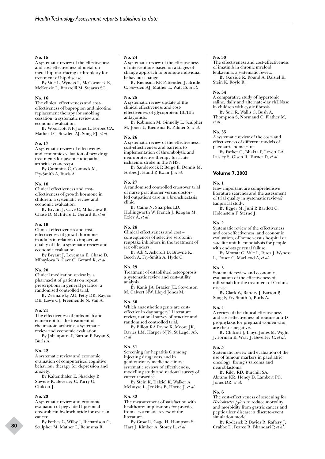A systematic review of the effectiveness and cost-effectiveness of metal-onmetal hip resurfacing arthroplasty for treatment of hip disease.

By Vale L, Wyness L, McCormack K, McKenzie L, Brazzelli M, Stearns SC.

### **No. 16**

The clinical effectiveness and costeffectiveness of bupropion and nicotine replacement therapy for smoking cessation: a systematic review and economic evaluation.

By Woolacott NF, Jones L, Forbes CA, Mather LC, Sowden AJ, Song FJ, *et al*.

#### **No. 17**

A systematic review of effectiveness and economic evaluation of new drug treatments for juvenile idiopathic arthritis: etanercept.

By Cummins C, Connock M, Fry-Smith A, Burls A.

#### **No. 18**

Clinical effectiveness and costeffectiveness of growth hormone in children: a systematic review and economic evaluation.

By Bryant J, Cave C, Mihaylova B, Chase D, McIntyre L, Gerard K, *et al*.

#### **No. 19**

Clinical effectiveness and costeffectiveness of growth hormone in adults in relation to impact on quality of life: a systematic review and economic evaluation.

By Bryant J, Loveman E, Chase D, Mihaylova B, Cave C, Gerard K, *et al*.

#### **No. 20**

Clinical medication review by a pharmacist of patients on repeat prescriptions in general practice: a randomised controlled trial. By Zermansky AG, Petty DR, Raynor

DK, Lowe CJ, Freementle N, Vail A.

#### **No. 21**

The effectiveness of infliximab and etanercept for the treatment of rheumatoid arthritis: a systematic review and economic evaluation.

By Jobanputra P, Barton P, Bryan S, Burls A.

#### **No. 22**

A systematic review and economic evaluation of computerised cognitive behaviour therapy for depression and anxiety.

By Kaltenthaler E, Shackley P, Stevens K, Beverley C, Parry G, Chilcott J.

#### **No. 23**

A systematic review and economic evaluation of pegylated liposomal doxorubicin hydrochloride for ovarian cancer.

By Forbes C, Wilby J, Richardson G, Sculpher M, Mather L, Reimsma R.

### **No. 24**

A systematic review of the effectiveness of interventions based on a stages-ofchange approach to promote individual behaviour change.

By Riemsma RP, Pattenden J, Bridle C, Sowden AJ, Mather L, Watt IS, *et al*.

#### **No. 25**

A systematic review update of the clinical effectiveness and costeffectiveness of glycoprotein IIb/IIIa antagonists.

By Robinson M, Ginnelly L, Sculpher M, Jones L, Riemsma R, Palmer S, *et al*.

#### **No. 26**

A systematic review of the effectiveness, cost-effectiveness and barriers to implementation of thrombolytic and neuroprotective therapy for acute ischaemic stroke in the NHS.

By Sandercock P, Berge E, Dennis M, Forbes J, Hand P, Kwan J, *et al*.

#### **No. 27**

A randomised controlled crossover trial of nurse practitioner versus doctorled outpatient care in a bronchiectasis clinic.

By Caine N, Sharples LD, Hollingworth W, French J, Keogan M, Exley A, *et al*.

#### **No. 28**

Clinical effectiveness and cost – consequences of selective serotonin reuptake inhibitors in the treatment of sex offenders.

By Adi Y, Ashcroft D, Browne K, Beech A, Fry-Smith A, Hyde C.

#### **No. 29**

Treatment of established osteoporosis: a systematic review and cost–utility analysis.

By Kanis JA, Brazier JE, Stevenson M, Calvert NW, Lloyd Jones M.

#### **No. 30**

Which anaesthetic agents are costeffective in day surgery? Literature review, national survey of practice and randomised controlled trial.

By Elliott RA Payne K, Moore JK, Davies LM, Harper NJN, St Leger AS, *et al*.

#### **No. 31**

Screening for hepatitis C among injecting drug users and in genitourinary medicine clinics: systematic reviews of effectiveness, modelling study and national survey of current practice.

By Stein K, Dalziel K, Walker A, McIntyre L, Jenkins B, Horne J*, et al*.

#### **No. 32**

The measurement of satisfaction with healthcare: implications for practice from a systematic review of the literature.

By Crow R, Gage H, Hampson S, Hart J, Kimber A, Storey L, *et al*.

#### **No. 33**

The effectiveness and cost-effectiveness of imatinib in chronic myeloid leukaemia: a systematic review. By Garside R, Round A, Dalziel K, Stein K, Royle R.

#### **No. 34**

A comparative study of hypertonic saline, daily and alternate-day rhDNase in children with cystic fibrosis. By Suri R, Wallis C, Bush A,

Thompson S, Normand C, Flather M, *et al*.

#### **No. 35**

A systematic review of the costs and effectiveness of different models of paediatric home care.

By Parker G, Bhakta P, Lovett CA, Paisley S, Olsen R, Turner D, *et al*.

#### **Volume 7, 2003**

#### **No. 1**

How important are comprehensive literature searches and the assessment of trial quality in systematic reviews? Empirical study.

By Egger M, Jüni P, Bartlett C, Holenstein F, Sterne J.

### **No. 2**

Systematic review of the effectiveness and cost-effectiveness, and economic evaluation, of home versus hospital or satellite unit haemodialysis for people with end-stage renal failure.

By Mowatt G, Vale L, Perez J, Wyness L, Fraser C, MacLeod A, *et al*.

#### **No. 3**

Systematic review and economic evaluation of the effectiveness of infliximab for the treatment of Crohn's disease.

By Clark W, Raftery J, Barton P, Song F, Fry-Smith A, Burls A.

### **No. 4**

A review of the clinical effectiveness and cost-effectiveness of routine anti-D prophylaxis for pregnant women who are rhesus negative.

By Chilcott J, Lloyd Jones M, Wight J, Forman K, Wray J, Beverley C, *et al*.

#### **No. 5**

Systematic review and evaluation of the use of tumour markers in paediatric oncology: Ewing's sarcoma and neuroblastoma.

By Riley RD, Burchill SA, Abrams KR, Heney D, Lambert PC, Jones DR, *et al*.

#### **No. 6**

The cost-effectiveness of screening for *Helicobacter pylori* to reduce mortality and morbidity from gastric cancer and peptic ulcer disease: a discrete-event simulation model.

By Roderick P, Davies R, Raftery J, Crabbe D, Pearce R, Bhandari P, *et al*.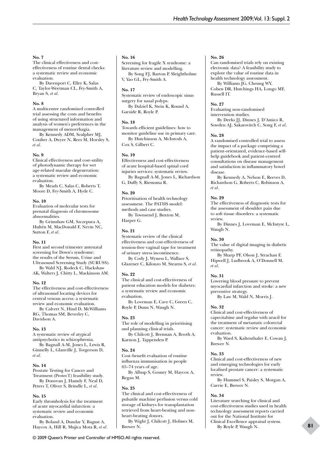The clinical effectiveness and costeffectiveness of routine dental checks: a systematic review and economic evaluation.

By Davenport C, Elley K, Salas C, Taylor-Weetman CL, Fry-Smith A, Bryan S, *et al*.

### **No. 8**

A multicentre randomised controlled trial assessing the costs and benefits of using structured information and analysis of women's preferences in the management of menorrhagia.

By Kennedy ADM, Sculpher MJ, Coulter A, Dwyer N, Rees M, Horsley S, *et al*.

#### **No. 9**

Clinical effectiveness and cost–utility of photodynamic therapy for wet age-related macular degeneration: a systematic review and economic evaluation.

By Meads C, Salas C, Roberts T, Moore D, Fry-Smith A, Hyde C.

#### **No. 10**

Evaluation of molecular tests for prenatal diagnosis of chromosome abnormalities.

By Grimshaw GM, Szczepura A, Hultén M, MacDonald F, Nevin NC, Sutton F, *et al*.

#### **No. 11**

First and second trimester antenatal screening for Down's syndrome: the results of the Serum, Urine and Ultrasound Screening Study (SURUSS). By Wald NJ, Rodeck C, Hackshaw

AK, Walters J, Chitty L, Mackinson AM.

### **No. 12**

The effectiveness and cost-effectiveness of ultrasound locating devices for central venous access: a systematic review and economic evaluation.

By Calvert N, Hind D, McWilliams RG, Thomas SM, Beverley C, Davidson A.

#### **No. 13**

A systematic review of atypical antipsychotics in schizophrenia. By Bagnall A-M, Jones L, Lewis R, Ginnelly L, Glanville J, Torgerson D, *et al.*

#### **No. 14**

Prostate Testing for Cancer and Treatment (ProtecT) feasibility study. By Donovan J, Hamdy F, Neal D, Peters T, Oliver S, Brindle L, *et al*.

#### **No. 15**

Early thrombolysis for the treatment of acute myocardial infarction: a systematic review and economic evaluation.

By Boland A, Dundar Y, Bagust A, Haycox A, Hill R, Mujica Mota R, *et al*.

### **No. 16**

Screening for fragile X syndrome: a literature review and modelling. By Song FJ, Barton P, Sleightholme V, Yao GL, Fry-Smith A.

#### **No. 17**

Systematic review of endoscopic sinus surgery for nasal polyps. By Dalziel K, Stein K, Round A, Garside R, Royle P.

### **No. 18**

Towards efficient guidelines: how to monitor guideline use in primary care. By Hutchinson A, McIntosh A, Cox S, Gilbert C.

### **No. 19**

Effectiveness and cost-effectiveness of acute hospital-based spinal cord injuries services: systematic review.

By Bagnall A-M, Jones L, Richardson G, Duffy S, Riemsma R.

#### **No. 20**

Prioritisation of health technology assessment. The PATHS model: methods and case studies.

By Townsend J, Buxton M, Harper G.

### **No. 21**

Systematic review of the clinical effectiveness and cost-effectiveness of tension-free vaginal tape for treatment of urinary stress incontinence. By Cody J, Wyness L, Wallace S,

Glazener C, Kilonzo M, Stearns S, *et al*.

### **No. 22**

The clinical and cost-effectiveness of patient education models for diabetes: a systematic review and economic evaluation.

By Loveman E, Cave C, Green C, Royle P, Dunn N, Waugh N.

### **No. 23**

The role of modelling in prioritising and planning clinical trials. By Chilcott J, Brennan A, Booth A, Karnon J, Tappenden P.

### **No. 24**

Cost–benefit evaluation of routine influenza immunisation in people 65–74 years of age.

By Allsup S, Gosney M, Haycox A, Regan M.

### **No. 25**

The clinical and cost-effectiveness of pulsatile machine perfusion versus cold storage of kidneys for transplantation retrieved from heart-beating and nonheart-beating donors.

By Wight J, Chilcott J, Holmes M, Brewer N.

#### **No. 26**

Can randomised trials rely on existing electronic data? A feasibility study to explore the value of routine data in health technology assessment.

By Williams JG, Cheung WY, Cohen DR, Hutchings HA, Longo MF, Russell IT.

### **No. 27**

Evaluating non-randomised intervention studies.

By Deeks JJ, Dinnes J, D'Amico R, Sowden AJ, Sakarovitch C, Song F, *et al*.

#### **No. 28**

A randomised controlled trial to assess the impact of a package comprising a patient-orientated, evidence-based selfhelp guidebook and patient-centred consultations on disease management and satisfaction in inflammatory bowel disease.

By Kennedy A, Nelson E, Reeves D, Richardson G, Roberts C, Robinson A, *et al*.

#### **No. 29**

The effectiveness of diagnostic tests for the assessment of shoulder pain due to soft tissue disorders: a systematic review.

By Dinnes J, Loveman E, McIntyre L, Waugh N.

#### **No. 30**

The value of digital imaging in diabetic retinopathy.

By Sharp PF, Olson J, Strachan F, Hipwell J, Ludbrook A, O'Donnell M, *et al*.

### **No. 31**

Lowering blood pressure to prevent myocardial infarction and stroke: a new preventive strategy.

By Law M, Wald N, Morris J.

### **No. 32**

Clinical and cost-effectiveness of capecitabine and tegafur with uracil for the treatment of metastatic colorectal cancer: systematic review and economic evaluation.

By Ward S, Kaltenthaler E, Cowan J, Brewer N.

### **No. 33**

Clinical and cost-effectiveness of new and emerging technologies for early localised prostate cancer: a systematic review.

By Hummel S, Paisley S, Morgan A, Currie E, Brewer N.

### **No. 34**

Literature searching for clinical and cost-effectiveness studies used in health technology assessment reports carried out for the National Institute for Clinical Excellence appraisal system. By Royle P, Waugh N.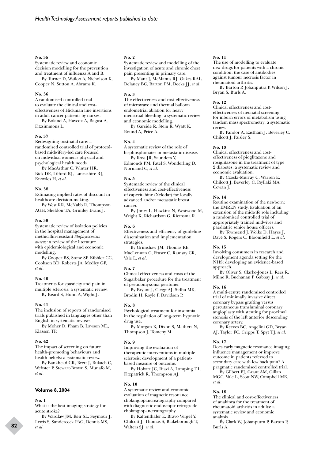Systematic review and economic decision modelling for the prevention and treatment of influenza A and B. By Turner D, Wailoo A, Nicholson K,

Cooper N, Sutton A, Abrams K.

#### **No. 36**

A randomised controlled trial to evaluate the clinical and costeffectiveness of Hickman line insertions in adult cancer patients by nurses.

By Boland A, Haycox A, Bagust A, Fitzsimmons L.

#### **No. 37**

Redesigning postnatal care: a randomised controlled trial of protocolbased midwifery-led care focused on individual women's physical and psychological health needs.

By MacArthur C, Winter HR, Bick DE, Lilford RJ, Lancashire RJ, Knowles H, *et al*.

#### **No. 38**

Estimating implied rates of discount in healthcare decision-making.

By West RR, McNabb R, Thompson AGH, Sheldon TA, Grimley Evans J.

#### **No. 39**

Systematic review of isolation policies in the hospital management of methicillin-resistant *Staphylococcus aureus*: a review of the literature with epidemiological and economic modelling.

By Cooper BS, Stone SP, Kibbler CC, Cookson BD, Roberts JA, Medley GF, *et al*.

#### **No. 40**

Treatments for spasticity and pain in multiple sclerosis: a systematic review. By Beard S, Hunn A, Wight J.

#### **No. 41**

The inclusion of reports of randomised trials published in languages other than English in systematic reviews. By Moher D, Pham B, Lawson ML, Klassen TP.

#### **No. 42**

The impact of screening on future health-promoting behaviours and health beliefs: a systematic review.

By Bankhead CR, Brett J, Bukach C, Webster P, Stewart-Brown S, Munafo M, *et al*.

### **Volume 8, 2004**

#### **No. 1**

What is the best imaging strategy for acute stroke?

By Wardlaw JM, Keir SL, Seymour J, Lewis S, Sandercock PAG, Dennis MS, *et al*.

### **No. 2**

Systematic review and modelling of the investigation of acute and chronic chest pain presenting in primary care.

By Mant J, McManus RJ, Oakes RAL, Delaney BC, Barton PM, Deeks JJ, *et al*.

#### **No. 3**

The effectiveness and cost-effectiveness of microwave and thermal balloon endometrial ablation for heavy menstrual bleeding: a systematic review and economic modelling.

By Garside R, Stein K, Wyatt K, Round A, Price A.

### **No. 4**

A systematic review of the role of bisphosphonates in metastatic disease. By Ross JR, Saunders Y, Edmonds PM, Patel S, Wonderling D, Normand C, *et al*.

#### **No. 5**

Systematic review of the clinical effectiveness and cost-effectiveness of capecitabine (Xeloda®) for locally advanced and/or metastatic breast cancer.

By Jones L, Hawkins N, Westwood M, Wright K, Richardson G, Riemsma R.

#### **No. 6**

Effectiveness and efficiency of guideline dissemination and implementation strategies.

By Grimshaw JM, Thomas RE, MacLennan G, Fraser C, Ramsay CR, Vale L, *et al*.

#### **No. 7**

Clinical effectiveness and costs of the Sugarbaker procedure for the treatment of pseudomyxoma peritonei.

By Bryant J, Clegg AJ, Sidhu MK, Brodin H, Royle P, Davidson P.

#### **No. 8**

Psychological treatment for insomnia in the regulation of long-term hypnotic drug use.

By Morgan K, Dixon S, Mathers N, Thompson J, Tomeny M.

### **No. 9**

Improving the evaluation of therapeutic interventions in multiple sclerosis: development of a patientbased measure of outcome.

By Hobart JC, Riazi A, Lamping DL, Fitzpatrick R, Thompson AJ.

### **No. 10**

A systematic review and economic evaluation of magnetic resonance cholangiopancreatography compared with diagnostic endoscopic retrograde cholangiopancreatography.

By Kaltenthaler E, Bravo Vergel Y, Chilcott J, Thomas S, Blakeborough T, Walters SJ, *et al*.

#### **No. 11**

The use of modelling to evaluate new drugs for patients with a chronic condition: the case of antibodies against tumour necrosis factor in rheumatoid arthritis.

By Barton P, Jobanputra P, Wilson J, Bryan S, Burls A.

#### **No. 12**

Clinical effectiveness and costeffectiveness of neonatal screening for inborn errors of metabolism using tandem mass spectrometry: a systematic review.

By Pandor A, Eastham J, Beverley C, Chilcott J, Paisley S.

#### **No. 13**

Clinical effectiveness and costeffectiveness of pioglitazone and rosiglitazone in the treatment of type 2 diabetes: a systematic review and economic evaluation.

By Czoski-Murray C, Warren E, Chilcott J, Beverley C, Psyllaki MA, Cowan J.

#### **No. 14**

Routine examination of the newborn: the EMREN study. Evaluation of an extension of the midwife role including a randomised controlled trial of appropriately trained midwives and paediatric senior house officers.

By Townsend J, Wolke D, Hayes J, Davé S, Rogers C, Bloomfield L, *et al*.

### **No. 15**

Involving consumers in research and development agenda setting for the NHS: developing an evidence-based approach.

By Oliver S, Clarke-Jones L, Rees R, Milne R, Buchanan P, Gabbay J, *et al*.

#### **No. 16**

A multi-centre randomised controlled trial of minimally invasive direct coronary bypass grafting versus percutaneous transluminal coronary angioplasty with stenting for proximal stenosis of the left anterior descending coronary artery.

By Reeves BC, Angelini GD, Bryan AJ, Taylor FC, Cripps T, Spyt TJ, *et al*.

#### **No. 17**

Does early magnetic resonance imaging influence management or improve outcome in patients referred to secondary care with low back pain? A pragmatic randomised controlled trial.

By Gilbert FJ, Grant AM, Gillan MGC, Vale L, Scott NW, Campbell MK, *et al*.

#### **No. 18**

The clinical and cost-effectiveness of anakinra for the treatment of rheumatoid arthritis in adults: a systematic review and economic analysis.

By Clark W, Jobanputra P, Barton P, Burls A.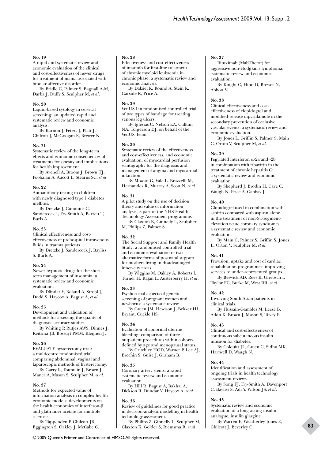A rapid and systematic review and economic evaluation of the clinical and cost-effectiveness of newer drugs for treatment of mania associated with bipolar affective disorder.

By Bridle C, Palmer S, Bagnall A-M, Darba J, Duffy S, Sculpher M, *et al*.

### **No. 20**

Liquid-based cytology in cervical screening: an updated rapid and systematic review and economic analysis.

By Karnon J, Peters J, Platt J, Chilcott J, McGoogan E, Brewer N.

#### **No. 21**

Systematic review of the long-term effects and economic consequences of treatments for obesity and implications for health improvement.

By Avenell A, Broom J, Brown TJ, Poobalan A, Aucott L, Stearns SC, *et al*.

### **No. 22**

Autoantibody testing in children with newly diagnosed type 1 diabetes mellitus.

By Dretzke J, Cummins C, Sandercock J, Fry-Smith A, Barrett T, Burls A.

### **No. 23**

Clinical effectiveness and costeffectiveness of prehospital intravenous fluids in trauma patients. By Dretzke J, Sandercock J, Bayliss

S, Burls A.

#### **No. 24**

Newer hypnotic drugs for the shortterm management of insomnia: a systematic review and economic evaluation.

By Dündar Y, Boland A, Strobl J, Dodd S, Haycox A, Bagust A, *et al*.

#### **No. 25**

Development and validation of methods for assessing the quality of diagnostic accuracy studies.

By Whiting P, Rutjes AWS, Dinnes J, Reitsma JB, Bossuyt PMM, Kleijnen J.

#### **No. 26**

EVALUATE hysterectomy trial: a multicentre randomised trial comparing abdominal, vaginal and laparoscopic methods of hysterectomy.

By Garry R, Fountain J, Brown J, Manca A, Mason S, Sculpher M, *et al*.

#### **No. 27**

Methods for expected value of information analysis in complex health economic models: developments on the health economics of interferon-β and glatiramer acetate for multiple sclerosis.

By Tappenden P, Chilcott JB, Eggington S, Oakley J, McCabe C.

### **No. 28**

Effectiveness and cost-effectiveness of imatinib for first-line treatment of chronic myeloid leukaemia in chronic phase: a systematic review and economic analysis.

By Dalziel K, Round A, Stein K, Garside R, Price A.

### **No. 29**

VenUS I: a randomised controlled trial of two types of bandage for treating venous leg ulcers.

By Iglesias C, Nelson EA, Cullum NA, Torgerson DJ, on behalf of the VenUS Team.

#### **No. 30**

Systematic review of the effectiveness and cost-effectiveness, and economic evaluation, of myocardial perfusion scintigraphy for the diagnosis and management of angina and myocardial infarction.

By Mowatt G, Vale L, Brazzelli M, Hernandez R, Murray A, Scott N, *et al*.

#### **No. 31**

A pilot study on the use of decision theory and value of information analysis as part of the NHS Health Technology Assessment programme. By Claxton K, Ginnelly L, Sculpher

M, Philips Z, Palmer S.

### **No. 32**

The Social Support and Family Health Study: a randomised controlled trial and economic evaluation of two alternative forms of postnatal support for mothers living in disadvantaged inner-city areas.

By Wiggins M, Oakley A, Roberts I, Turner H, Rajan L, Austerberry H, *et al*.

#### **No. 33**

Psychosocial aspects of genetic screening of pregnant women and newborns: a systematic review. By Green JM, Hewison J, Bekker HL,

Bryant, Cuckle HS.

### **No. 34**

Evaluation of abnormal uterine bleeding: comparison of three outpatient procedures within cohorts defined by age and menopausal status.

By Critchley HOD, Warner P, Lee AJ, Brechin S, Guise J, Graham B.

#### **No. 35**

Coronary artery stents: a rapid systematic review and economic evaluation.

By Hill R, Bagust A, Bakhai A, Dickson R, Dündar Y, Haycox A, *et al*.

#### **No. 36**

Review of guidelines for good practice in decision-analytic modelling in health technology assessment.

By Philips Z, Ginnelly L, Sculpher M, Claxton K, Golder S, Riemsma R, *et al*.

#### **No. 37**

Rituximab (MabThera®) for aggressive non-Hodgkin's lymphoma: systematic review and economic evaluation.

By Knight C, Hind D, Brewer N, Abbott V.

#### **No. 38**

Clinical effectiveness and costeffectiveness of clopidogrel and modified-release dipyridamole in the secondary prevention of occlusive vascular events: a systematic review and economic evaluation.

By Jones L, Griffin S, Palmer S, Main C, Orton V, Sculpher M, *et al.*

#### **No. 39**

Pegylated interferon α-2a and -2b in combination with ribavirin in the treatment of chronic hepatitis C: a systematic review and economic evaluation.

By Shepherd J, Brodin H, Cave C, Waugh N, Price A, Gabbay J.

#### **No. 40**

Clopidogrel used in combination with aspirin compared with aspirin alone in the treatment of non-ST-segmentelevation acute coronary syndromes: a systematic review and economic evaluation.

By Main C, Palmer S, Griffin S, Jones L, Orton V, Sculpher M, *et al.*

#### **No. 41**

Provision, uptake and cost of cardiac rehabilitation programmes: improving services to under-represented groups. By Beswick AD, Rees K, Griebsch I,

Taylor FC, Burke M, West RR, *et al.*

#### **No. 42**

Involving South Asian patients in clinical trials.

By Hussain-Gambles M, Leese B, Atkin K, Brown J, Mason S, Tovey P.

### **No. 43**

Clinical and cost-effectiveness of continuous subcutaneous insulin infusion for diabetes. By Colquitt JL, Green C, Sidhu MK, Hartwell D, Waugh N.

### **No. 44**

Identification and assessment of ongoing trials in health technology assessment reviews. By Song FJ, Fry-Smith A, Davenport

C, Bayliss S, Adi Y, Wilson JS, *et al*.

#### **No. 45**

Systematic review and economic evaluation of a long-acting insulin analogue, insulin glargine By Warren E, Weatherley-Jones E, Chilcott J, Beverley C.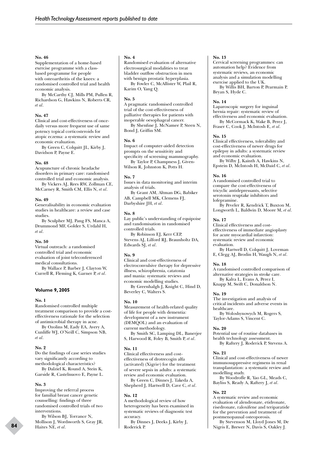Supplementation of a home-based exercise programme with a classbased programme for people with osteoarthritis of the knees: a randomised controlled trial and health economic analysis.

By McCarthy CJ, Mills PM, Pullen R, Richardson G, Hawkins N, Roberts CR, *et al*.

#### **No. 47**

Clinical and cost-effectiveness of oncedaily versus more frequent use of same potency topical corticosteroids for atopic eczema: a systematic review and economic evaluation.

By Green C, Colquitt JL, Kirby J, Davidson P, Payne E.

### **No. 48**

Acupuncture of chronic headache disorders in primary care: randomised controlled trial and economic analysis. By Vickers AJ, Rees RW, Zollman CE,

McCarney R, Smith CM, Ellis N, *et al*.

#### **No. 49**

Generalisability in economic evaluation studies in healthcare: a review and case studies.

By Sculpher MJ, Pang FS, Manca A, Drummond MF, Golder S, Urdahl H, *et al*.

#### **No. 50**

Virtual outreach: a randomised controlled trial and economic evaluation of joint teleconferenced medical consultations.

By Wallace P, Barber J, Clayton W, Currell R, Fleming K, Garner P, *et al*.

#### **Volume 9, 2005**

#### **No. 1**

Randomised controlled multiple treatment comparison to provide a costeffectiveness rationale for the selection of antimicrobial therapy in acne.

By Ozolins M, Eady EA, Avery A, Cunliffe WJ, O'Neill C, Simpson NB, *et al*.

### **No. 2**

Do the findings of case series studies vary significantly according to methodological characteristics?

By Dalziel K, Round A, Stein K, Garside R, Castelnuovo E, Payne L.

#### **No. 3**

Improving the referral process for familial breast cancer genetic counselling: findings of three randomised controlled trials of two interventions.

By Wilson BJ, Torrance N, Mollison J, Wordsworth S, Gray JR, Haites NE, *et al*.

#### **No. 4**

Randomised evaluation of alternative electrosurgical modalities to treat bladder outflow obstruction in men with benign prostatic hyperplasia.

By Fowler C, McAllister W, Plail R, Karim O, Yang Q.

#### **No. 5**

A pragmatic randomised controlled trial of the cost-effectiveness of palliative therapies for patients with inoperable oesophageal cancer.

By Shenfine J, McNamee P, Steen N, Bond J, Griffin SM.

#### **No. 6**

Impact of computer-aided detection prompts on the sensitivity and specificity of screening mammography. By Taylor P, Champness J, Given-Wilson R, Johnston K, Potts H.

### **No. 7**

Issues in data monitoring and interim analysis of trials.

By Grant AM, Altman DG, Babiker AB, Campbell MK, Clemens FJ, Darbyshire JH, *et al*.

#### **No. 8**

Lay public's understanding of equipoise and randomisation in randomised controlled trials.

By Robinson EJ, Kerr CEP, Stevens AJ, Lilford RJ, Braunholtz DA, Edwards SJ, *et al*.

#### **No. 9**

Clinical and cost-effectiveness of electroconvulsive therapy for depressive illness, schizophrenia, catatonia and mania: systematic reviews and economic modelling studies. By Greenhalgh J, Knight C, Hind D, Beverley C, Walters S.

#### **No. 10**

Measurement of health-related quality of life for people with dementia: development of a new instrument (DEMQOL) and an evaluation of current methodology.

By Smith SC, Lamping DL, Banerjee S, Harwood R, Foley B, Smith P, *et al*.

#### **No. 11**

Clinical effectiveness and costeffectiveness of drotrecogin alfa (activated) (Xigris®) for the treatment of severe sepsis in adults: a systematic review and economic evaluation.

By Green C, Dinnes J, Takeda A, Shepherd J, Hartwell D, Cave C, *et al*.

### **No. 12**

A methodological review of how heterogeneity has been examined in systematic reviews of diagnostic test accuracy.

By Dinnes J, Deeks J, Kirby J, Roderick P.

#### **No. 13**

Cervical screening programmes: can automation help? Evidence from systematic reviews, an economic analysis and a simulation modelling exercise applied to the UK. By Willis BH, Barton P, Pearmain P, Bryan S, Hyde C.

#### **No. 14**

Laparoscopic surgery for inguinal hernia repair: systematic review of effectiveness and economic evaluation.

By McCormack K, Wake B, Perez J, Fraser C, Cook J, McIntosh E, *et al*.

#### **No. 15**

Clinical effectiveness, tolerability and cost-effectiveness of newer drugs for epilepsy in adults: a systematic review and economic evaluation.

By Wilby J, Kainth A, Hawkins N, Epstein D, McIntosh H, McDaid C, *et al*.

#### **No. 16**

A randomised controlled trial to compare the cost-effectiveness of tricyclic antidepressants, selective serotonin reuptake inhibitors and lofepramine.

By Peveler R, Kendrick T, Buxton M, Longworth L, Baldwin D, Moore M, *et al*.

#### **No. 17**

Clinical effectiveness and costeffectiveness of immediate angioplasty for acute myocardial infarction: systematic review and economic evaluation. By Hartwell D, Colquitt J, Loveman

E, Clegg AJ, Brodin H, Waugh N, *et al*.

### **No. 18**

A randomised controlled comparison of alternative strategies in stroke care. By Kalra L, Evans A, Perez I, Knapp M, Swift C, Donaldson N.

#### **No. 19**

The investigation and analysis of critical incidents and adverse events in healthcare.

By Woloshynowych M, Rogers S, Taylor-Adams S, Vincent C.

#### **No. 20**

Potential use of routine databases in health technology assessment. By Raftery J, Roderick P, Stevens A.

#### **No. 21**

Clinical and cost-effectiveness of newer immunosuppressive regimens in renal transplantation: a systematic review and modelling study. By Woodroffe R, Yao GL, Meads C,

Bayliss S, Ready A, Raftery J, *et al*.

### **No. 22**

A systematic review and economic evaluation of alendronate, etidronate, risedronate, raloxifene and teriparatide for the prevention and treatment of postmenopausal osteoporosis.

By Stevenson M, Lloyd Jones M, De Nigris E, Brewer N, Davis S, Oakley J.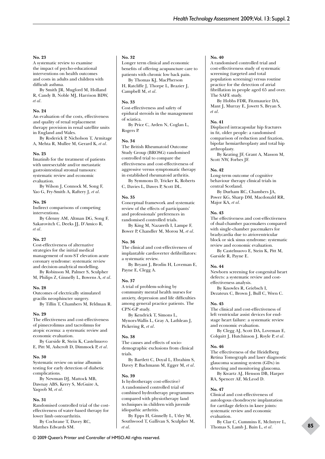A systematic review to examine the impact of psycho-educational interventions on health outcomes and costs in adults and children with difficult asthma.

By Smith JR, Mugford M, Holland R, Candy B, Noble MJ, Harrison BDW, *et al*.

### **No. 24**

An evaluation of the costs, effectiveness and quality of renal replacement therapy provision in renal satellite units in England and Wales.

By Roderick P, Nicholson T, Armitage A, Mehta R, Mullee M, Gerard K, *et al*.

#### **No. 25**

Imatinib for the treatment of patients with unresectable and/or metastatic gastrointestinal stromal tumours: systematic review and economic evaluation.

By Wilson J, Connock M, Song F, Yao G, Fry-Smith A, Raftery J, *et al*.

#### **No. 26**

Indirect comparisons of competing interventions.

By Glenny AM, Altman DG, Song F, Sakarovitch C, Deeks JJ, D'Amico R, *et al*.

#### **No. 27**

Cost-effectiveness of alternative strategies for the initial medical management of non-ST elevation acute coronary syndrome: systematic review and decision-analytical modelling.

By Robinson M, Palmer S, Sculpher M, Philips Z, Ginnelly L, Bowens A, *et al*.

#### **No. 28**

Outcomes of electrically stimulated gracilis neosphincter surgery.

By Tillin T, Chambers M, Feldman R.

### **No. 29**

The effectiveness and cost-effectiveness of pimecrolimus and tacrolimus for atopic eczema: a systematic review and economic evaluation.

By Garside R, Stein K, Castelnuovo E, Pitt M, Ashcroft D, Dimmock P, *et al*.

#### **No. 30**

Systematic review on urine albumin testing for early detection of diabetic complications.

By Newman DJ, Mattock MB, Dawnay ABS, Kerry S, McGuire A, Yaqoob M, *et al*.

### **No. 31**

Randomised controlled trial of the costeffectiveness of water-based therapy for lower limb osteoarthritis. By Cochrane T, Davey RC,

Matthes Edwards SM.

### **No. 32**

Longer term clinical and economic benefits of offering acupuncture care to patients with chronic low back pain.

By Thomas KJ, MacPherson H, Ratcliffe J, Thorpe L, Brazier J, Campbell M, *et al*.

### **No. 33**

Cost-effectiveness and safety of epidural steroids in the management of sciatica.

By Price C, Arden N, Coglan L, Rogers P.

### **No. 34**

The British Rheumatoid Outcome Study Group (BROSG) randomised controlled trial to compare the effectiveness and cost-effectiveness of aggressive versus symptomatic therapy in established rheumatoid arthritis.

By Symmons D, Tricker K, Roberts C, Davies L, Dawes P, Scott DL.

### **No. 35**

Conceptual framework and systematic review of the effects of participants' and professionals' preferences in randomised controlled trials.

By King M, Nazareth I, Lampe F, Bower P, Chandler M, Morou M, *et al*.

### **No. 36**

The clinical and cost-effectiveness of implantable cardioverter defibrillators: a systematic review.

By Bryant J, Brodin H, Loveman E, Payne E, Clegg A.

### **No. 37**

A trial of problem-solving by community mental health nurses for anxiety, depression and life difficulties among general practice patients. The CPN-GP study.

By Kendrick T, Simons L, Mynors-Wallis L, Gray A, Lathlean J, Pickering R, *et al*.

### **No. 38**

The causes and effects of sociodemographic exclusions from clinical trials.

By Bartlett C, Doyal L, Ebrahim S, Davey P, Bachmann M, Egger M, *et al*.

#### **No. 39**

Is hydrotherapy cost-effective? A randomised controlled trial of combined hydrotherapy programmes compared with physiotherapy land techniques in children with juvenile idiopathic arthritis.

By Epps H, Ginnelly L, Utley M, Southwood T, Gallivan S, Sculpher M, *et al*.

### **No. 40**

A randomised controlled trial and cost-effectiveness study of systematic screening (targeted and total population screening) versus routine practice for the detection of atrial fibrillation in people aged 65 and over. The SAFE study.

By Hobbs FDR, Fitzmaurice DA, Mant J, Murray E, Jowett S, Bryan S, *et al*.

### **No. 41**

Displaced intracapsular hip fractures in fit, older people: a randomised comparison of reduction and fixation, bipolar hemiarthroplasty and total hip arthroplasty.

By Keating JF, Grant A, Masson M, Scott NW, Forbes JF.

#### **No. 42**

Long-term outcome of cognitive behaviour therapy clinical trials in central Scotland.

By Durham RC, Chambers JA, Power KG, Sharp DM, Macdonald RR, Major KA, *et al*.

### **No. 43**

The effectiveness and cost-effectiveness of dual-chamber pacemakers compared with single-chamber pacemakers for bradycardia due to atrioventricular block or sick sinus syndrome: systematic review and economic evaluation.

By Castelnuovo E, Stein K, Pitt M, Garside R, Payne E.

### **No. 44**

Newborn screening for congenital heart defects: a systematic review and costeffectiveness analysis.

By Knowles R, Griebsch I, Dezateux C, Brown J, Bull C, Wren C.

### **No. 45**

The clinical and cost-effectiveness of left ventricular assist devices for endstage heart failure: a systematic review and economic evaluation.

By Clegg AJ, Scott DA, Loveman E, Colquitt J, Hutchinson J, Royle P, *et al*.

### **No. 46**

The effectiveness of the Heidelberg Retina Tomograph and laser diagnostic glaucoma scanning system (GDx) in detecting and monitoring glaucoma.

By Kwartz AJ, Henson DB, Harper RA, Spencer AF, McLeod D.

### **No. 47**

Clinical and cost-effectiveness of autologous chondrocyte implantation for cartilage defects in knee joints: systematic review and economic evaluation.

By Clar C, Cummins E, McIntyre L, Thomas S, Lamb J, Bain L, *et al*.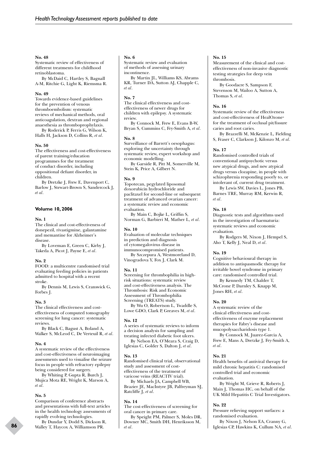Systematic review of effectiveness of different treatments for childhood retinoblastoma.

By McDaid C, Hartley S, Bagnall A-M, Ritchie G, Light K, Riemsma R.

### **No. 49**

Towards evidence-based guidelines for the prevention of venous thromboembolism: systematic reviews of mechanical methods, oral anticoagulation, dextran and regional anaesthesia as thromboprophylaxis.

By Roderick P, Ferris G, Wilson K, Halls H, Jackson D, Collins R, *et al*.

#### **No. 50**

The effectiveness and cost-effectiveness of parent training/education programmes for the treatment of conduct disorder, including oppositional defiant disorder, in children.

By Dretzke J, Frew E, Davenport C, Barlow J, Stewart-Brown S, Sandercock J, *et al*.

#### **Volume 10, 2006**

#### **No. 1**

The clinical and cost-effectiveness of donepezil, rivastigmine, galantamine and memantine for Alzheimer's disease.

By Loveman E, Green C, Kirby J, Takeda A, Picot J, Payne E, *et al*.

#### **No. 2**

FOOD: a multicentre randomised trial evaluating feeding policies in patients admitted to hospital with a recent stroke.

By Dennis M, Lewis S, Cranswick G, Forbes J.

#### **No. 3**

The clinical effectiveness and costeffectiveness of computed tomography screening for lung cancer: systematic reviews.

By Black C, Bagust A, Boland A, Walker S, McLeod C, De Verteuil R, *et al*.

#### **No. 4**

A systematic review of the effectiveness and cost-effectiveness of neuroimaging assessments used to visualise the seizure focus in people with refractory epilepsy being considered for surgery.

By Whiting P, Gupta R, Burch J, Mujica Mota RE, Wright K, Marson A, *et al*.

### **No. 5**

Comparison of conference abstracts and presentations with full-text articles in the health technology assessments of rapidly evolving technologies.

By Dundar Y, Dodd S, Dickson R, Walley T, Haycox A, Williamson PR.

### **No. 6**

Systematic review and evaluation of methods of assessing urinary incontinence.

By Martin JL, Williams KS, Abrams KR, Turner DA, Sutton AJ, Chapple C, *et al*.

#### **No. 7**

The clinical effectiveness and costeffectiveness of newer drugs for children with epilepsy. A systematic review.

By Connock M, Frew E, Evans B-W, Bryan S, Cummins C, Fry-Smith A, *et al*.

#### **No. 8**

Surveillance of Barrett's oesophagus: exploring the uncertainty through systematic review, expert workshop and economic modelling.

By Garside R, Pitt M, Somerville M, Stein K, Price A, Gilbert N.

#### **No. 9**

Topotecan, pegylated liposomal doxorubicin hydrochloride and paclitaxel for second-line or subsequent treatment of advanced ovarian cancer: a systematic review and economic evaluation.

By Main C, Bojke L, Griffin S, Norman G, Barbieri M, Mather L, *et al*.

### **No. 10**

Evaluation of molecular techniques in prediction and diagnosis of cytomegalovirus disease in immunocompromised patients.

By Szczepura A, Westmoreland D, Vinogradova Y, Fox J, Clark M.

#### **No. 11**

Screening for thrombophilia in highrisk situations: systematic review and cost-effectiveness analysis. The Thrombosis: Risk and Economic Assessment of Thrombophilia Screening (TREATS) study.

By Wu O, Robertson L, Twaddle S, Lowe GDO, Clark P, Greaves M, *et al*.

#### **No. 12**

A series of systematic reviews to inform a decision analysis for sampling and treating infected diabetic foot ulcers.

By Nelson EA, O'Meara S, Craig D, Iglesias C, Golder S, Dalton J, *et al*.

### **No. 13**

Randomised clinical trial, observational study and assessment of costeffectiveness of the treatment of varicose veins (REACTIV trial).

By Michaels JA, Campbell WB, Brazier JE, MacIntyre JB, Palfreyman SJ, Ratcliffe J, *et al*.

#### **No. 14**

The cost-effectiveness of screening for oral cancer in primary care.

By Speight PM, Palmer S, Moles DR, Downer MC, Smith DH, Henriksson M, *et al*.

#### **No. 15**

Measurement of the clinical and costeffectiveness of non-invasive diagnostic testing strategies for deep vein thrombosis.

By Goodacre S, Sampson F, Stevenson M, Wailoo A, Sutton A, Thomas S, *et al*.

#### **No. 16**

Systematic review of the effectiveness and cost-effectiveness of HealOzone® for the treatment of occlusal pit/fissure caries and root caries.

By Brazzelli M, McKenzie L, Fielding S, Fraser C, Clarkson J, Kilonzo M, *et al*.

#### **No. 17**

Randomised controlled trials of conventional antipsychotic versus new atypical drugs, and new atypical drugs versus clozapine, in people with schizophrenia responding poorly to, or intolerant of, current drug treatment.

By Lewis SW, Davies L, Jones PB, Barnes TRE, Murray RM, Kerwin R, *et al*.

#### **No. 18**

Diagnostic tests and algorithms used in the investigation of haematuria: systematic reviews and economic evaluation.

By Rodgers M, Nixon J, Hempel S, Aho T, Kelly J, Neal D, *et al*.

#### **No. 19**

Cognitive behavioural therapy in addition to antispasmodic therapy for irritable bowel syndrome in primary care: randomised controlled trial.

By Kennedy TM, Chalder T, McCrone P, Darnley S, Knapp M, Jones RH, *et al*.

### **No. 20**

A systematic review of the clinical effectiveness and costeffectiveness of enzyme replacement therapies for Fabry's disease and mucopolysaccharidosis type 1.

By Connock M, Juarez-Garcia A, Frew E, Mans A, Dretzke J, Fry-Smith A, *et al*.

#### **No. 21**

Health benefits of antiviral therapy for mild chronic hepatitis C: randomised controlled trial and economic evaluation.

By Wright M, Grieve R, Roberts J, Main J, Thomas HC, on behalf of the UK Mild Hepatitis C Trial Investigators.

#### **No. 22**

Pressure relieving support surfaces: a randomised evaluation.

By Nixon J, Nelson EA, Cranny G, Iglesias CP, Hawkins K, Cullum NA, *et al*.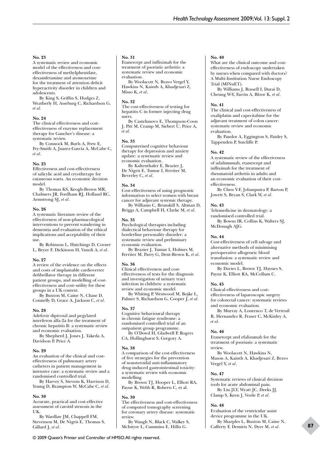A systematic review and economic model of the effectiveness and costeffectiveness of methylphenidate, dexamfetamine and atomoxetine for the treatment of attention deficit hyperactivity disorder in children and adolescents.

By King S, Griffin S, Hodges Z, Weatherly H, Asseburg C, Richardson G, *et al.*

#### **No. 24**

The clinical effectiveness and costeffectiveness of enzyme replacement therapy for Gaucher's disease: a systematic review.

By Connock M, Burls A, Frew E, Fry-Smith A, Juarez-Garcia A, McCabe C, *et al*.

#### **No. 25**

Effectiveness and cost-effectiveness of salicylic acid and cryotherapy for cutaneous warts. An economic decision model.

By Thomas KS, Keogh-Brown MR, Chalmers JR, Fordham RJ, Holland RC, Armstrong SJ, *et al*.

#### **No. 26**

A systematic literature review of the effectiveness of non-pharmacological interventions to prevent wandering in dementia and evaluation of the ethical implications and acceptability of their use.

By Robinson L, Hutchings D, Corner L, Beyer F, Dickinson H, Vanoli A, *et al*.

#### **No. 27**

A review of the evidence on the effects and costs of implantable cardioverter defibrillator therapy in different patient groups, and modelling of costeffectiveness and cost–utility for these groups in a UK context.

By Buxton M, Caine N, Chase D, Connelly D, Grace A, Jackson C, *et al*.

#### **No. 28**

Adefovir dipivoxil and pegylated interferon alfa-2a for the treatment of chronic hepatitis B: a systematic review and economic evaluation.

By Shepherd J, Jones J, Takeda A, Davidson P, Price A.

#### **No. 29**

An evaluation of the clinical and costeffectiveness of pulmonary artery catheters in patient management in intensive care: a systematic review and a randomised controlled trial.

By Harvey S, Stevens K, Harrison D, Young D, Brampton W, McCabe C, *et al*.

#### **No. 30**

Accurate, practical and cost-effective assessment of carotid stenosis in the UK.

By Wardlaw JM, Chappell FM, Stevenson M, De Nigris E, Thomas S, Gillard J, *et al*.

#### **No. 31**

Etanercept and infliximab for the treatment of psoriatic arthritis: a systematic review and economic evaluation.

By Woolacott N, Bravo Vergel Y, Hawkins N, Kainth A, Khadjesari Z, Misso K, *et al*.

#### **No. 32**

The cost-effectiveness of testing for hepatitis C in former injecting drug users.

By Castelnuovo E, Thompson-Coon J, Pitt M, Cramp M, Siebert U, Price A, *et al*.

### **No. 33**

Computerised cognitive behaviour therapy for depression and anxiety update: a systematic review and economic evaluation.

By Kaltenthaler E, Brazier J, De Nigris E, Tumur I, Ferriter M, Beverley C, *et al*.

#### **No. 34**

Cost-effectiveness of using prognostic information to select women with breast cancer for adjuvant systemic therapy.

By Williams C, Brunskill S, Altman D, Briggs A, Campbell H, Clarke M, *et al*.

#### **No. 35**

Psychological therapies including dialectical behaviour therapy for borderline personality disorder: a systematic review and preliminary economic evaluation.

By Brazier J, Tumur I, Holmes M, Ferriter M, Parry G, Dent-Brown K, *et al*.

#### **No. 36**

Clinical effectiveness and costeffectiveness of tests for the diagnosis and investigation of urinary tract infection in children: a systematic review and economic model.

By Whiting P, Westwood M, Bojke L, Palmer S, Richardson G, Cooper J, *et al*.

#### **No. 37**

Cognitive behavioural therapy in chronic fatigue syndrome: a randomised controlled trial of an outpatient group programme.

By O'Dowd H, Gladwell P, Rogers CA, Hollinghurst S, Gregory A.

#### **No. 38**

A comparison of the cost-effectiveness of five strategies for the prevention of nonsteroidal anti-inflammatory drug-induced gastrointestinal toxicity: a systematic review with economic modelling.

By Brown TJ, Hooper L, Elliott RA, Payne K, Webb R, Roberts C, et al.

#### **No. 39**

The effectiveness and cost-effectiveness of computed tomography screening for coronary artery disease: systematic review.

By Waugh N, Black C, Walker S, McIntyre L, Cummins E, Hillis G.

#### **No. 40**

What are the clinical outcome and costeffectiveness of endoscopy undertaken by nurses when compared with doctors? A Multi-Institution Nurse Endoscopy Trial (MINuET).

By Williams J, Russell I, Durai D, Cheung W-Y, Farrin A, Bloor K, *et al*.

### **No. 41**

The clinical and cost-effectiveness of oxaliplatin and capecitabine for the adjuvant treatment of colon cancer: systematic review and economic evaluation.

By Pandor A, Eggington S, Paisley S, Tappenden P, Sutcliffe P.

### **No. 42**

A systematic review of the effectiveness of adalimumab, etanercept and infliximab for the treatment of rheumatoid arthritis in adults and an economic evaluation of their costeffectiveness.

By Chen Y-F, Jobanputra P, Barton P, Jowett S, Bryan S, Clark W, *et al*.

### **No. 43**

Telemedicine in dermatology: a randomised controlled trial. By Bowns IR, Collins K, Walters SJ, McDonagh AJG.

#### **No. 44**

Cost-effectiveness of cell salvage and alternative methods of minimising perioperative allogeneic blood transfusion: a systematic review and economic model.

By Davies L, Brown TJ, Haynes S, Payne K, Elliott RA, McCollum C.

#### **No. 45**

Clinical effectiveness and costeffectiveness of laparoscopic surgery for colorectal cancer: systematic reviews and economic evaluation.

By Murray A, Lourenco T, de Verteuil R, Hernandez R, Fraser C, McKinley A, *et al*.

#### **No. 46**

Etanercept and efalizumab for the treatment of psoriasis: a systematic review.

By Woolacott N, Hawkins N, Mason A, Kainth A, Khadjesari Z, Bravo Vergel Y, *et al*.

#### **No. 47**

Systematic reviews of clinical decision tools for acute abdominal pain. By Liu JLY, Wyatt JC, Deeks JJ, Clamp S, Keen J, Verde P, *et al*.

#### **No. 48**

Evaluation of the ventricular assist device programme in the UK. By Sharples L, Buxton M, Caine N, Cafferty F, Demiris N, Dyer M, *et al*.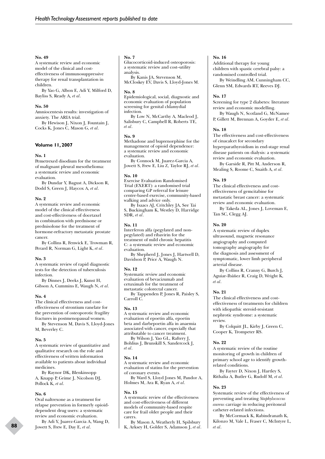A systematic review and economic model of the clinical and costeffectiveness of immunosuppressive therapy for renal transplantation in children.

By Yao G, Albon E, Adi Y, Milford D, Bayliss S, Ready A, *et al*.

#### **No. 50**

Amniocentesis results: investigation of anxiety. The ARIA trial.

By Hewison J, Nixon J, Fountain J, Cocks K, Jones C, Mason G, *et al*.

### **Volume 11, 2007**

#### **No. 1**

Pemetrexed disodium for the treatment of malignant pleural mesothelioma: a systematic review and economic evaluation.

By Dundar Y, Bagust A, Dickson R, Dodd S, Green J, Haycox A, *et al*.

#### **No. 2**

A systematic review and economic model of the clinical effectiveness and cost-effectiveness of docetaxel in combination with prednisone or prednisolone for the treatment of hormone-refractory metastatic prostate cancer.

By Collins R, Fenwick E, Trowman R, Perard R, Norman G, Light K, *et al*.

#### **No. 3**

A systematic review of rapid diagnostic tests for the detection of tuberculosis infection.

By Dinnes J, Deeks J, Kunst H, Gibson A, Cummins E, Waugh N, *et al*.

#### **No. 4**

The clinical effectiveness and costeffectiveness of strontium ranelate for the prevention of osteoporotic fragility fractures in postmenopausal women.

By Stevenson M, Davis S, Lloyd-Jones M, Beverley C.

#### **No. 5**

A systematic review of quantitative and qualitative research on the role and effectiveness of written information available to patients about individual medicines.

By Raynor DK, Blenkinsopp A, Knapp P, Grime J, Nicolson DJ, Pollock K, *et al*.

#### **No. 6**

Oral naltrexone as a treatment for relapse prevention in formerly opioiddependent drug users: a systematic review and economic evaluation. By Adi Y, Juarez-Garcia A, Wang D,

Jowett S, Frew E, Day E, *et al*.

### **No. 7**

Glucocorticoid-induced osteoporosis: a systematic review and cost–utility analysis.

By Kanis JA, Stevenson M, McCloskey EV, Davis S, Lloyd-Jones M.

#### **No. 8**

Epidemiological, social, diagnostic and economic evaluation of population screening for genital chlamydial infection.

By Low N, McCarthy A, Macleod J, Salisbury C, Campbell R, Roberts TE, *et al*.

#### **No. 9**

Methadone and buprenorphine for the management of opioid dependence: a systematic review and economic evaluation.

By Connock M, Juarez-Garcia A, Jowett S, Frew E, Liu Z, Taylor RJ, *et al*.

#### **No. 10**

Exercise Evaluation Randomised Trial (EXERT): a randomised trial comparing GP referral for leisure centre-based exercise, community-based walking and advice only.

By Isaacs AJ, Critchley JA, See Tai S, Buckingham K, Westley D, Harridge SDR, *et al*.

### **No. 11**

Interferon alfa (pegylated and nonpegylated) and ribavirin for the treatment of mild chronic hepatitis C: a systematic review and economic evaluation.

By Shepherd J, Jones J, Hartwell D, Davidson P, Price A, Waugh N.

#### **No. 12**

Systematic review and economic evaluation of bevacizumab and cetuximab for the treatment of metastatic colorectal cancer.

By Tappenden P, Jones R, Paisley S, Carroll C.

#### **No. 13**

A systematic review and economic evaluation of epoetin alfa, epoetin beta and darbepoetin alfa in anaemia associated with cancer, especially that attributable to cancer treatment.

By Wilson J, Yao GL, Raftery J, Bohlius J, Brunskill S, Sandercock J, *et al*.

#### **No. 14**

A systematic review and economic evaluation of statins for the prevention of coronary events.

By Ward S, Lloyd Jones M, Pandor A, Holmes M, Ara R, Ryan A, *et al*.

#### **No. 15**

A systematic review of the effectiveness and cost-effectiveness of different models of community-based respite care for frail older people and their carers.

By Mason A, Weatherly H, Spilsbury K, Arksey H, Golder S, Adamson J, *et al*.

#### **No. 16**

Additional therapy for young children with spastic cerebral palsy: a randomised controlled trial.

By Weindling AM, Cunningham CC, Glenn SM, Edwards RT, Reeves DJ.

#### **No. 17**

Screening for type 2 diabetes: literature review and economic modelling.

By Waugh N, Scotland G, McNamee P, Gillett M, Brennan A, Goyder E, *et al*.

### **No. 18**

The effectiveness and cost-effectiveness of cinacalcet for secondary hyperparathyroidism in end-stage renal disease patients on dialysis: a systematic review and economic evaluation.

By Garside R, Pitt M, Anderson R, Mealing S, Roome C, Snaith A, *et al*.

#### **No. 19**

The clinical effectiveness and costeffectiveness of gemcitabine for metastatic breast cancer: a systematic review and economic evaluation.

By Takeda AL, Jones J, Loveman E, Tan SC, Clegg AJ.

### **No. 20**

A systematic review of duplex ultrasound, magnetic resonance angiography and computed tomography angiography for the diagnosis and assessment of symptomatic, lower limb peripheral arterial disease.

By Collins R, Cranny G, Burch J, Aguiar-Ibáñez R, Craig D, Wright K, *et al*.

### **No. 21**

The clinical effectiveness and costeffectiveness of treatments for children with idiopathic steroid-resistant nephrotic syndrome: a systematic review.

By Colquitt JL, Kirby J, Green C, Cooper K, Trompeter RS.

### **No. 22**

A systematic review of the routine monitoring of growth in children of primary school age to identify growthrelated conditions.

By Fayter D, Nixon J, Hartley S, Rithalia A, Butler G, Rudolf M, *et al*.

### **No. 23**

Systematic review of the effectiveness of preventing and treating *Staphylococcus aureus* carriage in reducing peritoneal catheter-related infections.

By McCormack K, Rabindranath K, Kilonzo M, Vale L, Fraser C, McIntyre L, *et al*.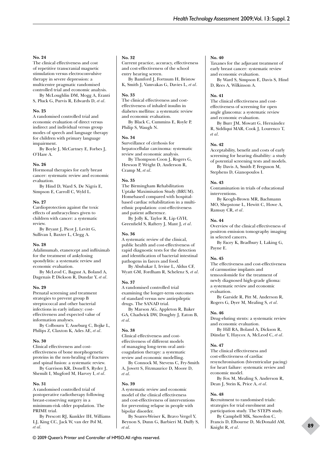The clinical effectiveness and cost of repetitive transcranial magnetic stimulation versus electroconvulsive therapy in severe depression: a multicentre pragmatic randomised controlled trial and economic analysis.

By McLoughlin DM, Mogg A, Eranti S, Pluck G, Purvis R, Edwards D, *et al*.

#### **No. 25**

A randomised controlled trial and economic evaluation of direct versus indirect and individual versus group modes of speech and language therapy for children with primary language impairment.

By Boyle J, McCartney E, Forbes J, O'Hare A.

#### **No. 26**

Hormonal therapies for early breast cancer: systematic review and economic evaluation.

By Hind D, Ward S, De Nigris E, Simpson E, Carroll C, Wyld L.

#### **No. 27**

Cardioprotection against the toxic effects of anthracyclines given to children with cancer: a systematic review.

By Bryant J, Picot J, Levitt G, Sullivan I, Baxter L, Clegg A.

#### **No. 28**

Adalimumab, etanercept and infliximab for the treatment of ankylosing spondylitis: a systematic review and economic evaluation.

By McLeod C, Bagust A, Boland A, Dagenais P, Dickson R, Dundar Y, *et al*.

#### **No. 29**

Prenatal screening and treatment strategies to prevent group B streptococcal and other bacterial infections in early infancy: costeffectiveness and expected value of information analyses.

By Colbourn T, Asseburg C, Bojke L, Philips Z, Claxton K, Ades AE, *et al*.

#### **No. 30**

Clinical effectiveness and costeffectiveness of bone morphogenetic proteins in the non-healing of fractures and spinal fusion: a systematic review.

By Garrison KR, Donell S, Ryder J, Shemilt I, Mugford M, Harvey I, *et al*.

#### **No. 31**

A randomised controlled trial of postoperative radiotherapy following breast-conserving surgery in a minimum-risk older population. The PRIME trial.

By Prescott RJ, Kunkler IH, Williams LJ, King CC, Jack W, van der Pol M, *et al*.

#### **No. 32**

Current practice, accuracy, effectiveness and cost-effectiveness of the school entry hearing screen.

By Bamford J, Fortnum H, Bristow K, Smith J, Vamvakas G, Davies L, *et al*.

### **No. 33**

The clinical effectiveness and costeffectiveness of inhaled insulin in diabetes mellitus: a systematic review and economic evaluation.

By Black C, Cummins E, Royle P, Philip S, Waugh N.

#### **No. 34**

Surveillance of cirrhosis for hepatocellular carcinoma: systematic review and economic analysis.

By Thompson Coon J, Rogers G, Hewson P, Wright D, Anderson R, Cramp M, *et al*.

#### **No. 35**

The Birmingham Rehabilitation Uptake Maximisation Study (BRUM). Homebased compared with hospitalbased cardiac rehabilitation in a multiethnic population: cost-effectiveness and patient adherence.

By Jolly K, Taylor R, Lip GYH, Greenfield S, Raftery J, Mant J, *et al*.

#### **No. 36**

A systematic review of the clinical, public health and cost-effectiveness of rapid diagnostic tests for the detection and identification of bacterial intestinal pathogens in faeces and food.

By Abubakar I, Irvine L, Aldus CF, Wyatt GM, Fordham R, Schelenz S, *et al*.

#### **No. 37**

A randomised controlled trial examining the longer-term outcomes of standard versus new antiepileptic drugs. The SANAD trial.

By Marson AG, Appleton R, Baker GA, Chadwick DW, Doughty J, Eaton B, *et al*.

### **No. 38**

Clinical effectiveness and costeffectiveness of different models of managing long-term oral anticoagulation therapy: a systematic review and economic modelling.

By Connock M, Stevens C, Fry-Smith A, Jowett S, Fitzmaurice D, Moore D, *et al*.

#### **No. 39**

A systematic review and economic model of the clinical effectiveness and cost-effectiveness of interventions for preventing relapse in people with bipolar disorder.

By Soares-Weiser K, Bravo Vergel Y, Beynon S, Dunn G, Barbieri M, Duffy S, *et al*.

#### **No. 40**

Taxanes for the adjuvant treatment of early breast cancer: systematic review and economic evaluation.

By Ward S, Simpson E, Davis S, Hind D, Rees A, Wilkinson A.

### **No. 41**

The clinical effectiveness and costeffectiveness of screening for open angle glaucoma: a systematic review and economic evaluation.

By Burr JM, Mowatt G, Hernández R, Siddiqui MAR, Cook J, Lourenco T, *et al*.

#### **No. 42**

Acceptability, benefit and costs of early screening for hearing disability: a study of potential screening tests and models.

By Davis A, Smith P, Ferguson M, Stephens D, Gianopoulos I.

### **No. 43**

Contamination in trials of educational interventions.

By Keogh-Brown MR, Bachmann MO, Shepstone L, Hewitt C, Howe A, Ramsay CR, *et al*.

#### **No. 44**

Overview of the clinical effectiveness of positron emission tomography imaging in selected cancers.

By Facey K, Bradbury I, Laking G, Payne E.

### **No. 45**

The effectiveness and cost-effectiveness of carmustine implants and temozolomide for the treatment of newly diagnosed high-grade glioma: a systematic review and economic evaluation.

By Garside R, Pitt M, Anderson R, Rogers G, Dyer M, Mealing S, *et al*.

#### **No. 46**

Drug-eluting stents: a systematic review and economic evaluation.

By Hill RA, Boland A, Dickson R, Dündar Y, Haycox A, McLeod C, *et al*.

### **No. 47**

The clinical effectiveness and cost-effectiveness of cardiac resynchronisation (biventricular pacing) for heart failure: systematic review and economic model.

By Fox M, Mealing S, Anderson R, Dean J, Stein K, Price A, *et al*.

#### **No. 48**

Recruitment to randomised trials: strategies for trial enrolment and participation study. The STEPS study.

By Campbell MK, Snowdon C, Francis D, Elbourne D, McDonald AM, Knight R, *et al*.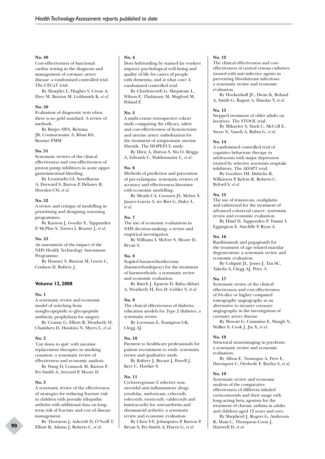Cost-effectiveness of functional cardiac testing in the diagnosis and management of coronary artery disease: a randomised controlled trial. The CECaT trial.

By Sharples L, Hughes V, Crean A, Dyer M, Buxton M, Goldsmith K, *et al*.

### **No. 50**

Evaluation of diagnostic tests when there is no gold standard. A review of methods.

By Rutjes AWS, Reitsma JB, Coomarasamy A, Khan KS, Bossuyt PMM.

#### **No. 51**

Systematic reviews of the clinical effectiveness and cost-effectiveness of proton pump inhibitors in acute upper gastrointestinal bleeding.

By Leontiadis GI, Sreedharan A, Dorward S, Barton P, Delaney B, Howden CW, *et al*.

### **No. 52**

A review and critique of modelling in prioritising and designing screening programmes.

By Karnon J, Goyder E, Tappenden P, McPhie S, Towers I, Brazier J, *et al*.

#### **No. 53**

An assessment of the impact of the NHS Health Technology Assessment Programme.

By Hanney S, Buxton M, Green C, Coulson D, Raftery J.

### **Volume 12, 2008**

#### **No. 1**

A systematic review and economic model of switching from nonglycopeptide to glycopeptide antibiotic prophylaxis for surgery.

By Cranny G, Elliott R, Weatherly H, Chambers D, Hawkins N, Myers L, *et al*.

#### **No. 2**

'Cut down to quit' with nicotine replacement therapies in smoking cessation: a systematic review of effectiveness and economic analysis.

By Wang D, Connock M, Barton P, Fry-Smith A, Aveyard P, Moore D.

#### **No. 3**

A systematic review of the effectiveness of strategies for reducing fracture risk in children with juvenile idiopathic arthritis with additional data on longterm risk of fracture and cost of disease management.

By Thornton J, Ashcroft D, O'Neill T, Elliott R, Adams J, Roberts C, *et al*.

### **No. 4**

Does befriending by trained lay workers improve psychological well-being and quality of life for carers of people with dementia, and at what cost? A randomised controlled trial.

By Charlesworth G, Shepstone L, Wilson E, Thalanany M, Mugford M, Poland F.

#### **No. 5**

A multi-centre retrospective cohort study comparing the efficacy, safety and cost-effectiveness of hysterectomy and uterine artery embolisation for the treatment of symptomatic uterine fibroids. The HOPEFUL study.

By Hirst A, Dutton S, Wu O, Briggs A, Edwards C, Waldenmaier L, *et al*.

#### **No. 6**

Methods of prediction and prevention of pre-eclampsia: systematic reviews of accuracy and effectiveness literature with economic modelling.

By Meads CA, Cnossen JS, Meher S, Juarez-Garcia A, ter Riet G, Duley L, *et al*.

### **No. 7**

The use of economic evaluations in NHS decision-making: a review and empirical investigation. By Williams I, McIver S, Moore D, Bryan S.

#### **No. 8**

Stapled haemorrhoidectomy (haemorrhoidopexy) for the treatment of haemorrhoids: a systematic review and economic evaluation.

By Burch J, Epstein D, Baba-Akbari A, Weatherly H, Fox D, Golder S, *et al*.

#### **No. 9**

The clinical effectiveness of diabetes education models for Type 2 diabetes: a systematic review.

By Loveman E, Frampton GK, Clegg AJ.

#### **No. 10**

Payment to healthcare professionals for patient recruitment to trials: systematic review and qualitative study.

By Raftery J, Bryant J, Powell J, Kerr C, Hawker S.

#### **No. 11**

Cyclooxygenase-2 selective nonsteroidal anti-inflammatory drugs (etodolac, meloxicam, celecoxib, rofecoxib, etoricoxib, valdecoxib and lumiracoxib) for osteoarthritis and rheumatoid arthritis: a systematic review and economic evaluation.

By Chen Y-F, Jobanputra P, Barton P, Bryan S, Fry-Smith A, Harris G, *et al*.

#### **No. 12**

The clinical effectiveness and costeffectiveness of central venous catheters treated with anti-infective agents in preventing bloodstream infections: a systematic review and economic evaluation.

By Hockenhull JC, Dwan K, Boland A, Smith G, Bagust A, Dundar Y, *et al*.

#### **No. 13**

Stepped treatment of older adults on laxatives. The STOOL trial.

By Mihaylov S, Stark C, McColl E, Steen N, Vanoli A, Rubin G, *et al*.

### **No. 14**

A randomised controlled trial of cognitive behaviour therapy in adolescents with major depression treated by selective serotonin reuptake inhibitors. The ADAPT trial.

By Goodyer IM, Dubicka B, Wilkinson P, Kelvin R, Roberts C, Byford S, *et al*.

#### **No. 15**

The use of irinotecan, oxaliplatin and raltitrexed for the treatment of advanced colorectal cancer: systematic review and economic evaluation.

By Hind D, Tappenden P, Tumur I, Eggington E, Sutcliffe P, Ryan A.

### **No. 16**

Ranibizumab and pegaptanib for the treatment of age-related macular degeneration: a systematic review and economic evaluation.

By Colquitt JL, Jones J, Tan SC, Takeda A, Clegg AJ, Price A.

#### **No. 17**

Systematic review of the clinical effectiveness and cost-effectiveness of 64-slice or higher computed tomography angiography as an alternative to invasive coronary angiography in the investigation of coronary artery disease.

By Mowatt G, Cummins E, Waugh N, Walker S, Cook J, Jia X, *et al*.

#### **No. 18**

Structural neuroimaging in psychosis: a systematic review and economic evaluation.

By Albon E, Tsourapas A, Frew E, Davenport C, Oyebode F, Bayliss S, *et al.*

#### **No. 19**

Systematic review and economic analysis of the comparative effectiveness of different inhaled corticosteroids and their usage with long-acting beta, agonists for the treatment of chronic asthma in adults and children aged 12 years and over.

By Shepherd J, Rogers G, Anderson R, Main C, Thompson-Coon J, Hartwell D, *et al*.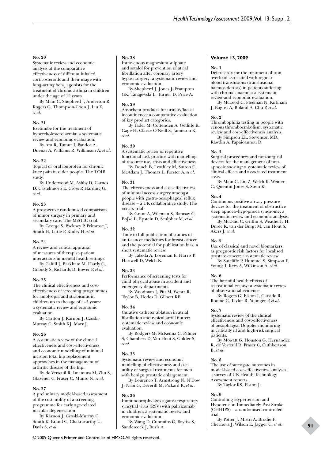Systematic review and economic analysis of the comparative effectiveness of different inhaled corticosteroids and their usage with long-acting beta $_2$  agonists for the treatment of chronic asthma in children under the age of 12 years.

By Main C, Shepherd J, Anderson R, Rogers G, Thompson-Coon J, Liu Z, *et al*.

### **No. 21**

Ezetimibe for the treatment of hypercholesterolaemia: a systematic review and economic evaluation.

By Ara R, Tumur I, Pandor A, Duenas A, Williams R, Wilkinson A, *et al*.

### **No. 22**

Topical or oral ibuprofen for chronic knee pain in older people. The TOIB study.

By Underwood M, Ashby D, Carnes D, Castelnuovo E, Cross P, Harding G, *et al*.

#### **No. 23**

A prospective randomised comparison of minor surgery in primary and secondary care. The MiSTIC trial.

By George S, Pockney P, Primrose J, Smith H, Little P, Kinley H, *et al*.

#### **No. 24**

A review and critical appraisal of measures of therapist–patient interactions in mental health settings.

By Cahill J, Barkham M, Hardy G, Gilbody S, Richards D, Bower P, *et al*.

#### **No. 25**

The clinical effectiveness and costeffectiveness of screening programmes for amblyopia and strabismus in children up to the age of 4–5 years: a systematic review and economic evaluation.

By Carlton J, Karnon J, Czoski-Murray C, Smith KJ, Marr J.

#### **No. 26**

A systematic review of the clinical effectiveness and cost-effectiveness and economic modelling of minimal incision total hip replacement approaches in the management of arthritic disease of the hip.

By de Verteuil R, Imamura M, Zhu S, Glazener C, Fraser C, Munro N, *et al*.

#### **No. 27**

A preliminary model-based assessment of the cost–utility of a screening programme for early age-related macular degeneration.

By Karnon J, Czoski-Murray C, Smith K, Brand C, Chakravarthy U, Davis S, *et al*.

#### **No. 28**

Intravenous magnesium sulphate and sotalol for prevention of atrial fibrillation after coronary artery bypass surgery: a systematic review and economic evaluation.

By Shepherd J, Jones J, Frampton GK, Tanajewski L, Turner D, Price A.

### **No. 29**

Absorbent products for urinary/faecal incontinence: a comparative evaluation of key product categories.

By Fader M, Cottenden A, Getliffe K, Gage H, Clarke-O'Neill S, Jamieson K, *et al*.

#### **No. 30**

A systematic review of repetitive functional task practice with modelling of resource use, costs and effectiveness.

By French B, Leathley M, Sutton C, McAdam J, Thomas L, Forster A, *et al*.

### **No. 31**

The effectiveness and cost-effectivness of minimal access surgery amongst people with gastro-oesophageal reflux disease – a UK collaborative study. The reflux trial.

By Grant A, Wileman S, Ramsay C, Bojke L, Epstein D, Sculpher M, *et al*.

#### **No. 32**

Time to full publication of studies of anti-cancer medicines for breast cancer and the potential for publication bias: a short systematic review.

By Takeda A, Loveman E, Harris P, Hartwell D, Welch K.

### **No. 33**

Performance of screening tests for child physical abuse in accident and emergency departments.

By Woodman J, Pitt M, Wentz R, Taylor B, Hodes D, Gilbert RE.

### **No. 34**

Curative catheter ablation in atrial fibrillation and typical atrial flutter: systematic review and economic evaluation.

By Rodgers M, McKenna C, Palmer S, Chambers D, Van Hout S, Golder S, *et al*.

#### **No. 35**

Systematic review and economic modelling of effectiveness and cost utility of surgical treatments for men with benign prostatic enlargement. By Lourenco T, Armstrong N, N'Dow

J, Nabi G, Deverill M, Pickard R, *et al*.

### **No. 36**

Immunoprophylaxis against respiratory syncytial virus (RSV) with palivizumab in children: a systematic review and economic evaluation.

By Wang D, Cummins C, Bayliss S, Sandercock J, Burls A.

#### **Volume 13, 2009**

#### **No. 1**

Deferasirox for the treatment of iron overload associated with regular blood transfusions (transfusional haemosiderosis) in patients suffering with chronic anaemia: a systematic review and economic evaluation.

By McLeod C, Fleeman N, Kirkham J, Bagust A, Boland A, Chu P, *et al*.

#### **No. 2**

Thrombophilia testing in people with venous thromboembolism: systematic review and cost-effectiveness analysis. By Simpson EL, Stevenson MD,

Rawdin A, Papaioannou D.

#### **No. 3**

Surgical procedures and non-surgical devices for the management of nonapnoeic snoring: a systematic review of clinical effects and associated treatment costs.

By Main C, Liu Z, Welch K, Weiner G, Quentin Jones S, Stein K.

#### **No. 4**

Continuous positive airway pressure devices for the treatment of obstructive sleep apnoea–hypopnoea syndrome: a systematic review and economic analysis.

By McDaid C, Griffin S, Weatherly H, Durée K, van der Burgt M, van Hout S, Akers J, *et al*.

#### **No. 5**

Use of classical and novel biomarkers as prognostic risk factors for localised prostate cancer: a systematic review. By Sutcliffe P, Hummel S, Simpson E, Young T, Rees A, Wilkinson A, *et al*.

#### **No. 6**

The harmful health effects of recreational ecstasy: a systematic review of observational evidence. By Rogers G, Elston J, Garside R, Roome C, Taylor R, Younger P, *et al*.

#### **No. 7**

Systematic review of the clinical effectiveness and cost-effectiveness of oesophageal Doppler monitoring in critically ill and high-risk surgical patients.

By Mowatt G, Houston G, Hernández R, de Verteuil R, Fraser C, Cuthbertson B, *et al*.

### **No. 8**

The use of surrogate outcomes in model-based cost-effectiveness analyses: a survey of UK Health Technology Assessment reports.

By Taylor RS, Elston J.

#### **No. 9**

Controlling Hypertension and Hypotension Immediately Post Stroke (CHHIPS) – a randomised controlled trial.

By Potter J, Mistri A, Brodie F, Chernova J, Wilson E, Jagger C, *et al*.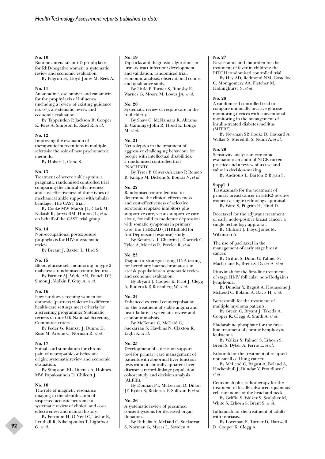Routine antenatal anti-D prophylaxis for RhD-negative women: a systematic review and economic evaluation.

By Pilgrim H, Lloyd-Jones M, Rees A.

#### **No. 11**

Amantadine, oseltamivir and zanamivir for the prophylaxis of influenza (including a review of existing guidance no. 67): a systematic review and economic evaluation.

By Tappenden P, Jackson R, Cooper K, Rees A, Simpson E, Read R, *et al.*

#### **No. 12**

Improving the evaluation of therapeutic interventions in multiple sclerosis: the role of new psychometric methods.

By Hobart J, Cano S.

#### **No. 13**

Treatment of severe ankle sprain: a pragmatic randomised controlled trial comparing the clinical effectiveness and cost-effectiveness of three types of mechanical ankle support with tubular bandage. The CAST trial.

By Cooke MW, Marsh JL, Clark M, Nakash R, Jarvis RM, Hutton JL, *et al*., on behalf of the CAST trial group.

#### **No. 14**

Non-occupational postexposure prophylaxis for HIV: a systematic review.

By Bryant J, Baxter L, Hird S.

#### **No. 15**

Blood glucose self-monitoring in type 2 diabetes: a randomised controlled trial. By Farmer AJ, Wade AN, French DP, Simon J, Yudkin P, Gray A, *et al*.

#### **No. 16**

How far does screening women for domestic (partner) violence in different health-care settings meet criteria for a screening programme? Systematic reviews of nine UK National Screening Committee criteria.

By Feder G, Ramsay J, Dunne D, Rose M, Arsene C, Norman R, *et al*.

#### **No. 17**

Spinal cord stimulation for chronic pain of neuropathic or ischaemic origin: systematic review and economic evaluation.

By Simpson, EL, Duenas A, Holmes MW, Papaioannou D, Chilcott J.

#### **No. 18**

The role of magnetic resonance imaging in the identification of suspected acoustic neuroma: a systematic review of clinical and costeffectiveness and natural history.

By Fortnum H, O'Neill C, Taylor R, Lenthall R, Nikolopoulos T, Lightfoot G, *et al.*

#### **No. 19**

Dipsticks and diagnostic algorithms in urinary tract infection: development and validation, randomised trial, economic analysis, observational cohort and qualitative study.

By Little P, Turner S, Rumsby K, Warner G, Moore M, Lowes JA*, et al.*

#### **No. 20**

Systematic review of respite care in the frail elderly.

By Shaw C, McNamara R, Abrams K, Cannings-John R, Hood K, Longo M, *et al.*

#### **No. 21**

Neuroleptics in the treatment of aggressive challenging behaviour for people with intellectual disabilities: a randomised controlled trial (NACHBID).

By Tyrer P, Oliver-Africano P, Romeo R, Knapp M, Dickens S, Bouras N, *et al.*

#### **No. 22**

Randomised controlled trial to determine the clinical effectiveness and cost-effectiveness of selective serotonin reuptake inhibitors plus supportive care, versus supportive care alone, for mild to moderate depression with somatic symptoms in primary care: the THREAD (THREshold for AntiDepressant response) study.

By Kendrick T, Chatwin J, Dowrick C, Tylee A, Morriss R, Peveler R, *et al.*

#### **No. 23**

Diagnostic strategies using DNA testing for hereditary haemochromatosis in at-risk populations: a systematic review and economic evaluation.

By Bryant J, Cooper K, Picot J, Clegg A, Roderick P, Rosenberg W, *et al.*

#### **No. 24**

Enhanced external counterpulsation for the treatment of stable angina and heart failure: a systematic review and economic analysis.

By McKenna C, McDaid C, Suekarran S, Hawkins N, Claxton K, Light K, *et al*.

#### **No. 25**

Development of a decision support tool for primary care management of patients with abnormal liver function tests without clinically apparent liver disease: a record-linkage population cohort study and decision analysis (ALFIE).

By Donnan PT, McLernon D, Dillon JF, Ryder S, Roderick P, Sullivan F, *et al*.

#### **No. 26**

A systematic review of presumed consent systems for deceased organ donation.

By Rithalia A, McDaid C, Suekarran S, Norman G, Myers L, Sowden A.

#### **No. 27**

Paracetamol and ibuprofen for the treatment of fever in children: the PITCH randomised controlled trial.

By Hay AD, Redmond NM, Costelloe C, Montgomery AA, Fletcher M, Hollinghurst S, *et al*.

#### **No. 28**

A randomised controlled trial to compare minimally invasive glucose monitoring devices with conventional monitoring in the management of insulin-treated diabetes mellitus (MITRE).

By Newman SP, Cooke D, Casbard A, Walker S, Meredith S, Nunn A, *et al*.

#### **No. 29**

Sensitivity analysis in economic evaluation: an audit of NICE current practice and a review of its use and value in decision-making.

By Andronis L, Barton P, Bryan S.

#### **Suppl. 1**

Trastuzumab for the treatment of primary breast cancer in HER2-positive women: a single technology appraisal. By Ward S, Pilgrim H, Hind D.

Docetaxel for the adjuvant treatment of early node-positive breast cancer: a single technology appraisal.

By Chilcott  $\tilde{I}$ , Lloyd Jones M, Wilkinson A.

The use of paclitaxel in the management of early stage breast cancer.

By Griffin S, Dunn G, Palmer S, Macfarlane K, Brent S, Dyker A, *et al*.

Rituximab for the first-line treatment of stage III/IV follicular non-Hodgkin's lymphoma.

By Dundar Y, Bagust A, Hounsome J, McLeod C, Boland A, Davis H, *et al*.

Bortezomib for the treatment of multiple myeloma patients.

By Green C, Bryant J, Takeda A, Cooper K, Clegg A, Smith A, *et al*.

Fludarabine phosphate for the firstline treatment of chronic lymphocytic leukaemia.

By Walker S, Palmer S, Erhorn S, Brent S, Dyker A, Ferrie L, *et al*.

Erlotinib for the treatment of relapsed non-small cell lung cancer.

By McLeod C, Bagust A, Boland A, Hockenhull J, Dundar Y, Proudlove C, *et al*.

Cetuximab plus radiotherapy for the treatment of locally advanced squamous cell carcinoma of the head and neck.

By Griffin S, Walker S, Sculpher M, White S, Erhorn S, Brent S, *et al*.

Infliximab for the treatment of adults with psoriasis.

By Loveman E, Turner D, Hartwell D, Cooper K, Clegg A.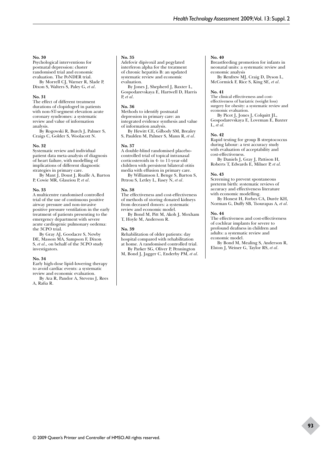Psychological interventions for postnatal depression: cluster randomised trial and economic evaluation. The PoNDER trial.

By Morrell CJ, Warner R, Slade P, Dixon S, Walters S, Paley G, *et al*.

#### **No. 31**

The effect of different treatment durations of clopidogrel in patients with non-ST-segment elevation acute coronary syndromes: a systematic review and value of information analysis.

By Rogowski R, Burch J, Palmer S, Craigs C, Golder S, Woolacott N.

#### **No. 32**

Systematic review and individual patient data meta-analysis of diagnosis of heart failure, with modelling of implications of different diagnostic strategies in primary care.

By Mant J, Doust J, Roalfe A, Barton P, Cowie MR, Glasziou P, *et al*.

#### **No. 33**

A multicentre randomised controlled trial of the use of continuous positive airway pressure and non-invasive positive pressure ventilation in the early treatment of patients presenting to the emergency department with severe acute cardiogenic pulmonary oedema: the 3CPO trial.

By Gray AJ, Goodacre S, Newby DE, Masson MA, Sampson F, Dixon S, *et al*., on behalf of the 3CPO study investigators.

#### **No. 34**

Early high-dose lipid-lowering therapy to avoid cardiac events: a systematic review and economic evaluation. By Ara R, Pandor A, Stevens J, Rees

A, Rafia R.

#### **No. 35**

Adefovir dipivoxil and pegylated interferon alpha for the treatment of chronic hepatitis B: an updated systematic review and economic evaluation.

By Jones J, Shepherd J, Baxter L, Gospodarevskaya E, Hartwell D, Harris P, *et al*.

#### **No. 36**

Methods to identify postnatal depression in primary care: an integrated evidence synthesis and value of information analysis.

By Hewitt CE, Gilbody SM, Brealey S, Paulden M, Palmer S, Mann R, *et al*.

#### **No. 37**

A double-blind randomised placebocontrolled trial of topical intranasal corticosteroids in 4- to 11-year-old children with persistent bilateral otitis media with effusion in primary care.

By Williamson I, Benge S, Barton S, Petrou S, Letley L, Fasey N, *et al*.

#### **No. 38**

The effectiveness and cost-effectiveness of methods of storing donated kidneys from deceased donors: a systematic review and economic model.

By Bond M, Pitt M, Akoh J, Moxham T, Hoyle M, Anderson R.

### **No. 39**

Rehabilitation of older patients: day hospital compared with rehabilitation at home. A randomised controlled trial.

By Parker SG, Oliver P, Pennington M, Bond J, Jagger C, Enderby PM, *et al*.

#### **No. 40**

Breastfeeding promotion for infants in neonatal units: a systematic review and economic analysis

By Renfrew MJ, Craig D, Dyson L, McCormick F, Rice S, King SE, *et al*.

### **No. 41**

The clinical effectiveness and costeffectiveness of bariatric (weight loss) surgery for obesity: a systematic review and economic evaluation.

By Picot J, Jones J, Colquitt JL, Gospodarevskaya E, Loveman E, Baxter L, *et al.*

#### **No. 42**

Rapid testing for group B streptococcus during labour: a test accuracy study with evaluation of acceptability and cost-effectiveness.

By Daniels J, Gray J, Pattison H, Roberts T, Edwards E, Milner P, *et al.*

#### **No. 43**

Screening to prevent spontaneous preterm birth: systematic reviews of accuracy and effectiveness literature with economic modelling.

By Honest H, Forbes CA, Durée KH, Norman G, Duffy SB, Tsourapas A, *et al*.

#### **No. 44**

The effectiveness and cost-effectiveness of cochlear implants for severe to profound deafness in children and adults: a systematic review and economic model.

By Bond M, Mealing S, Anderson R, Elston J, Weiner G, Taylor RS, *et al*.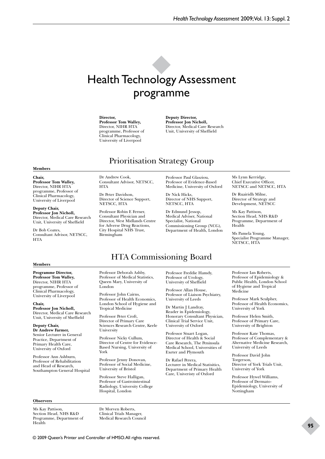# Health Technology Assessment programme

**Director,**

**Professor Tom Walley,** Director, NIHR HTA programme, Professor of Clinical Pharmacology, University of Liverpool

**Deputy Director, Professor Jon Nicholl,** Director, Medical Care Research Unit, University of Sheffield

# Prioritisation Strategy Group

#### **Members**

**Chair,**

**Professor Tom Walley,** Director, NIHR HTA programme, Professor of Clinical Pharmacology, University of Liverpool

**Deputy Chair, Professor Jon Nicholl,** Director, Medical Care Research Unit, University of Sheffield

Dr Bob Coates, Consultant Advisor, NETSCC, **HTA** 

#### **Members**

### **Programme Director,**

**Professor Tom Walley,** Director, NIHR HTA programme, Professor of Clinical Pharmacology, University of Liverpool

**Chair, Professor Jon Nicholl,** Director, Medical Care Research Unit, University of Sheffield

**Deputy Chair, Dr Andrew Farmer,** Senior Lecturer in General Practice, Department of Primary Health Care, University of Oxford

Professor Ann Ashburn, Professor of Rehabilitation and Head of Research, Southampton General Hospital

#### **Observers**

Ms Kay Pattison, Section Head, NHS R&D Programme, Department of Health

Consultant Advisor, NETSCC, **HTA** Dr Peter Davidson,

Dr Andrew Cook,

Director of Science Support, NETSCC, HTA Professor Robin E Ferner,

Consultant Physician and Director, West Midlands Centre for Adverse Drug Reactions, City Hospital NHS Trust, Birmingham

Professor Paul Glasziou, Professor of Evidence-Based Medicine, University of Oxford

Dr Nick Hicks, Director of NHS Support, NETSCC, HTA

Dr Edmund Jessop, Medical Adviser, National Specialist, National Commissioning Group (NCG), Department of Health, London Ms Lynn Kerridge, Chief Executive Officer, NETSCC and NETSCC, HTA

Dr Ruairidh Milne, Director of Strategy and Development, NETSCC

Ms Kay Pattison, Section Head, NHS R&D Programme, Department of Health

Ms Pamela Young, Specialist Programme Manager, NETSCC, HTA

# HTA Commissioning Board

Professor Deborah Ashby, Professor of Medical Statistics, Queen Mary, University of London

Professor John Cairns, Professor of Health Economics, London School of Hygiene and Tropical Medicine

Professor Peter Croft, Director of Primary Care Sciences Research Centre, Keele University

Professor Nicky Cullum, Director of Centre for Evidence-Based Nursing, University of York

Professor Jenny Donovan, Professor of Social Medicine. University of Bristol

Professor Steve Halligan, Professor of Gastrointestinal Radiology, University College Hospital, London

Professor Freddie Hamdy, Professor of Urology, University of Sheffield

Professor Allan House, Professor of Liaison Psychiatry, University of Leeds

Dr Martin J Landray, Reader in Epidemiology, Honorary Consultant Physician, Clinical Trial Service Unit, University of Oxford

Professor Stuart Logan, Director of Health & Social Care Research, The Peninsula Medical School, Universities of Exeter and Plymouth

Dr Rafael Perera, Lecturer in Medical Statisitics, Department of Primary Health Care, Univeristy of Oxford

Professor Ian Roberts, Professor of Epidemiology & Public Health, London School of Hygiene and Tropical Medicine

Professor Mark Sculpher, Professor of Health Economics, University of York

Professor Helen Smith, Professor of Primary Care, University of Brighton

Professor Kate Thomas, Professor of Complementary & Alternative Medicine Research, University of Leeds

Professor David John Torgerson, Director of York Trials Unit, University of York

Professor Hywel Williams, Professor of Dermato-Epidemiology, University of Nottingham

Dr Morven Roberts, Clinical Trials Manager, Medical Research Council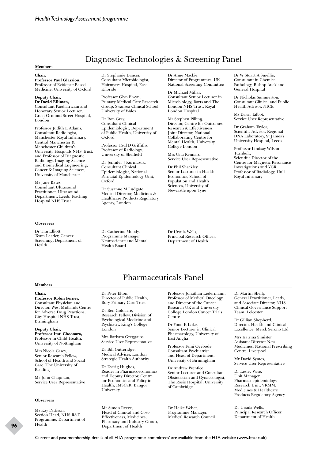# Diagnostic Technologies & Screening Panel

#### **Members**

#### **Chair,**

**Professor Paul Glasziou,** Professor of Evidence-Based Medicine, University of Oxford

### **Deputy Chair,**

**Dr David Elliman,** Consultant Paediatrician and Honorary Senior Lecturer, Great Ormond Street Hospital, London

Professor Judith E Adams, Consultant Radiologist, Manchester Royal Infirmary, Central Manchester & Manchester Children's University Hospitals NHS Trust, and Professor of Diagnostic Radiology, Imaging Science and Biomedical Engineering, Cancer & Imaging Sciences, University of Manchester

Ms Jane Bates, Consultant Ultrasound Practitioner, Ultrasound Department, Leeds Teaching Hospital NHS Trust

#### **Observers**

Dr Tim Elliott, Team Leader, Cancer Screening, Department of Health

Dr Stephanie Dancer, Consultant Microbiologist, Hairmyres Hospital, East Kilbride

Professor Glyn Elwyn, Primary Medical Care Research Group, Swansea Clinical School, University of Wales

Dr Ron Gray, Consultant Clinical Epidemiologist, Department of Public Health, University of Oxford

Professor Paul D Griffiths, Professor of Radiology, University of Sheffield

Dr Jennifer J Kurinczuk, Consultant Clinical Epidemiologist, National Perinatal Epidemiology Unit, Oxford

Dr Susanne M Ludgate, Medical Director, Medicines & Healthcare Products Regulatory Agency, London

Dr Anne Mackie, Director of Programmes, UK National Screening Committee

Dr Michael Millar, Consultant Senior Lecturer in Microbiology, Barts and The London NHS Trust, Royal London Hospital

Mr Stephen Pilling, Director, Centre for Outcomes, Research & Effectiveness, Joint Director, National Collaborating Centre for Mental Health, University College London

Mrs Una Rennard, Service User Representative

Dr Phil Shackley, Senior Lecturer in Health Economics, School of Population and Health Sciences, University of Newcastle upon Tyne

Dr W Stuart A Smellie, Consultant in Chemical Pathology, Bishop Auckland General Hospital

Dr Nicholas Summerton, Consultant Clinical and Public Health Advisor, NICE

Ms Dawn Talbot, Service User Representative

Dr Graham Taylor, Scientific Advisor, Regional DNA Laboratory, St James's University Hospital, Leeds

Professor Lindsay Wilson Turnbull, Scientific Director of the Centre for Magnetic Resonance Investigations and YCR Professor of Radiology, Hull Royal Infirmary

Dr Catherine Moody, Programme Manager, Neuroscience and Mental Health Board

Dr Ursula Wells, Principal Research Officer, Department of Health

# Pharmaceuticals Panel

#### **Members**

**Chair, Professor Robin Ferner,** Consultant Physician and Director, West Midlands Centre for Adverse Drug Reactions, City Hospital NHS Trust, Birmingham

**Deputy Chair, Professor Imti Choonara,** Professor in Child Health. University of Nottingham

Mrs Nicola Carey, Senior Research Fellow, School of Health and Social Care, The University of Reading

Mr John Chapman, Service User Representative

#### **Observers**

Ms Kay Pattison, Section Head, NHS R&D Programme, Department of Health

Dr Peter Elton, Director of Public Health, Bury Primary Care Trust

Dr Ben Goldacre, Research Fellow, Division of Psychological Medicine and Psychiatry, King's College London

Mrs Barbara Greggains, Service User Representative

Dr Bill Gutteridge, Medical Adviser, London Strategic Health Authority

Dr Dyfrig Hughes, Reader in Pharmacoeconomics and Deputy Director, Centre for Economics and Policy in Health, IMSCaR, Bangor University

Mr Simon Reeve, Head of Clinical and Cost-Effectiveness, Medicines, Pharmacy and Industry Group, Department of Health

Professor Jonathan Ledermann, Professor of Medical Oncology and Director of the Cancer Research UK and University College London Cancer Trials **Centre** 

Dr Yoon K Loke, Senior Lecturer in Clinical Pharmacology, University of East Anglia

Professor Femi Oyebode, Consultant Psychiatrist and Head of Department, University of Birmingham

Dr Andrew Prentice, Senior Lecturer and Consultant Obstetrician and Gynaecologist, The Rosie Hospital, University of Cambridge

Dr Heike Weber, Programme Manager, Medical Research Council Dr Martin Shelly, General Practitioner, Leeds, and Associate Director, NHS Clinical Governance Support Team, Leicester

Dr Gillian Shepherd, Director, Health and Clinical Excellence, Merck Serono Ltd

Mrs Katrina Simister, Assistant Director New Medicines, National Prescribing Centre, Liverpool

Mr David Symes, Service User Representative

Dr Lesley Wise, Unit Manager, Pharmacoepidemiology Research Unit, VRMM, Medicines & Healthcare Products Regulatory Agency

Dr Ursula Wells, Principal Research Officer, Department of Health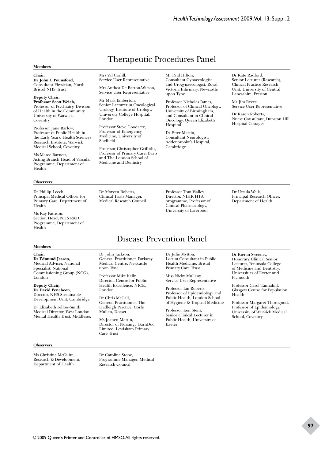# Therapeutic Procedures Panel

#### **Members**

#### **Chair, Dr John C Pounsford,**

Consultant Physician, North Bristol NHS Trust

#### **Deputy Chair, Professor Scott Weich,** Professor of Psychiatry, Division of Health in the Community, University of Warwick, Coventry

Professor Jane Barlow, Professor of Public Health in the Early Years, Health Sciences Research Institute, Warwick Medical School, Coventry

Ms Maree Barnett, Acting Branch Head of Vascular Programme, Department of Health

#### **Observers**

Dr Phillip Leech, Principal Medical Officer for Primary Care, Department of Health

Ms Kay Pattison, Section Head, NHS R&D Programme, Department of Health

#### **Members**

**Chair,**

**Dr Edmund Jessop***,* Medical Adviser, National Specialist, National Commissioning Group (NCG), London

**Deputy Chair, Dr David Pencheon***,* Director, NHS Sustainable Development Unit, Cambridge

Dr Elizabeth Fellow-Smith, Medical Director, West London Mental Health Trust, Middlesex

#### **Observers**

Ms Christine McGuire, Research & Development, Department of Health

Mrs Val Carlill, Service User Representative

Mrs Anthea De Barton-Watson, Service User Representative

Mr Mark Emberton, Senior Lecturer in Oncological Urology, Institute of Urology, University College Hospital, London

Professor Steve Goodacre, Professor of Emergency Medicine, University of Sheffield

Professor Christopher Griffiths, Professor of Primary Care, Barts and The London School of Medicine and Dentistry

Mr Paul Hilton, Consultant Gynaecologist and Urogynaecologist, Royal Victoria Infirmary, Newcastle upon Tyne

Professor Nicholas James, Professor of Clinical Oncology, University of Birmingham, and Consultant in Clinical Oncology, Queen Elizabeth Hospital

Dr Peter Martin, Consultant Neurologist, Addenbrooke's Hospital, Cambridge

#### Dr Kate Radford, Senior Lecturer (Research), Clinical Practice Research Unit, University of Central Lancashire, Preston

Mr Jim Reece Service User Representative

Dr Karen Roberts, Nurse Consultant, Dunston Hill Hospital Cottages

Dr Morven Roberts Clinical Trials Manager, Medical Research Council

Dr John Jackson,

Professor Mike Kelly, Director, Centre for Public Health Excellence, NICE,

Dr Chris McCall, General Practitioner, The Hadleigh Practice, Corfe Mullen, Dorset Ms Jeanett Martin,

upon Tyne

London

Care Trust

General Practitioner, Parkway Medical Centre, Newcastle

Professor Tom Walley, Director, NIHR HTA programme, Professor of Clinical Pharmacology, University of Liverpool

Dr Ursula Wells, Principal Research Officer, Department of Health

# Disease Prevention Panel

Dr Julie Mytton, Locum Consultant in Public Health Medicine, Bristol Primary Care Trust

Miss Nicky Mullany, Service User Representative

Professor Ian Roberts, Professor of Epidemiology and Public Health, London School of Hygiene & Tropical Medicine

Professor Ken Stein, Senior Clinical Lecturer in Public Health, University of Exeter

Dr Kieran Sweeney, Honorary Clinical Senior Lecturer, Peninsula College of Medicine and Dentistry, Universities of Exeter and Plymouth

Professor Carol Tannahill, Glasgow Centre for Population Health

Professor Margaret Thorogood, Professor of Epidemiology, University of Warwick Medical School, Coventry

Dr Caroline Stone, Programme Manager, Medical Research Council

Director of Nursing, BarnDoc Limited, Lewisham Primary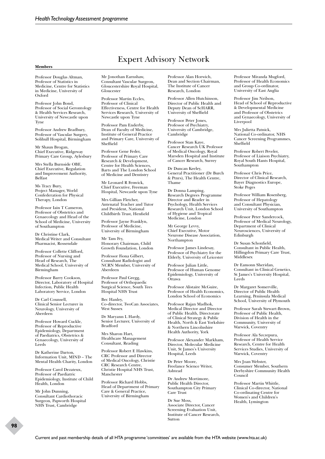# Expert Advisory Network

#### **Members**

Professor Douglas Altman, Professor of Statistics in Medicine, Centre for Statistics in Medicine, University of Oxford

Professor John Bond, Professor of Social Gerontology & Health Services Research, University of Newcastle upon Tyne

Professor Andrew Bradbury, Professor of Vascular Surgery, Solihull Hospital, Birmingham

Mr Shaun Brogan, Chief Executive, Ridgeway Primary Care Group, Aylesbury

Mrs Stella Burnside OBE, Chief Executive, Regulation and Improvement Authority, Belfast

Ms Tracy Bury, Project Manager, World Confederation for Physical Therapy, London

Professor Iain T Cameron, Professor of Obstetrics and Gynaecology and Head of the School of Medicine, University of Southampton

Dr Christine Clark, Medical Writer and Consultant Pharmacist, Rossendale

Professor Collette Clifford, Professor of Nursing and Head of Research, The Medical School, University of Birmingham

Professor Barry Cookson, Director, Laboratory of Hospital Infection, Public Health Laboratory Service, London

Dr Carl Counsell, Clinical Senior Lecturer in Neurology, University of Aberdeen

Professor Howard Cuckle, Professor of Reproductive Epidemiology, Department of Paediatrics, Obstetrics & Gynaecology, University of Leeds

Dr Katherine Darton, Information Unit, MIND – The Mental Health Charity, London

Professor Carol Dezateux, Professor of Paediatric Epidemiology, Institute of Child Health, London

Mr John Dunning, Consultant Cardiothoracic Surgeon, Papworth Hospital NHS Trust, Cambridge

Mr Jonothan Earnshaw, Consultant Vascular Surgeon, Gloucestershire Royal Hospital, Gloucester

Professor Martin Eccles, Professor of Clinical Effectiveness, Centre for Health Services Research, University of Newcastle upon Tyne

Professor Pam Enderby, Dean of Faculty of Medicine, Institute of General Practice and Primary Care, University of Sheffield

Professor Gene Feder, Professor of Primary Care Research & Development, Centre for Health Sciences, Barts and The London School of Medicine and Dentistry

Mr Leonard R Fenwick, Chief Executive, Freeman Hospital, Newcastle upon Tyne

Mrs Gillian Fletcher, Antenatal Teacher and Tutor and President, National Childbirth Trust, Henfield

Professor Jayne Franklyn, Professor of Medicine, University of Birmingham

Mr Tam Fry, Honorary Chairman, Child Growth Foundation, London

Professor Fiona Gilbert, Consultant Radiologist and NCRN Member, University of Aberdeen

Professor Paul Gregg, Professor of Orthopaedic Surgical Science, South Tees Hospital NHS Trust

Bec Hanley, Co-director, TwoCan Associates, West Sussex

Dr Maryann L Hardy, Senior Lecturer, University of Bradford

Mrs Sharon Hart, Healthcare Management Consultant, Reading

Professor Robert E Hawkins, CRC Professor and Director of Medical Oncology, Christie CRC Research Centre, Christie Hospital NHS Trust, Manchester

Professor Richard Hobbs, Head of Department of Primary Care & General Practice, University of Birmingham

Professor Alan Horwich, Dean and Section Chairman, The Institute of Cancer Research, London

Professor Allen Hutchinson, Director of Public Health and Deputy Dean of ScHARR, University of Sheffield

Professor Peter Jones, Professor of Psychiatry, University of Cambridge, **Cambridge** 

Professor Stan Kaye, Cancer Research UK Professor of Medical Oncology, Royal Marsden Hospital and Institute of Cancer Research, Surrey

Dr Duncan Keeley, General Practitioner (Dr Burch & Ptnrs), The Health Centre, Thame

Dr Donna Lamping, Research Degrees Programme Director and Reader in Psychology, Health Services Research Unit, London School of Hygiene and Tropical Medicine, London

Mr George Levvy, Chief Executive, Motor Neurone Disease Association, Northampton

Professor James Lindesay, Professor of Psychiatry for the Elderly, University of Leicester

Professor Julian Little, Professor of Human Genome Epidemiology, University of Ottawa

Professor Alistaire McGuire, Professor of Health Economics, London School of Economics

Professor Rajan Madhok, Medical Director and Director of Public Health, Directorate of Clinical Strategy & Public Health, North & East Yorkshire & Northern Lincolnshire Health Authority, York

Professor Alexander Markham, Director, Molecular Medicine Unit, St James's University Hospital, Leeds

Dr Peter Moore, Freelance Science Writer, Ashtead

Dr Andrew Mortimore, Public Health Director, Southampton City Primary Care Trust

Dr Sue Moss, Associate Director, Cancer Screening Evaluation Unit, Institute of Cancer Research, Sutton

Professor Miranda Mugford, Professor of Health Economics and Group Co-ordinator, University of East Anglia

Professor Jim Neilson, Head of School of Reproductive & Developmental Medicine and Professor of Obstetrics and Gynaecology, University of Liverpool

Mrs Julietta Patnick, National Co-ordinator, NHS Cancer Screening Programmes, Sheffield

Professor Robert Peveler, Professor of Liaison Psychiatry, Royal South Hants Hospital, Southampton

Professor Chris Price, Director of Clinical Research, Bayer Diagnostics Europe, Stoke Poges

Professor William Rosenberg, Professor of Hepatology and Consultant Physician, University of Southampton

Professor Peter Sandercock, Professor of Medical Neurology, Department of Clinical Neurosciences, University of Edinburgh

Dr Susan Schonfield, Consultant in Public Health, Hillingdon Primary Care Trust, Middlesex

Dr Eamonn Sheridan, Consultant in Clinical Genetics, St James's University Hospital, Leeds

Dr Margaret Somerville, Director of Public Health Learning, Peninsula Medical School, University of Plymouth

Professor Sarah Stewart-Brown, Professor of Public Health, Division of Health in the Community, University of Warwick, Coventry

Professor Ala Szczepura, Professor of Health Service Research, Centre for Health Services Studies, University of Warwick, Coventry

Mrs Joan Webster, Consumer Member, Southern Derbyshire Community Health Council

Professor Martin Whittle, Clinical Co-director, National Co-ordinating Centre for Women's and Children's Health, Lymington